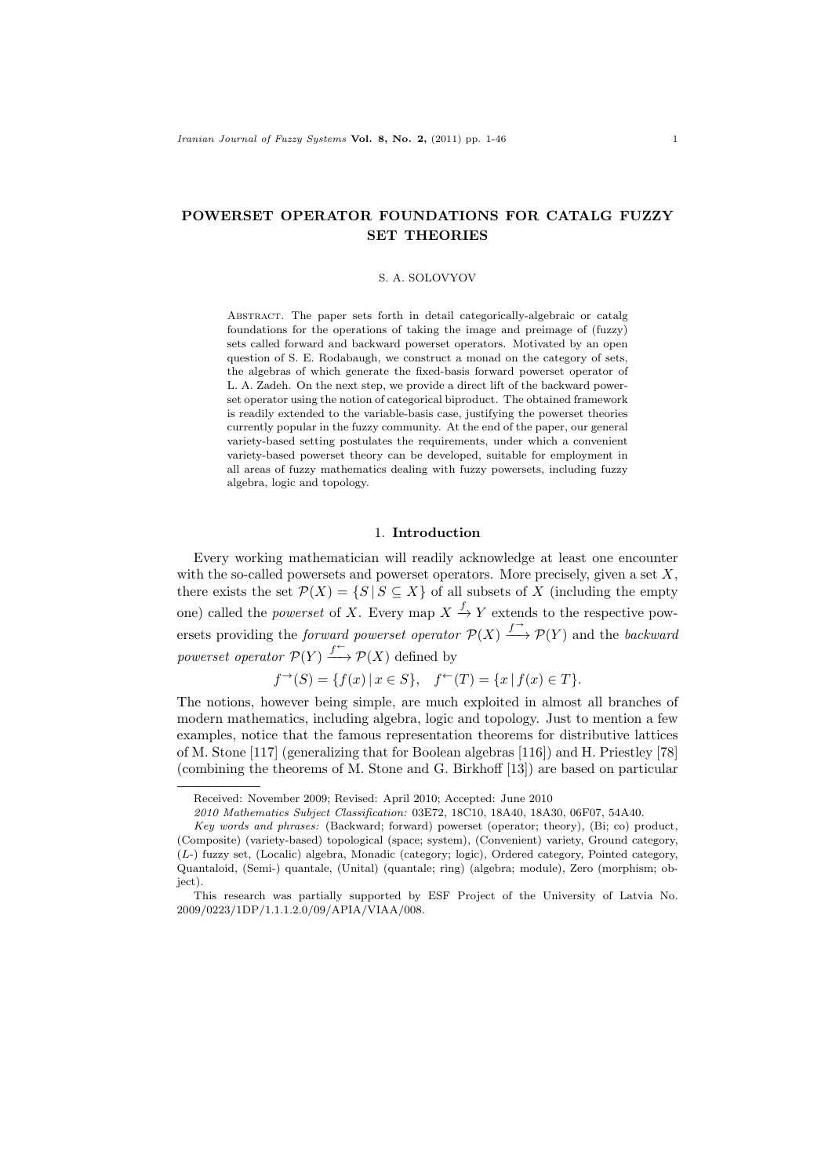# POWERSET OPERATOR FOUNDATIONS FOR CATALG FUZZY SET THEORIES

### S. A. SOLOVYOV

Abstract. The paper sets forth in detail categorically-algebraic or catalg foundations for the operations of taking the image and preimage of (fuzzy) sets called forward and backward powerset operators. Motivated by an open question of S. E. Rodabaugh, we construct a monad on the category of sets, the algebras of which generate the fixed-basis forward powerset operator of L. A. Zadeh. On the next step, we provide a direct lift of the backward powerset operator using the notion of categorical biproduct. The obtained framework is readily extended to the variable-basis case, justifying the powerset theories currently popular in the fuzzy community. At the end of the paper, our general variety-based setting postulates the requirements, under which a convenient variety-based powerset theory can be developed, suitable for employment in all areas of fuzzy mathematics dealing with fuzzy powersets, including fuzzy algebra, logic and topology.

# 1. Introduction

Every working mathematician will readily acknowledge at least one encounter with the so-called powersets and powerset operators. More precisely, given a set  $X$ , there exists the set  $\mathcal{P}(X) = \{S | S \subseteq X\}$  of all subsets of X (including the empty one) called the *powerset* of X. Every map  $X \xrightarrow{f} Y$  extends to the respective powersets providing the *forward powerset operator*  $\mathcal{P}(X) \xrightarrow{f^{\rightarrow}} \mathcal{P}(Y)$  and the *backward* powerset operator  $\mathcal{P}(Y) \xrightarrow{f^{\leftarrow}} \mathcal{P}(X)$  defined by

 $f^{\rightarrow}(S) = \{f(x) | x \in S\}, \quad f^{\leftarrow}(T) = \{x | f(x) \in T\}.$ 

The notions, however being simple, are much exploited in almost all branches of modern mathematics, including algebra, logic and topology. Just to mention a few examples, notice that the famous representation theorems for distributive lattices of M. Stone [117] (generalizing that for Boolean algebras [116]) and H. Priestley [78] (combining the theorems of M. Stone and G. Birkhoff [13]) are based on particular

Received: November 2009; Revised: April 2010; Accepted: June 2010

<sup>2010</sup> Mathematics Subject Classification: 03E72, 18C10, 18A40, 18A30, 06F07, 54A40.

Key words and phrases: (Backward; forward) powerset (operator; theory), (Bi; co) product, (Composite) (variety-based) topological (space; system), (Convenient) variety, Ground category, (𝐿-) fuzzy set, (Localic) algebra, Monadic (category; logic), Ordered category, Pointed category, Quantaloid, (Semi-) quantale, (Unital) (quantale; ring) (algebra; module), Zero (morphism; object).

This research was partially supported by ESF Project of the University of Latvia No. 2009/0223/1DP/1.1.1.2.0/09/APIA/VIAA/008.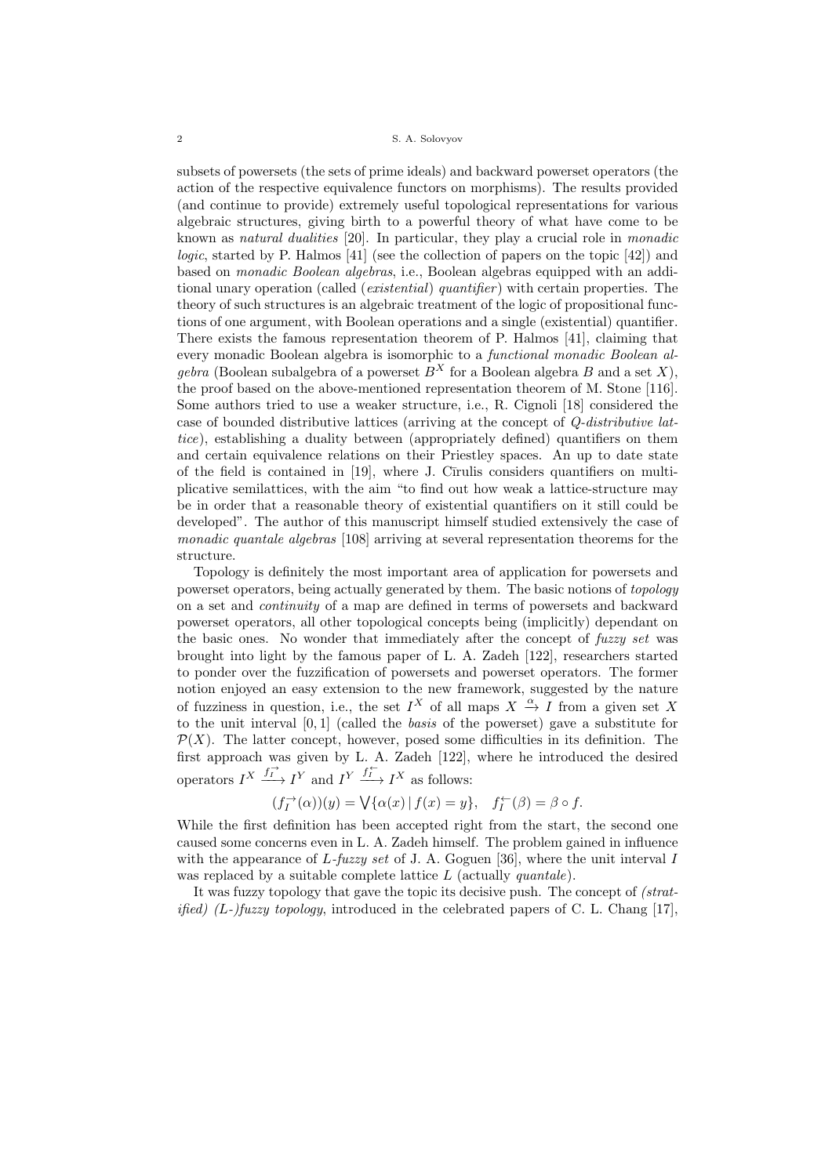subsets of powersets (the sets of prime ideals) and backward powerset operators (the action of the respective equivalence functors on morphisms). The results provided (and continue to provide) extremely useful topological representations for various algebraic structures, giving birth to a powerful theory of what have come to be known as natural dualities [20]. In particular, they play a crucial role in monadic logic, started by P. Halmos [41] (see the collection of papers on the topic [42]) and based on monadic Boolean algebras, i.e., Boolean algebras equipped with an additional unary operation (called (*existential*) quantifier) with certain properties. The theory of such structures is an algebraic treatment of the logic of propositional functions of one argument, with Boolean operations and a single (existential) quantifier. There exists the famous representation theorem of P. Halmos [41], claiming that every monadic Boolean algebra is isomorphic to a functional monadic Boolean algebra (Boolean subalgebra of a powerset  $B<sup>X</sup>$  for a Boolean algebra B and a set X), the proof based on the above-mentioned representation theorem of M. Stone [116]. Some authors tried to use a weaker structure, i.e., R. Cignoli [18] considered the case of bounded distributive lattices (arriving at the concept of Q-distributive lattice), establishing a duality between (appropriately defined) quantifiers on them and certain equivalence relations on their Priestley spaces. An up to date state of the field is contained in  $[19]$ , where J. Cirulis considers quantifiers on multiplicative semilattices, with the aim "to find out how weak a lattice-structure may be in order that a reasonable theory of existential quantifiers on it still could be developed". The author of this manuscript himself studied extensively the case of monadic quantale algebras [108] arriving at several representation theorems for the structure.

Topology is definitely the most important area of application for powersets and powerset operators, being actually generated by them. The basic notions of topology on a set and continuity of a map are defined in terms of powersets and backward powerset operators, all other topological concepts being (implicitly) dependant on the basic ones. No wonder that immediately after the concept of fuzzy set was brought into light by the famous paper of L. A. Zadeh [122], researchers started to ponder over the fuzzification of powersets and powerset operators. The former notion enjoyed an easy extension to the new framework, suggested by the nature of fuzziness in question, i.e., the set  $I^X$  of all maps  $X \stackrel{\alpha}{\to} I$  from a given set X to the unit interval [0, 1] (called the basis of the powerset) gave a substitute for  $\mathcal{P}(X)$ . The latter concept, however, posed some difficulties in its definition. The first approach was given by L. A. Zadeh [122], where he introduced the desired operators  $I^X \xrightarrow{f_I^{\rightarrow}} I^Y$  and  $I^Y \xrightarrow{f_I^{\leftarrow}} I^X$  as follows:

$$
(f_I^\rightarrow(\alpha))(y)=\bigvee\{\alpha(x)\,|\,f(x)=y\},\quad f_I^\leftarrow(\beta)=\beta\circ f.
$$

While the first definition has been accepted right from the start, the second one caused some concerns even in L. A. Zadeh himself. The problem gained in influence with the appearance of  $L$ -fuzzy set of J. A. Goguen [36], where the unit interval I was replaced by a suitable complete lattice  $L$  (actually *quantale*).

It was fuzzy topology that gave the topic its decisive push. The concept of (strat*ified*)  $(L$ -)*fuzzy topology*, introduced in the celebrated papers of C. L. Chang [17],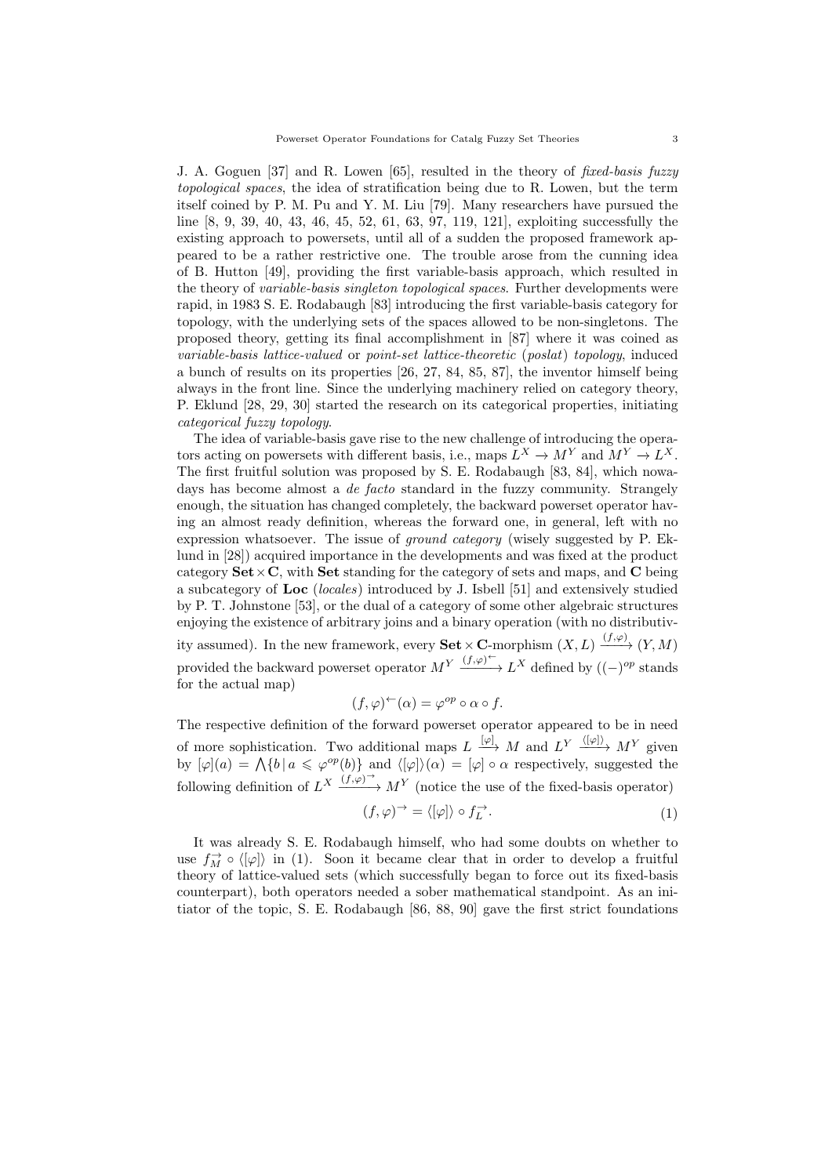J. A. Goguen [37] and R. Lowen [65], resulted in the theory of fixed-basis fuzzy topological spaces, the idea of stratification being due to R. Lowen, but the term itself coined by P. M. Pu and Y. M. Liu [79]. Many researchers have pursued the line [8, 9, 39, 40, 43, 46, 45, 52, 61, 63, 97, 119, 121], exploiting successfully the existing approach to powersets, until all of a sudden the proposed framework appeared to be a rather restrictive one. The trouble arose from the cunning idea of B. Hutton [49], providing the first variable-basis approach, which resulted in the theory of *variable-basis singleton topological spaces*. Further developments were rapid, in 1983 S. E. Rodabaugh [83] introducing the first variable-basis category for topology, with the underlying sets of the spaces allowed to be non-singletons. The proposed theory, getting its final accomplishment in [87] where it was coined as variable-basis lattice-valued or point-set lattice-theoretic (poslat) topology, induced a bunch of results on its properties [26, 27, 84, 85, 87], the inventor himself being always in the front line. Since the underlying machinery relied on category theory, P. Eklund [28, 29, 30] started the research on its categorical properties, initiating categorical fuzzy topology.

The idea of variable-basis gave rise to the new challenge of introducing the operators acting on powersets with different basis, i.e., maps  $L^X \to M^Y$  and  $M^Y \to L^X$ . The first fruitful solution was proposed by S. E. Rodabaugh [83, 84], which nowadays has become almost a *de facto* standard in the fuzzy community. Strangely enough, the situation has changed completely, the backward powerset operator having an almost ready definition, whereas the forward one, in general, left with no expression whatsoever. The issue of ground category (wisely suggested by P. Eklund in [28]) acquired importance in the developments and was fixed at the product category  $\textbf{Set} \times \textbf{C}$ , with  $\textbf{Set}$  standing for the category of sets and maps, and  $\textbf{C}$  being a subcategory of Loc (locales) introduced by J. Isbell [51] and extensively studied by P. T. Johnstone [53], or the dual of a category of some other algebraic structures enjoying the existence of arbitrary joins and a binary operation (with no distributivity assumed). In the new framework, every  $\textbf{Set} \times \mathbf{C}$ -morphism  $(X, L) \xrightarrow{(f, \varphi)} (Y, M)$ provided the backward powerset operator  $M^Y \xrightarrow{(f,\varphi)^{\leftarrow}} L^X$  defined by  $((-)^{op}$  stands for the actual map)

$$
(f, \varphi)^{\leftarrow}(\alpha) = \varphi^{op} \circ \alpha \circ f.
$$

The respective definition of the forward powerset operator appeared to be in need of more sophistication. Two additional maps  $L \xrightarrow{[\varphi]} M$  and  $L^Y \xrightarrow{\langle [\varphi] \rangle} M^Y$  given by  $[\varphi](a) = \bigwedge \{b \mid a \leq \varphi^{op}(b)\}\$  and  $\langle [\varphi] \rangle(\alpha) = [\varphi] \circ \alpha$  respectively, suggested the following definition of  $L^X \xrightarrow{(f,\varphi)^{\to}} M^Y$  (notice the use of the fixed-basis operator)

$$
(f, \varphi)^{\rightarrow} = \langle [\varphi] \rangle \circ f_L^{\rightarrow}.
$$
 (1)

It was already S. E. Rodabaugh himself, who had some doubts on whether to use  $f_M^{\rightarrow} \circ \langle [\varphi] \rangle$  in (1). Soon it became clear that in order to develop a fruitful theory of lattice-valued sets (which successfully began to force out its fixed-basis counterpart), both operators needed a sober mathematical standpoint. As an initiator of the topic, S. E. Rodabaugh [86, 88, 90] gave the first strict foundations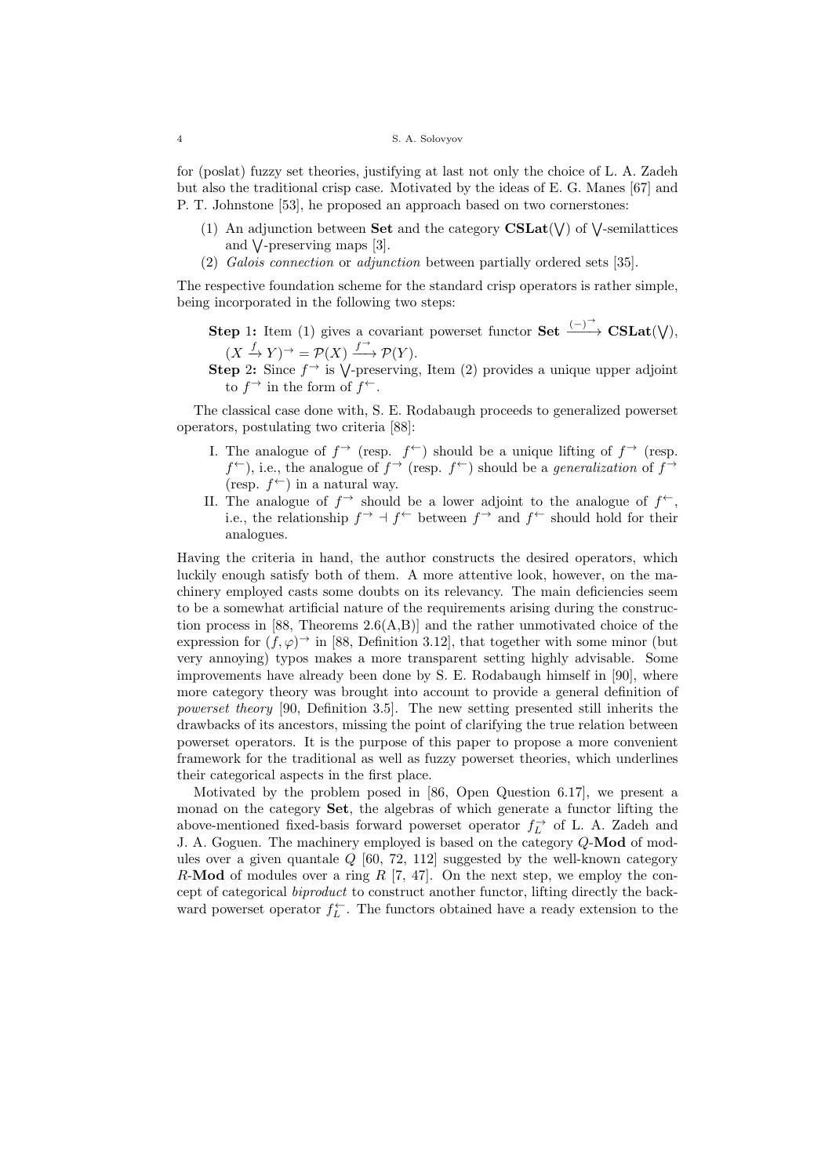for (poslat) fuzzy set theories, justifying at last not only the choice of L. A. Zadeh but also the traditional crisp case. Motivated by the ideas of E. G. Manes [67] and P. T. Johnstone [53], he proposed an approach based on two cornerstones:

- (1) An adjunction between **Set** and the category  $CSLat(V)$  of  $\vee$ -semilattices and  $\sqrt{\ }$ -preserving maps [3].
- (2) Galois connection or adjunction between partially ordered sets [35].

The respective foundation scheme for the standard crisp operators is rather simple, being incorporated in the following two steps:

- **Step 1:** Item (1) gives a covariant powerset functor **Set**  $\xrightarrow{(-)}$  **CSLat**( $\vee$ ),  $(X \xrightarrow{f} Y) \rightarrow = \mathcal{P}(X) \xrightarrow{f \rightarrow} \mathcal{P}(Y).$
- Step 2: Since  $f^{\rightarrow}$  is  $\vee$ -preserving, Item (2) provides a unique upper adjoint to  $f^{\rightarrow}$  in the form of  $f^{\leftarrow}$ .

The classical case done with, S. E. Rodabaugh proceeds to generalized powerset operators, postulating two criteria [88]:

- I. The analogue of  $f^{\rightarrow}$  (resp.  $f^{\leftarrow}$ ) should be a unique lifting of  $f^{\rightarrow}$  (resp.  $f^{\leftarrow}$ ), i.e., the analogue of  $f^{\rightarrow}$  (resp.  $f^{\leftarrow}$ ) should be a *generalization* of  $f^{\rightarrow}$ (resp.  $f^{\leftarrow}$ ) in a natural way.
- II. The analogue of  $f^{\rightarrow}$  should be a lower adjoint to the analogue of  $f^{\leftarrow}$ , i.e., the relationship  $f \to f \leftarrow$  between  $f \to$  and  $f \leftarrow$  should hold for their analogues.

Having the criteria in hand, the author constructs the desired operators, which luckily enough satisfy both of them. A more attentive look, however, on the machinery employed casts some doubts on its relevancy. The main deficiencies seem to be a somewhat artificial nature of the requirements arising during the construction process in  $[88,$  Theorems  $2.6(A,B)$ ] and the rather unmotivated choice of the expression for  $(f, \varphi)$ <sup> $\rightarrow$ </sup> in [88, Definition 3.12], that together with some minor (but very annoying) typos makes a more transparent setting highly advisable. Some improvements have already been done by S. E. Rodabaugh himself in [90], where more category theory was brought into account to provide a general definition of powerset theory [90, Definition 3.5]. The new setting presented still inherits the drawbacks of its ancestors, missing the point of clarifying the true relation between powerset operators. It is the purpose of this paper to propose a more convenient framework for the traditional as well as fuzzy powerset theories, which underlines their categorical aspects in the first place.

Motivated by the problem posed in [86, Open Question 6.17], we present a monad on the category Set, the algebras of which generate a functor lifting the above-mentioned fixed-basis forward powerset operator  $f^{\rightarrow}_L$  of L. A. Zadeh and J. A. Goguen. The machinery employed is based on the category  $Q$ -Mod of modules over a given quantale  $Q$  [60, 72, 112] suggested by the well-known category  $R$ -Mod of modules over a ring  $R$  [7, 47]. On the next step, we employ the concept of categorical biproduct to construct another functor, lifting directly the backward powerset operator  $f_L^{\leftarrow}$ . The functors obtained have a ready extension to the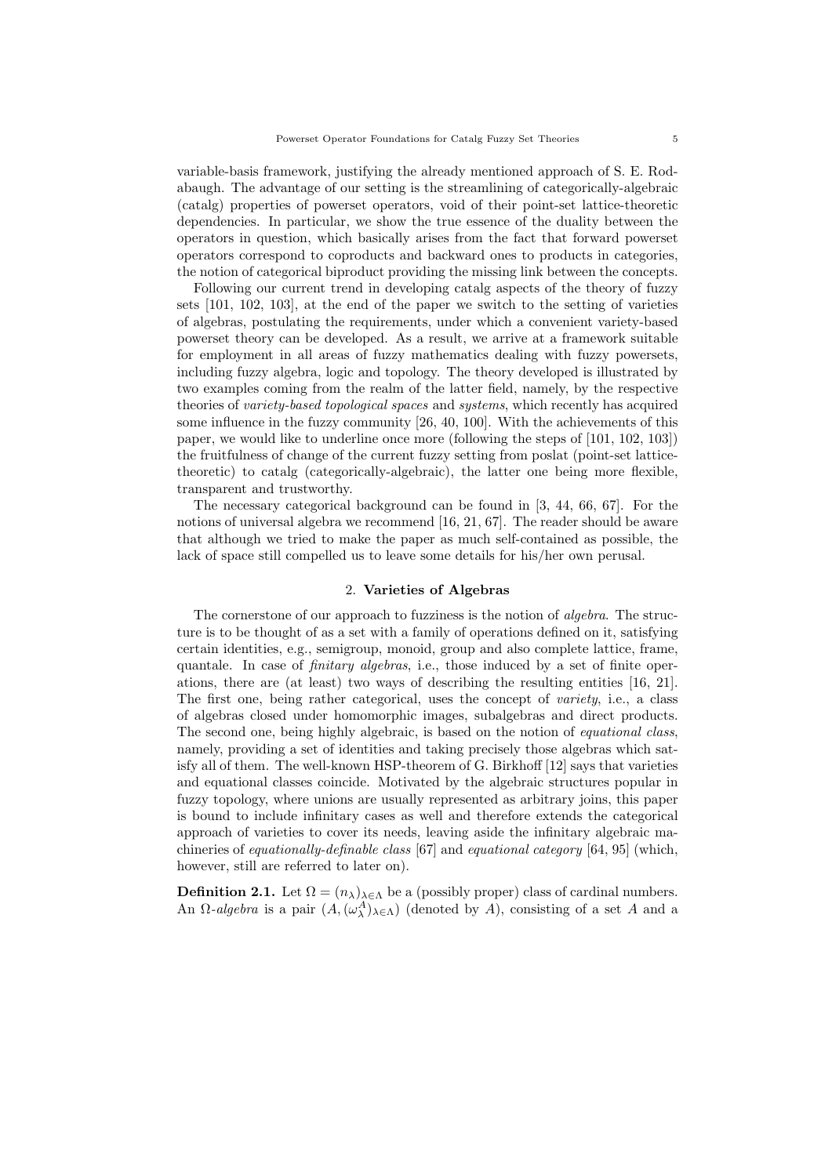variable-basis framework, justifying the already mentioned approach of S. E. Rodabaugh. The advantage of our setting is the streamlining of categorically-algebraic (catalg) properties of powerset operators, void of their point-set lattice-theoretic dependencies. In particular, we show the true essence of the duality between the operators in question, which basically arises from the fact that forward powerset operators correspond to coproducts and backward ones to products in categories, the notion of categorical biproduct providing the missing link between the concepts.

Following our current trend in developing catalg aspects of the theory of fuzzy sets [101, 102, 103], at the end of the paper we switch to the setting of varieties of algebras, postulating the requirements, under which a convenient variety-based powerset theory can be developed. As a result, we arrive at a framework suitable for employment in all areas of fuzzy mathematics dealing with fuzzy powersets, including fuzzy algebra, logic and topology. The theory developed is illustrated by two examples coming from the realm of the latter field, namely, by the respective theories of variety-based topological spaces and systems, which recently has acquired some influence in the fuzzy community [26, 40, 100]. With the achievements of this paper, we would like to underline once more (following the steps of [101, 102, 103]) the fruitfulness of change of the current fuzzy setting from poslat (point-set latticetheoretic) to catalg (categorically-algebraic), the latter one being more flexible, transparent and trustworthy.

The necessary categorical background can be found in [3, 44, 66, 67]. For the notions of universal algebra we recommend [16, 21, 67]. The reader should be aware that although we tried to make the paper as much self-contained as possible, the lack of space still compelled us to leave some details for his/her own perusal.

## 2. Varieties of Algebras

The cornerstone of our approach to fuzziness is the notion of algebra. The structure is to be thought of as a set with a family of operations defined on it, satisfying certain identities, e.g., semigroup, monoid, group and also complete lattice, frame, quantale. In case of *finitary algebras*, i.e., those induced by a set of finite operations, there are (at least) two ways of describing the resulting entities [16, 21]. The first one, being rather categorical, uses the concept of *variety*, i.e., a class of algebras closed under homomorphic images, subalgebras and direct products. The second one, being highly algebraic, is based on the notion of *equational class*, namely, providing a set of identities and taking precisely those algebras which satisfy all of them. The well-known HSP-theorem of G. Birkhoff [12] says that varieties and equational classes coincide. Motivated by the algebraic structures popular in fuzzy topology, where unions are usually represented as arbitrary joins, this paper is bound to include infinitary cases as well and therefore extends the categorical approach of varieties to cover its needs, leaving aside the infinitary algebraic machineries of *equationally-definable class* [67] and *equational category* [64, 95] (which, however, still are referred to later on).

**Definition 2.1.** Let  $\Omega = (n_{\lambda})_{\lambda \in \Lambda}$  be a (possibly proper) class of cardinal numbers. An  $\Omega$ -algebra is a pair  $(A, (\omega_\lambda^A)_{\lambda \in \Lambda})$  (denoted by A), consisting of a set A and a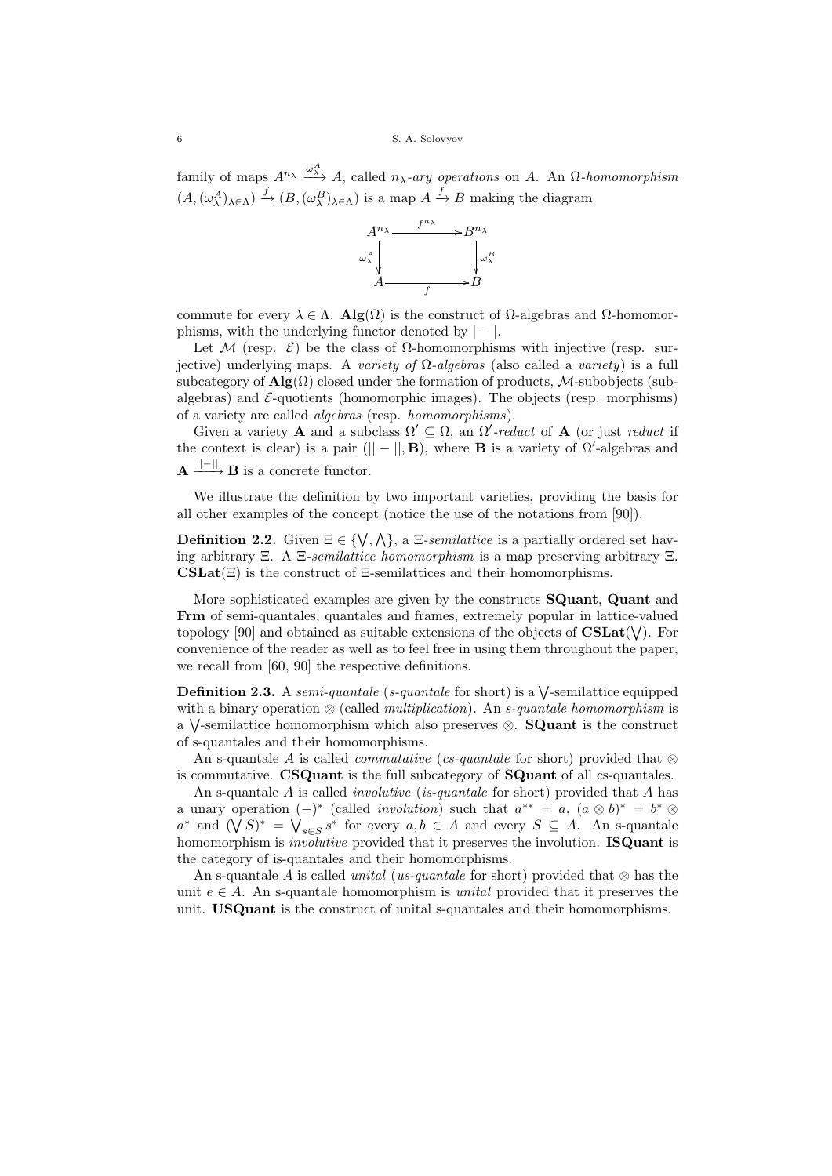family of maps  $A^{n_{\lambda}} \xrightarrow{\omega_{\Lambda}^A} A$ , called  $n_{\lambda}$ -ary operations on A. An  $\Omega$ -homomorphism  $(A, (\omega_\lambda^A)_{\lambda \in \Lambda}) \xrightarrow{f} (B, (\omega_\lambda^B)_{\lambda \in \Lambda})$  is a map  $A \xrightarrow{f} B$  making the diagram



commute for every  $\lambda \in \Lambda$ . Alg( $\Omega$ ) is the construct of  $\Omega$ -algebras and  $\Omega$ -homomorphisms, with the underlying functor denoted by  $| - |$ .

Let M (resp.  $\mathcal{E}$ ) be the class of  $\Omega$ -homomorphisms with injective (resp. surjective) underlying maps. A variety of  $\Omega$ -algebras (also called a variety) is a full subcategory of  $\mathbf{Alg}(\Omega)$  closed under the formation of products, M-subobjects (subalgebras) and  $\mathcal{E}\text{-quotients}$  (homomorphic images). The objects (resp. morphisms) of a variety are called algebras (resp. homomorphisms).

Given a variety **A** and a subclass  $\Omega' \subseteq \Omega$ , an  $\Omega'$ -reduct of **A** (or just reduct if the context is clear) is a pair ( $|| - ||$ , **B**), where **B** is a variety of  $\Omega'$ -algebras and  ${\bf A} \xrightarrow{||-||} {\bf B}$  is a concrete functor.

We illustrate the definition by two important varieties, providing the basis for all other examples of the concept (notice the use of the notations from [90]).

**Definition 2.2.** Given  $\Xi \in \{ \vee, \wedge \}$ , a  $\Xi$ -semilattice is a partially ordered set having arbitrary Ξ. A Ξ-semilattice homomorphism is a map preserving arbitrary Ξ.  $\text{CSLat}(\Xi)$  is the construct of  $\Xi$ -semilattices and their homomorphisms.

More sophisticated examples are given by the constructs SQuant, Quant and Frm of semi-quantales, quantales and frames, extremely popular in lattice-valued topology [90] and obtained as suitable extensions of the objects of  $\text{CSLat}(\mathsf{V})$ . For convenience of the reader as well as to feel free in using them throughout the paper, we recall from [60, 90] the respective definitions.

**Definition 2.3.** A semi-quantale (s-quantale for short) is a  $\sqrt{\ }$ -semilattice equipped with a binary operation  $\otimes$  (called *multiplication*). An *s*-quantale homomorphism is a  $\sqrt{\ }$ -semilattice homomorphism which also preserves  $\otimes$ . **SQuant** is the construct of s-quantales and their homomorphisms.

An s-quantale A is called *commutative* (*cs-quantale* for short) provided that ⊗ is commutative. CSQuant is the full subcategory of SQuant of all cs-quantales.

An s-quantale  $A$  is called *involutive* (*is-quantale* for short) provided that  $A$  has a unary operation  $(-)^*$  (called *involution*) such that  $a^{**} = a$ ,  $(a \otimes b)^* = b^* \otimes$  $a^*$  and  $(\bigvee S)^* = \bigvee_{s \in S} s^*$  for every  $a, b \in A$  and every  $S \subseteq A$ . An s-quantale homomorphism is *involutive* provided that it preserves the involution. **ISQuant** is the category of is-quantales and their homomorphisms.

An s-quantale A is called *unital* (us-quantale for short) provided that  $\otimes$  has the unit  $e \in A$ . An s-quantale homomorphism is unital provided that it preserves the unit. USQuant is the construct of unital s-quantales and their homomorphisms.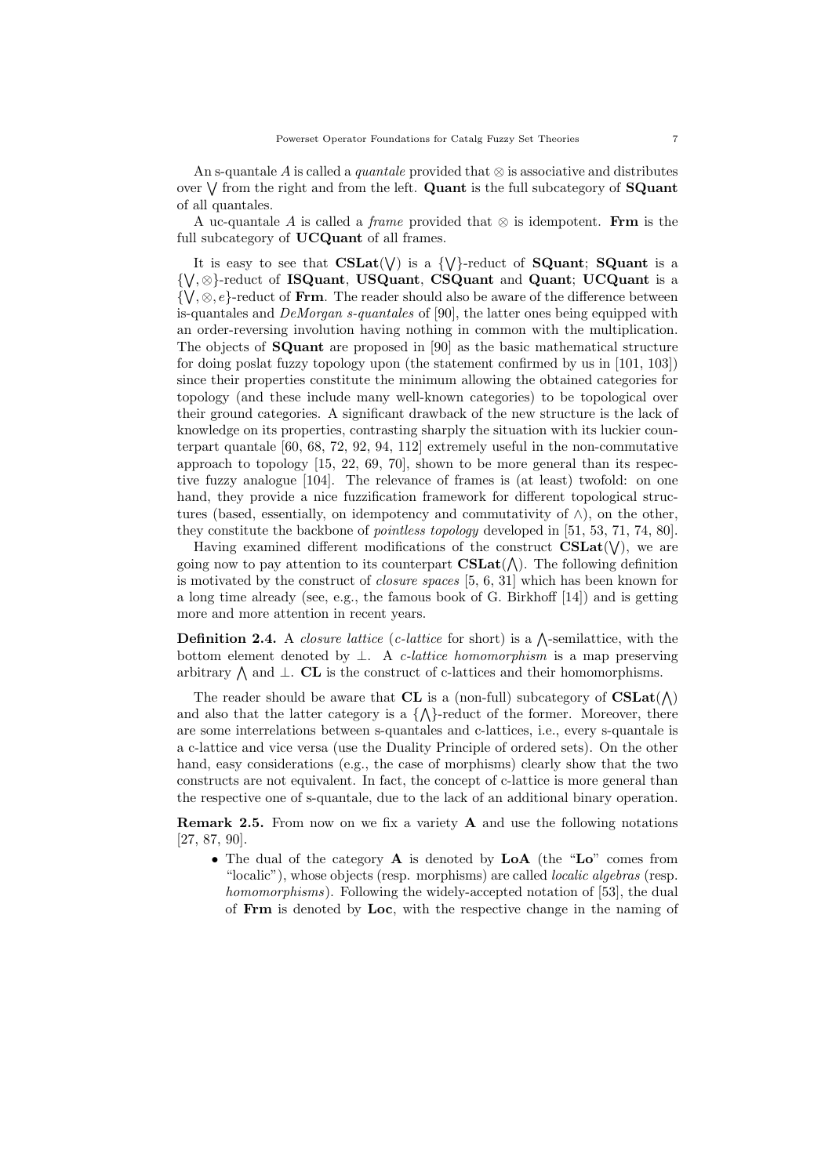An s-quantale A is called a *quantale* provided that  $\otimes$  is associative and distributes over  $\vee$  from the right and from the left. Quant is the full subcategory of **SQuant** of all quantales.

A uc-quantale A is called a frame provided that  $\otimes$  is idempotent. Frm is the full subcategory of **UCQuant** of all frames.

It is easy to see that  $CSLat(V)$  is a  $\{V\}$ -reduct of **SQuant**; **SQuant** is a { ⋁ , ⊗}-reduct of ISQuant, USQuant, CSQuant and Quant; UCQuant is a  $\{\forall, \otimes, e\}$ -reduct of Frm. The reader should also be aware of the difference between is-quantales and DeMorgan s-quantales of [90], the latter ones being equipped with an order-reversing involution having nothing in common with the multiplication. The objects of SQuant are proposed in [90] as the basic mathematical structure for doing poslat fuzzy topology upon (the statement confirmed by us in [101, 103]) since their properties constitute the minimum allowing the obtained categories for topology (and these include many well-known categories) to be topological over their ground categories. A significant drawback of the new structure is the lack of knowledge on its properties, contrasting sharply the situation with its luckier counterpart quantale [60, 68, 72, 92, 94, 112] extremely useful in the non-commutative approach to topology [15, 22, 69, 70], shown to be more general than its respective fuzzy analogue [104]. The relevance of frames is (at least) twofold: on one hand, they provide a nice fuzzification framework for different topological structures (based, essentially, on idempotency and commutativity of  $\wedge$ ), on the other, they constitute the backbone of pointless topology developed in [51, 53, 71, 74, 80].

Having examined different modifications of the construct  $CSLat(V)$ , we are going now to pay attention to its counterpart  $\text{CSLat}(\wedge)$ . The following definition is motivated by the construct of closure spaces [5, 6, 31] which has been known for a long time already (see, e.g., the famous book of G. Birkhoff [14]) and is getting more and more attention in recent years.

**Definition 2.4.** A *closure lattice* (*c*-lattice for short) is a  $\Lambda$ -semilattice, with the bottom element denoted by  $\perp$ . A *c*-lattice homomorphism is a map preserving arbitrary  $\wedge$  and  $\perp$ . CL is the construct of c-lattices and their homomorphisms.

The reader should be aware that CL is a (non-full) subcategory of  $CSLat(\wedge)$ and also that the latter category is a  $\{\wedge\}$ -reduct of the former. Moreover, there are some interrelations between s-quantales and c-lattices, i.e., every s-quantale is a c-lattice and vice versa (use the Duality Principle of ordered sets). On the other hand, easy considerations (e.g., the case of morphisms) clearly show that the two constructs are not equivalent. In fact, the concept of c-lattice is more general than the respective one of s-quantale, due to the lack of an additional binary operation.

Remark 2.5. From now on we fix a variety A and use the following notations [27, 87, 90].

∙ The dual of the category A is denoted by LoA (the "Lo" comes from "localic"), whose objects (resp. morphisms) are called *localic algebras* (resp. homomorphisms). Following the widely-accepted notation of [53], the dual of Frm is denoted by Loc, with the respective change in the naming of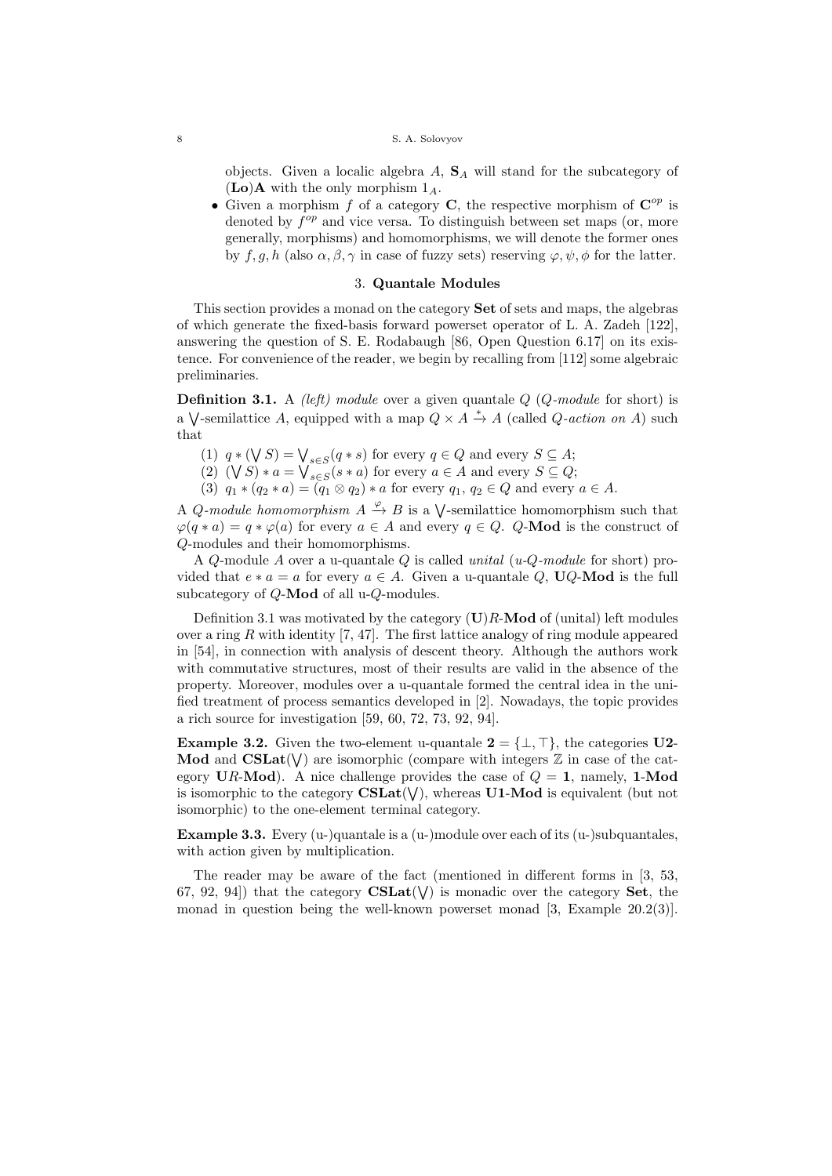objects. Given a localic algebra  $A$ ,  $S_A$  will stand for the subcategory of  $(Lo)$ **A** with the only morphism  $1_A$ .

• Given a morphism f of a category C, the respective morphism of  $\mathbb{C}^{op}$  is denoted by  $f^{op}$  and vice versa. To distinguish between set maps (or, more generally, morphisms) and homomorphisms, we will denote the former ones by  $f, g, h$  (also  $\alpha, \beta, \gamma$  in case of fuzzy sets) reserving  $\varphi, \psi, \phi$  for the latter.

# 3. Quantale Modules

This section provides a monad on the category Set of sets and maps, the algebras of which generate the fixed-basis forward powerset operator of L. A. Zadeh [122], answering the question of S. E. Rodabaugh [86, Open Question 6.17] on its existence. For convenience of the reader, we begin by recalling from [112] some algebraic preliminaries.

**Definition 3.1.** A *(left)* module over a given quantale  $Q$  ( $Q$ -module for short) is a  $\bigvee$ -semilattice A, equipped with a map  $Q \times A \stackrel{*}{\to} A$  (called Q-action on A) such that

- (1)  $q * (\bigvee S) = \bigvee_{s \in S} (q * s)$  for every  $q \in Q$  and every  $S \subseteq A$ ;
- (2)  $(\forall S) * a = \bigvee_{s \in S} (s * a)$  for every  $a \in A$  and every  $S \subseteq Q$ ;
- (3)  $q_1 * (q_2 * a) = (q_1 \otimes q_2) * a$  for every  $q_1, q_2 \in Q$  and every  $a \in A$ .

A *Q*-module homomorphism  $A \xrightarrow{\varphi} B$  is a  $\bigvee$ -semilattice homomorphism such that  $\varphi(q*a) = q*\varphi(a)$  for every  $a \in A$  and every  $q \in Q$ . Q-Mod is the construct of 𝑄-modules and their homomorphisms.

A *Q*-module A over a u-quantale *Q* is called *unital* (*u-Q-module* for short) provided that  $e * a = a$  for every  $a \in A$ . Given a u-quantale Q, UQ-Mod is the full subcategory of  $Q$ -Mod of all u- $Q$ -modules.

Definition 3.1 was motivated by the category  $(U)R$ -Mod of (unital) left modules over a ring  $R$  with identity [7, 47]. The first lattice analogy of ring module appeared in [54], in connection with analysis of descent theory. Although the authors work with commutative structures, most of their results are valid in the absence of the property. Moreover, modules over a u-quantale formed the central idea in the unified treatment of process semantics developed in [2]. Nowadays, the topic provides a rich source for investigation [59, 60, 72, 73, 92, 94].

**Example 3.2.** Given the two-element u-quantale  $2 = \{\perp, \top\}$ , the categories U2-Mod and  $CSLat(V)$  are isomorphic (compare with integers  $\mathbb Z$  in case of the category UR-Mod). A nice challenge provides the case of  $Q = 1$ , namely, 1-Mod is isomorphic to the category  $\mathbf{CSLat}(\mathsf{V})$ , whereas  $\mathbf{U1}\text{-}\mathbf{Mod}$  is equivalent (but not isomorphic) to the one-element terminal category.

**Example 3.3.** Every (u-)quantale is a (u-)module over each of its (u-)subquantales, with action given by multiplication.

The reader may be aware of the fact (mentioned in different forms in [3, 53, 67, 92, 94) that the category  $\text{CSLat}(\nabla)$  is monadic over the category Set, the monad in question being the well-known powerset monad [3, Example 20.2(3)].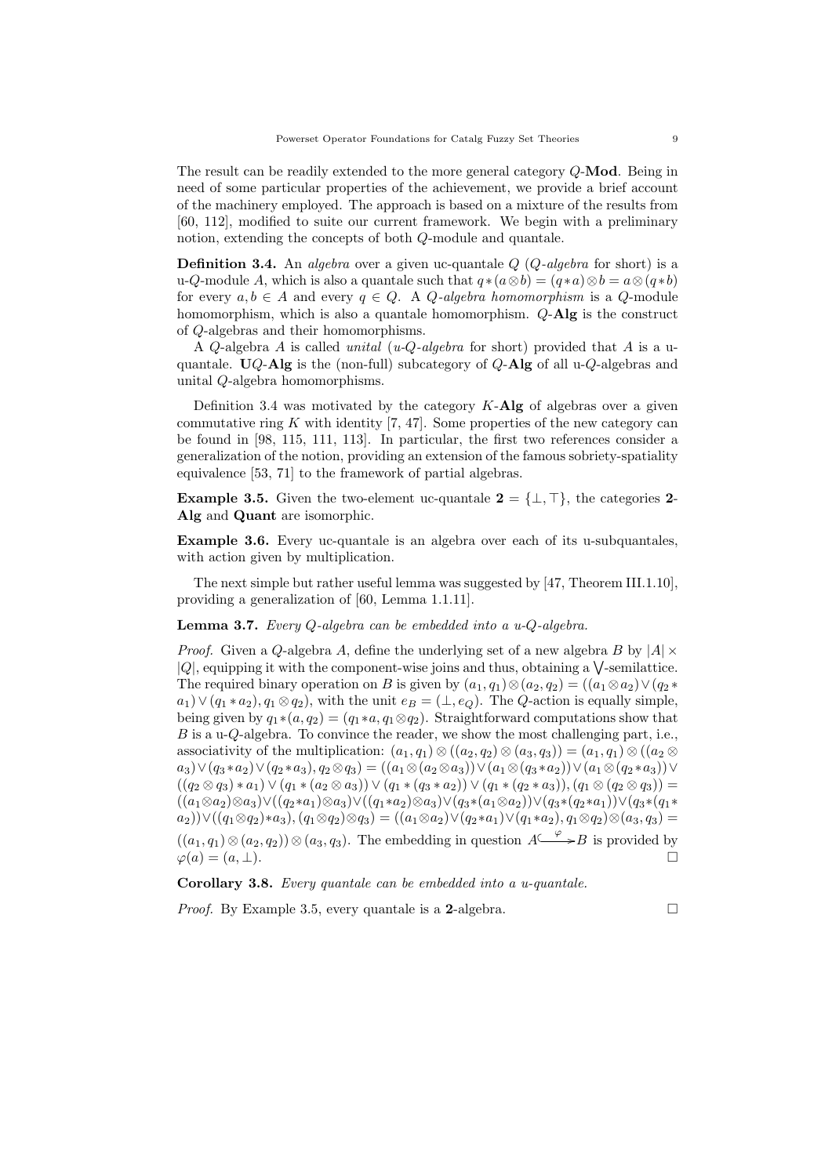The result can be readily extended to the more general category  $Q$ -Mod. Being in need of some particular properties of the achievement, we provide a brief account of the machinery employed. The approach is based on a mixture of the results from [60, 112], modified to suite our current framework. We begin with a preliminary notion, extending the concepts of both *Q*-module and quantale.

**Definition 3.4.** An *algebra* over a given uc-quantale  $Q$  ( $Q$ -algebra for short) is a u-Q-module A, which is also a quantale such that  $q * (a \otimes b) = (q * a) \otimes b = a \otimes (q * b)$ for every  $a, b \in A$  and every  $q \in Q$ . A *Q*-algebra homomorphism is a *Q*-module homomorphism, which is also a quantale homomorphism.  $Q$ -Alg is the construct of Q-algebras and their homomorphisms.

A *Q*-algebra A is called unital (u-*Q*-algebra for short) provided that A is a uquantale.  $UQ$ -Alg is the (non-full) subcategory of  $Q$ -Alg of all u- $Q$ -algebras and unital  $Q$ -algebra homomorphisms.

Definition 3.4 was motivated by the category  $K$ -Alg of algebras over a given commutative ring  $K$  with identity [7, 47]. Some properties of the new category can be found in [98, 115, 111, 113]. In particular, the first two references consider a generalization of the notion, providing an extension of the famous sobriety-spatiality equivalence [53, 71] to the framework of partial algebras.

**Example 3.5.** Given the two-element uc-quantale  $2 = \{\perp, \top\}$ , the categories 2-Alg and Quant are isomorphic.

Example 3.6. Every uc-quantale is an algebra over each of its u-subquantales, with action given by multiplication.

The next simple but rather useful lemma was suggested by [47, Theorem III.1.10], providing a generalization of [60, Lemma 1.1.11].

**Lemma 3.7.** Every  $Q$ -algebra can be embedded into a u- $Q$ -algebra.

*Proof.* Given a Q-algebra A, define the underlying set of a new algebra B by  $|A| \times$  $|Q|$ , equipping it with the component-wise joins and thus, obtaining a  $\sqrt{\ }$ -semilattice. The required binary operation on B is given by  $(a_1, q_1) \otimes (a_2, q_2) = ((a_1 \otimes a_2) \vee (q_2 * q_2))$  $a_1$ )  $\vee$   $(q_1 * a_2), q_1 \otimes q_2$ , with the unit  $e_B = (\perp, e_O)$ . The Q-action is equally simple, being given by  $q_1 * (a, q_2) = (q_1 * a, q_1 \otimes q_2)$ . Straightforward computations show that  $B$  is a u- $Q$ -algebra. To convince the reader, we show the most challenging part, i.e., associativity of the multiplication:  $(a_1, q_1) \otimes ((a_2, q_2) \otimes (a_3, q_3)) = (a_1, q_1) \otimes ((a_2 \otimes$  $(a_3) \vee (q_3 * a_2) \vee (q_2 * a_3), q_2 \otimes q_3) = ((a_1 \otimes (a_2 \otimes a_3)) \vee (a_1 \otimes (q_3 * a_2)) \vee (a_1 \otimes (q_2 * a_3)) \vee (a_2 \otimes a_3))$  $((q_2 \otimes q_3) * a_1) \vee (q_1 * (a_2 \otimes a_3)) \vee (q_1 * (q_3 * a_2)) \vee (q_1 * (q_2 * a_3)), (q_1 \otimes (q_2 \otimes q_3)) =$  $((a_1 \otimes a_2) \otimes a_3) \vee ((q_2*a_1) \otimes a_3) \vee ((q_1*a_2) \otimes a_3) \vee (q_3*(a_1 \otimes a_2)) \vee (q_3*(q_2*a_1)) \vee (q_3*(q_1*a_2))$  $(a_2)\vee((q_1\otimes q_2)*a_3), (q_1\otimes q_2)\otimes q_3) = ((a_1\otimes a_2)\vee (q_2*a_1)\vee (q_1*a_2), q_1\otimes q_2)\otimes (a_3,q_3) =$  $((a_1, q_1) \otimes (a_2, q_2)) \otimes (a_3, q_3)$ . The embedding in question  $A \xrightarrow{\varphi} B$  is provided by

 $\varphi(a) = (a, \perp).$ 

Corollary 3.8. Every quantale can be embedded into a u-quantale.

*Proof.* By Example 3.5, every quantale is a 2-algebra.  $\Box$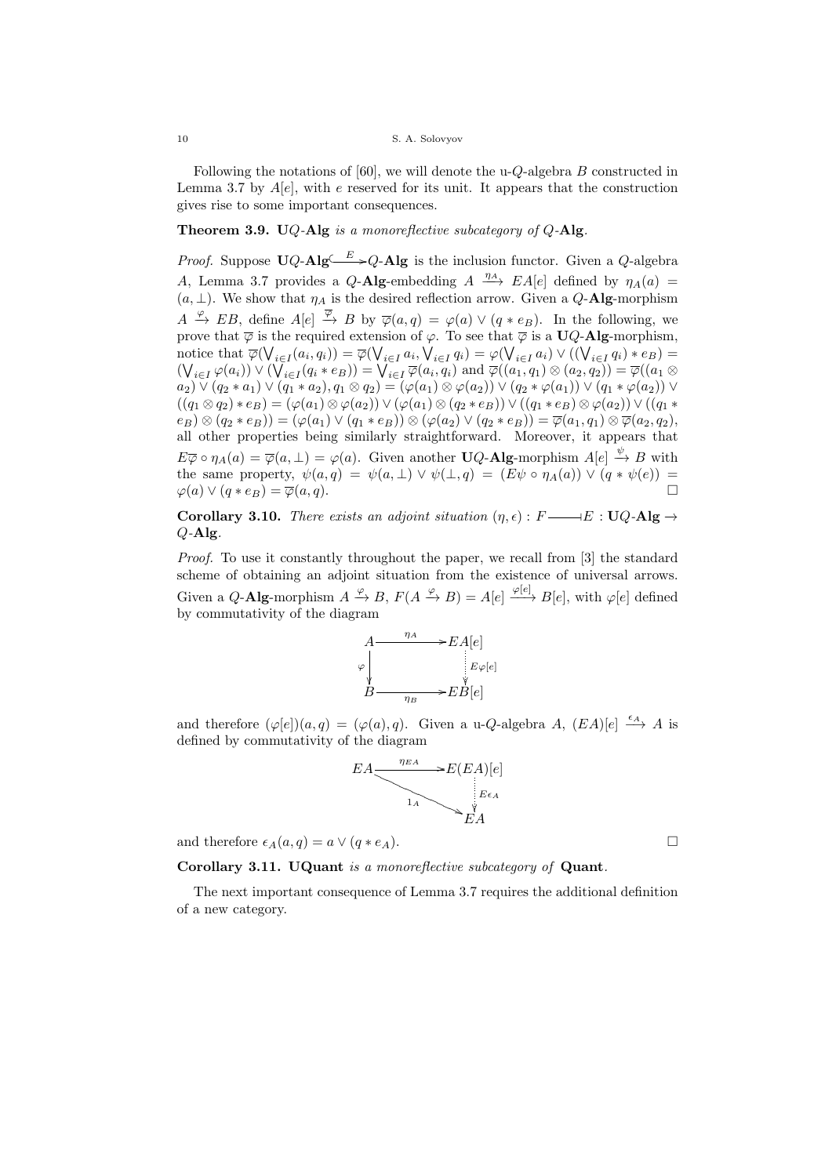Following the notations of [60], we will denote the u-*Q*-algebra  $B$  constructed in Lemma 3.7 by  $A[e]$ , with e reserved for its unit. It appears that the construction gives rise to some important consequences.

# Theorem 3.9. UQ-Alg is a monoreflective subcategory of  $Q$ -Alg.

*Proof.* Suppose  $\mathbf{U}Q\text{-}\mathbf{Alg} \longrightarrow Q\text{-}\mathbf{Alg}$  is the inclusion functor. Given a Q-algebra A, Lemma 3.7 provides a Q-Alg-embedding  $A \xrightarrow{\eta_A} EA[e]$  defined by  $\eta_A(a)$  $(a, \perp)$ . We show that  $\eta_A$  is the desired reflection arrow. Given a Q-Alg-morphism  $A \xrightarrow{\varphi} EB$ , define  $A[e] \xrightarrow{\overline{\varphi}} B$  by  $\overline{\varphi}(a,q) = \varphi(a) \vee (q * e_B)$ . In the following, we prove that  $\overline{\varphi}$  is the required extension of  $\varphi$ . To see that  $\overline{\varphi}$  is a UQ-Alg-morphism, notice that  $\overline{\varphi}(\bigvee_{i\in I}(a_i,q_i)) = \overline{\varphi}(\bigvee_{i\in I}q_i) = \varphi(\bigvee_{i\in I}q_i) \vee ((\bigvee_{i\in I}q_i)*e_B) =$  $(\bigvee_{i \in I} \varphi(a_i)) \vee (\bigvee_{i \in I} (q_i * e_B)) = \bigvee_{i \in I} \overline{\varphi}(a_i, q_i)$  and  $\overline{\varphi}((a_1, q_1) \otimes (a_2, q_2)) = \overline{\varphi}((a_1 \otimes a_2)$  $(a_2) \vee (q_2 * a_1) \vee (q_1 * a_2), q_1 \otimes q_2) = (\varphi(a_1) \otimes \varphi(a_2)) \vee (q_2 * \varphi(a_1)) \vee (q_1 * \varphi(a_2)) \vee$  $((q_1 \otimes q_2) * e_B) = (\varphi(a_1) \otimes \varphi(a_2)) \vee (\varphi(a_1) \otimes (q_2 * e_B)) \vee ((q_1 * e_B) \otimes \varphi(a_2)) \vee ((q_1 * e_B) \otimes \varphi(a_2))$  $(e_B) \otimes (q_2 * e_B)) = (\varphi(a_1) \vee (q_1 * e_B)) \otimes (\varphi(a_2) \vee (q_2 * e_B)) = \overline{\varphi(a_1, q_1)} \otimes \overline{\varphi(a_2, q_2)},$ all other properties being similarly straightforward. Moreover, it appears that  $E\overline{\varphi} \circ \eta_A(a) = \overline{\varphi}(a, \perp) = \varphi(a)$ . Given another **UQ-Alg-**morphism  $A[e] \stackrel{\psi}{\to} B$  with the same property,  $\psi(a,q) = \psi(a,\perp) \vee \psi(\perp,q) = (E\psi \circ \eta_A(a)) \vee (q * \psi(e)) =$  $\varphi(a) \vee (q * e_B) = \overline{\varphi}(a, q).$ 

Corollary 3.10. There exists an adjoint situation  $(\eta, \epsilon): F \longrightarrow E : UQ$ -Alg  $\rightarrow$  $Q-A\mathbf{lg}$ .

Proof. To use it constantly throughout the paper, we recall from [3] the standard scheme of obtaining an adjoint situation from the existence of universal arrows. Given a Q-Alg-morphism  $A \xrightarrow{\varphi} B$ ,  $F(A \xrightarrow{\varphi} B) = A[e] \xrightarrow{\varphi[e]} B[e]$ , with  $\varphi[e]$  defined by commutativity of the diagram



and therefore  $(\varphi[e])(a, q) = (\varphi(a), q)$ . Given a u-*Q*-algebra *A*,  $(EA)[e] \xrightarrow{\epsilon_A} A$  is defined by commutativity of the diagram

$$
EA \xrightarrow{\eta_{EA}} E(EA)[e]
$$
  
\n
$$
E_{A}
$$
  
\n
$$
E_{A}
$$
  
\n
$$
E_{A}
$$
  
\n
$$
E_{A}
$$

and therefore  $\epsilon_A(a,q) = a \vee (q * e_A)$ .

Corollary 3.11. UQuant is a monoreflective subcategory of Quant.

The next important consequence of Lemma 3.7 requires the additional definition of a new category.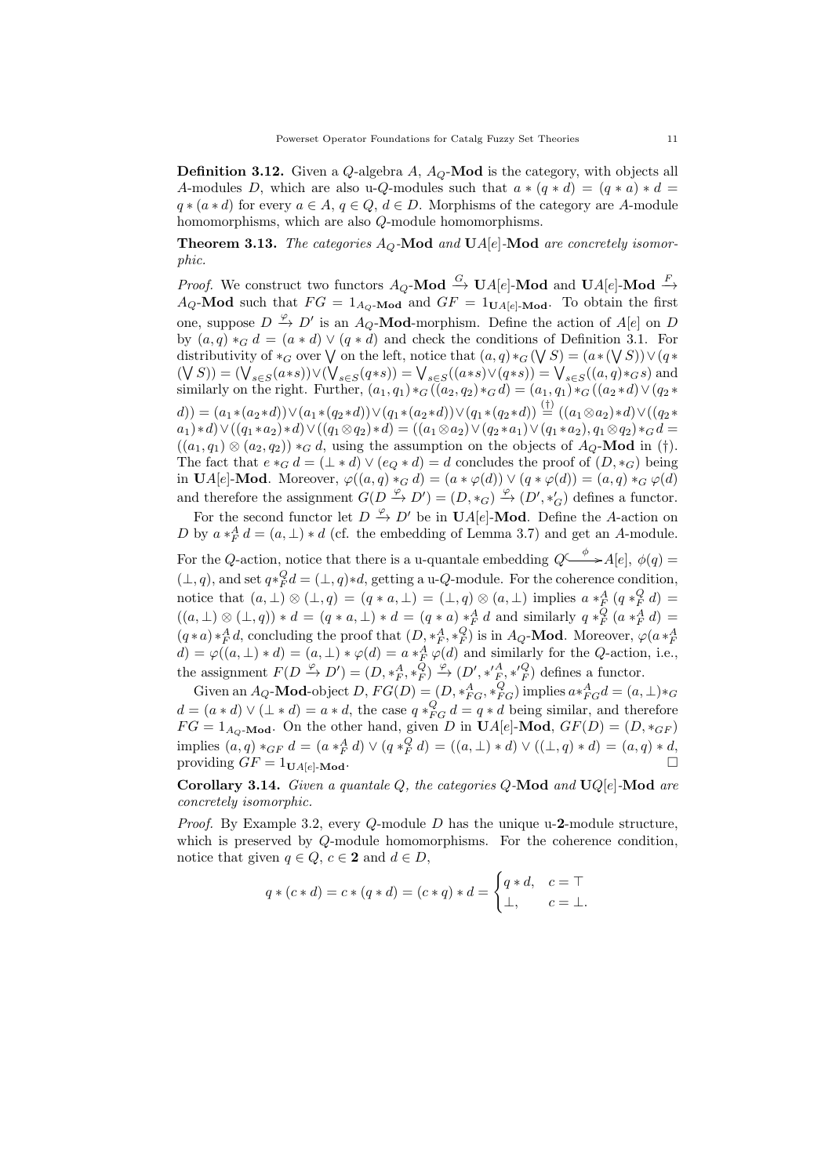**Definition 3.12.** Given a  $Q$ -algebra  $A$ ,  $A_Q$ -**Mod** is the category, with objects all A-modules D, which are also u-Q-modules such that  $a * (q * d) = (q * a) * d$  $q * (a * d)$  for every  $a \in A$ ,  $q \in Q$ ,  $d \in D$ . Morphisms of the category are A-module homomorphisms, which are also  $Q$ -module homomorphisms.

**Theorem 3.13.** The categories  $A_Q$ -Mod and UA[e]-Mod are concretely isomorphic.

*Proof.* We construct two functors  $A_Q$ -**Mod**  $\stackrel{G}{\rightarrow}$  **U** $A[e]$ -**Mod** and **U** $A[e]$ -**Mod**  $\stackrel{F}{\rightarrow}$  $A_Q$ -Mod such that  $FG = 1_{A_Q}$ -Mod and  $GF = 1_{U_A[e]}$ -Mod. To obtain the first one, suppose  $D \xrightarrow{\varphi} D'$  is an  $A_Q$ -**Mod**-morphism. Define the action of  $A[e]$  on  $D$ by  $(a, q) *_{G} d = (a * d) \vee (q * d)$  and check the conditions of Definition 3.1. For distributivity of  $*_G$  over  $\bigvee$  on the left, notice that  $(a, q) *_{G}(\bigvee S) = (a * (\bigvee S)) \vee (q *$  $(\forall S) = (\bigvee_{s \in S}(a*s)) \vee (\bigvee_{s \in S}(q*s)) = \bigvee_{s \in S}((a*s) \vee (q*s)) = \bigvee_{s \in S}((a,q)*_G s)$  and similarly on the right. Further,  $(a_1, q_1) *_{G} ((a_2, q_2) *_{G} d) = (a_1, q_1) *_{G} ((a_2 * d) \vee (q_2 *$  $\mathcal{L}(d)) = (a_1 * (a_2 * d)) \vee (a_1 * (a_2 * d)) \vee (a_1 * (a_2 * d)) \vee (a_1 * (a_2 * d)) \stackrel{(\dagger)}{=} ((a_1 \otimes a_2) * d) \vee ((a_2 * d))$  $(a_1)*d \vee ((q_1*a_2)*d) \vee ((q_1\otimes q_2)*d) = ((a_1\otimes a_2)\vee (q_2*a_1)\vee (q_1*a_2), q_1\otimes q_2)*_G d =$  $((a_1, q_1) \otimes (a_2, q_2)) *_{G} d$ , using the assumption on the objects of  $A_Q$ -Mod in (†). The fact that  $e *_{G} d = (\perp * d) \vee (e_{Q} * d) = d$  concludes the proof of  $(D, *_{G})$  being in UA[e]-Mod. Moreover,  $\varphi((a,q) *_{G} d) = (a * \varphi(d)) \vee (q * \varphi(d)) = (a,q) *_{G} \varphi(d)$ and therefore the assignment  $G(D \stackrel{\varphi}{\to} D') = (D, *_G) \stackrel{\varphi}{\to} (D', *_G')$  defines a functor.

For the second functor let  $D \stackrel{\varphi}{\to} D'$  be in  $\mathbf{U}A[e]$ -**Mod**. Define the A-action on D by  $a *^A_F d = (a, \perp) * d$  (cf. the embedding of Lemma 3.7) and get an A-module.

For the Q-action, notice that there is a u-quantale embedding  $Q \xrightarrow{\phi} A[e], \phi(q) =$  $(\perp, q)$ , and set  $q *_{F}^{Q} d = (\perp, q) * d$ , getting a u-*Q*-module. For the coherence condition, notice that  $(a, \perp) \otimes (\perp, q) = (q * a, \perp) = (\perp, q) \otimes (a, \perp)$  implies  $a *^A_F (q *^Q_F d) =$  $((a, \perp) \otimes (\perp, q)) * d = (q * a, \perp) * d = (q * a) *^A_F d$  and similarly  $q *^Q_F (a *^A_F d) =$  $(q*a)*^A_F d$ , concluding the proof that  $(D, *^A_F, *^Q_F)$  is in  $A_Q$ -Mod. Moreover,  $\varphi(a*^A_F)$  $(q * u) *_{F} u$ , concluding the proof that  $(D, *_{F}, *_{F})$  is in  $AQ$ -**widd**. Moreover,  $\varphi(u *_{F} d) = \varphi((a, \perp) * d) = (a, \perp) * \varphi(d) = a *_{F}^{A} \varphi(d)$  and similarly for the *Q*-action, i.e., the assignment  $F(D \xrightarrow{\varphi} D') = (D, *^A_F, *^{\widehat{Q}}_F) \xrightarrow{\varphi} (D', *'^A_F, *'^{\widehat{Q}}_F)$  defines a functor.

Given an  $A_Q$ -**Mod**-object  $D$ ,  $FG(D) = (D, *_{FG}^A, *_{FG}^Q)$  implies  $a *_{FG}^A d = (a, \perp) *_{G}$  $d = (a * d) \vee (\perp * d) = a * d$ , the case  $q *_{FG}^Q d = q * d$  being similar, and therefore  $FG = 1_{A_Q\text{-Mod}}$ . On the other hand, given D in  $\text{U}_A[e]\text{-Mod}$ ,  $GF(D) = (D, *_{GF})$ implies  $(a, q) *_{GF} d = (a *_{F}^{A} d) \vee (q *_{F}^{Q} d) = ((a, \perp) * d) \vee ((\perp, q) * d) = (a, q) * d,$ providing  $GF = 1_{\mathbf{U} A[e] - \mathbf{Mod}}$ .

Corollary 3.14. Given a quantale  $Q$ , the categories  $Q$ -Mod and U $Q[e]$ -Mod are concretely isomorphic.

*Proof.* By Example 3.2, every  $Q$ -module  $D$  has the unique u-2-module structure, which is preserved by  $Q$ -module homomorphisms. For the coherence condition, notice that given  $q \in Q$ ,  $c \in \mathbf{2}$  and  $d \in D$ ,

$$
q * (c * d) = c * (q * d) = (c * q) * d = \begin{cases} q * d, & c = \top \\ \bot, & c = \bot. \end{cases}
$$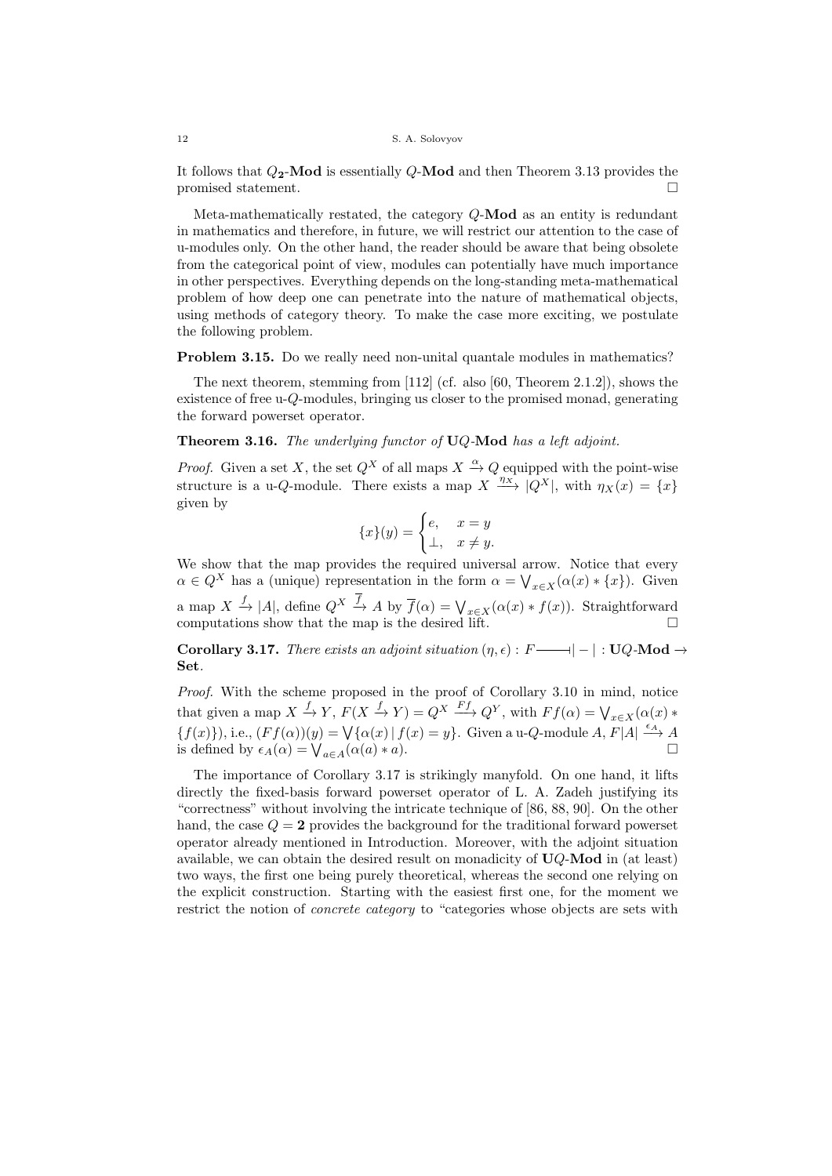It follows that  $Q_2$ -Mod is essentially  $Q$ -Mod and then Theorem 3.13 provides the promised statement.

Meta-mathematically restated, the category  $Q$ -**Mod** as an entity is redundant in mathematics and therefore, in future, we will restrict our attention to the case of u-modules only. On the other hand, the reader should be aware that being obsolete from the categorical point of view, modules can potentially have much importance in other perspectives. Everything depends on the long-standing meta-mathematical problem of how deep one can penetrate into the nature of mathematical objects, using methods of category theory. To make the case more exciting, we postulate the following problem.

**Problem 3.15.** Do we really need non-unital quantale modules in mathematics?

The next theorem, stemming from [112] (cf. also [60, Theorem 2.1.2]), shows the existence of free  $u-Q$ -modules, bringing us closer to the promised monad, generating the forward powerset operator.

**Theorem 3.16.** The underlying functor of  $UQ$ -Mod has a left adjoint.

*Proof.* Given a set X, the set  $Q^X$  of all maps  $X \stackrel{\alpha}{\rightarrow} Q$  equipped with the point-wise structure is a u-*Q*-module. There exists a map  $X \xrightarrow{\eta_X} |Q^X|$ , with  $\eta_X(x) = \{x\}$ given by

$$
\{x\}(y) = \begin{cases} e, & x = y \\ \perp, & x \neq y. \end{cases}
$$

We show that the map provides the required universal arrow. Notice that every  $\alpha \in Q^X$  has a (unique) representation in the form  $\alpha = \bigvee_{x \in X} (\alpha(x) * \{x\})$ . Given a map  $X \xrightarrow{f} |A|$ , define  $Q^X \xrightarrow{f} A$  by  $\overline{f}(\alpha) = \bigvee_{x \in X} (\alpha(x) * f(x))$ . Straightforward computations show that the map is the desired lift.  $□$ 

**Corollary 3.17.** There exists an adjoint situation  $(\eta, \epsilon)$ :  $F \longrightarrow |-|: \mathbf{U} Q\text{-}\mathbf{Mod} \rightarrow$ l Set.

Proof. With the scheme proposed in the proof of Corollary 3.10 in mind, notice that given a map  $X \xrightarrow{f} Y$ ,  $F(X \xrightarrow{f} Y) = Q^X \xrightarrow{Ff} Q^Y$ , with  $Ff(\alpha) = \bigvee_{x \in X} (\alpha(x) *$  ${f(x)}$ , i.e.,  $(Ff(\alpha))(y) = \bigvee {\alpha(x) | f(x) = y}$ . Given a u-*Q*-module *A*,  $F[A] \stackrel{\epsilon_A}{\longrightarrow} A$ is defined by  $\epsilon_A(\alpha) = \bigvee_{a \in A} (\alpha(a) * a)$ .

The importance of Corollary 3.17 is strikingly manyfold. On one hand, it lifts directly the fixed-basis forward powerset operator of L. A. Zadeh justifying its "correctness" without involving the intricate technique of [86, 88, 90]. On the other hand, the case  $Q = 2$  provides the background for the traditional forward powerset operator already mentioned in Introduction. Moreover, with the adjoint situation available, we can obtain the desired result on monadicity of  $UQ$ -Mod in (at least) two ways, the first one being purely theoretical, whereas the second one relying on the explicit construction. Starting with the easiest first one, for the moment we restrict the notion of *concrete category* to "categories whose objects are sets with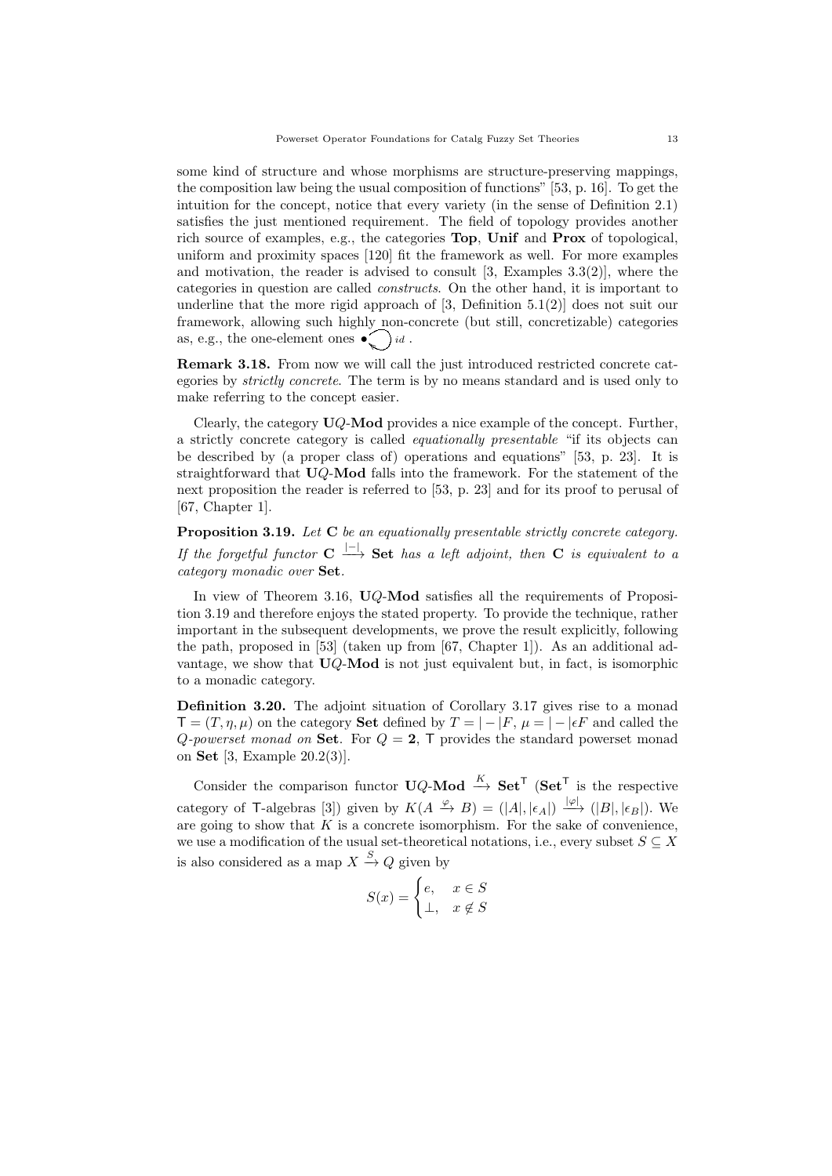some kind of structure and whose morphisms are structure-preserving mappings, the composition law being the usual composition of functions" [53, p. 16]. To get the intuition for the concept, notice that every variety (in the sense of Definition 2.1) satisfies the just mentioned requirement. The field of topology provides another rich source of examples, e.g., the categories Top, Unif and Prox of topological, uniform and proximity spaces [120] fit the framework as well. For more examples and motivation, the reader is advised to consult [3, Examples 3.3(2)], where the categories in question are called constructs. On the other hand, it is important to underline that the more rigid approach of [3, Definition 5.1(2)] does not suit our framework, allowing such highly non-concrete (but still, concretizable) categories as, e.g., the one-element ones  $\bullet$   $\bullet$   $\bullet$ 

Remark 3.18. From now we will call the just introduced restricted concrete categories by strictly concrete. The term is by no means standard and is used only to make referring to the concept easier.

Clearly, the category  $UQ$ -Mod provides a nice example of the concept. Further, a strictly concrete category is called equationally presentable "if its objects can be described by (a proper class of) operations and equations" [53, p. 23]. It is straightforward that UQ-Mod falls into the framework. For the statement of the next proposition the reader is referred to [53, p. 23] and for its proof to perusal of [67, Chapter 1].

Proposition 3.19. Let C be an equationally presentable strictly concrete category. If the forgetful functor  $C \stackrel{|-|}{\longrightarrow}$  Set has a left adjoint, then C is equivalent to a category monadic over Set.

In view of Theorem 3.16, UQ-Mod satisfies all the requirements of Proposition 3.19 and therefore enjoys the stated property. To provide the technique, rather important in the subsequent developments, we prove the result explicitly, following the path, proposed in [53] (taken up from [67, Chapter 1]). As an additional advantage, we show that  $UQ$ -Mod is not just equivalent but, in fact, is isomorphic to a monadic category.

Definition 3.20. The adjoint situation of Corollary 3.17 gives rise to a monad  $\mathsf{T} = (T, \eta, \mu)$  on the category **Set** defined by  $T = |-F|, \mu = |-F|$  and called the Q-powerset monad on Set. For  $Q = 2$ , T provides the standard powerset monad on Set [3, Example 20.2(3)].

Consider the comparison functor  $\mathbf{U} Q\text{-}\mathbf{Mod} \stackrel{K}{\rightarrow} \mathbf{Set}^{\mathsf{T}}$  ( $\mathbf{Set}^{\mathsf{T}}$  is the respective category of T-algebras [3]) given by  $K(A \overset{\varphi}{\to} B) = (|A|, |\epsilon_A|) \overset{|\varphi|}{\longrightarrow} (|B|, |\epsilon_B|)$ . We are going to show that  $K$  is a concrete isomorphism. For the sake of convenience, we use a modification of the usual set-theoretical notations, i.e., every subset  $S \subseteq X$ is also considered as a map  $X \xrightarrow{S} Q$  given by

$$
S(x) = \begin{cases} e, & x \in S \\ \perp, & x \notin S \end{cases}
$$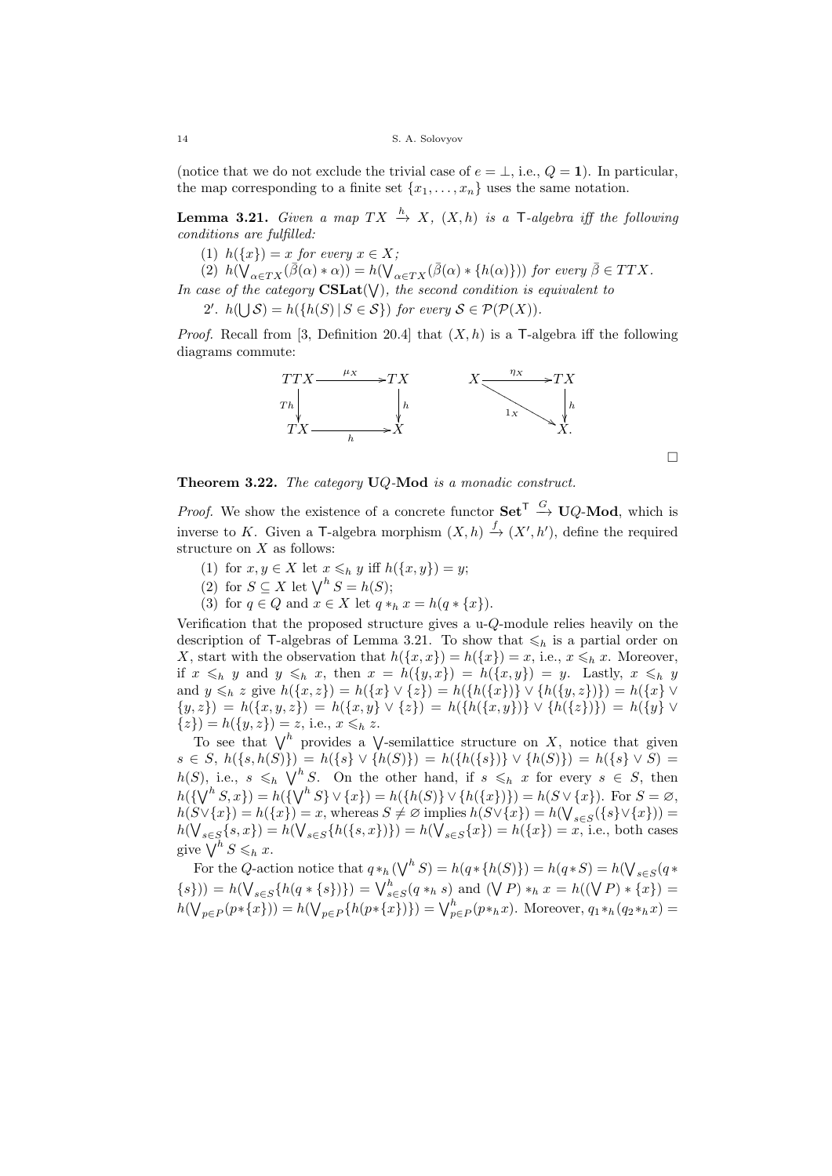(notice that we do not exclude the trivial case of  $e = \perp$ , i.e.,  $Q = 1$ ). In particular, the map corresponding to a finite set  $\{x_1, \ldots, x_n\}$  uses the same notation.

**Lemma 3.21.** Given a map  $TX \xrightarrow{h} X$ ,  $(X,h)$  is a T-algebra iff the following conditions are fulfilled:

(1)  $h({x}) = x$  for every  $x \in X$ ;

 $(2)$   $h(\check{\mathsf{V}}_{\alpha \in TX}(\vec{\beta}(\alpha) * \alpha)) = h(\check{\mathsf{V}}_{\alpha \in TX}(\vec{\beta}(\alpha) * \{h(\alpha)\}))$  for every  $\bar{\beta} \in TTX$ .

In case of the category  $\mathrm{CSLat}(\mathsf{V})$ , the second condition is equivalent to

2'.  $h(\bigcup \mathcal{S}) = h(\{h(S) \mid S \in \mathcal{S}\})$  for every  $\mathcal{S} \in \mathcal{P}(\mathcal{P}(X))$ .

*Proof.* Recall from [3, Definition 20.4] that  $(X, h)$  is a T-algebra iff the following diagrams commute:



□

Theorem 3.22. The category UQ-Mod is a monadic construct.

*Proof.* We show the existence of a concrete functor  $\mathbf{Set}^{\mathsf{T}} \stackrel{G}{\to} \mathbf{U} Q\text{-}\mathbf{Mod}$ , which is inverse to K. Given a T-algebra morphism  $(X,h) \stackrel{f}{\to} (X',h')$ , define the required structure on  $X$  as follows:

- (1) for  $x, y \in X$  let  $x \leq_h y$  iff  $h(\lbrace x, y \rbrace) = y$ ;
- (2) for  $S \subseteq X$  let  $\bigvee^h S = h(S);$
- (3) for  $q \in Q$  and  $x \in X$  let  $q *_{h} x = h(q * \{x\})$ .

Verification that the proposed structure gives a  $u-Q$ -module relies heavily on the description of T-algebras of Lemma 3.21. To show that  $\leq_h$  is a partial order on X, start with the observation that  $h({x, x}) = h({x}) = x$ , i.e.,  $x \leq_h x$ . Moreover, if  $x \leq_h y$  and  $y \leq_h x$ , then  $x = h(\lbrace y, x \rbrace) = h(\lbrace x, y \rbrace) = y$ . Lastly,  $x \leq_h y$ and  $y \leq_h z$  give  $h(\{x, z\}) = h(\{x\} \vee \{z\}) = h(\{h(\{x\})\} \vee \{h(\{y, z\})\}) = h(\{x\} \vee \{z\})$  $\{y, z\} = h(\{x, y, z\}) = h(\{x, y\} \vee \{z\}) = h(\{h(\{x, y\})\} \vee \{h(\{z\})\}) = h(\{y\} \vee \{z\})$  $\{z\} = h(\{y, z\}) = z$ , i.e.,  $x \leq_h z$ .

To see that  $\bigvee^h$  provides a  $\bigvee$ -semilattice structure on X, notice that given  $s \in S$ ,  $h({s,h(S)} = h({s \vee h(S)}) = h({h(s)} \vee h(S)) = h({s \vee S}) = h({s \vee S})$  $h(S)$ , i.e.,  $s \leq_h \bigvee^h S$ . On the other hand, if  $s \leq_h x$  for every  $s \in S$ , then  $h({\{\bigvee^h S, x\}}) = h({\{\bigvee^h S\}} \vee {x}) = h({h(S)} \vee {h({x})}) = h(S \vee {x}).$  For  $S = \emptyset$ ,  $h(S \vee \{x\}) = h(\{x\}) = x$ , whereas  $S \neq \emptyset$  implies  $h(S \vee \{x\}) = h(\bigvee_{s \in S} (\{s\} \vee \{x\})) =$  $h(\bigvee_{s\in S}\{s,x\}) = h(\bigvee_{s\in S}\{h(\{s,x\})\}) = h(\bigvee_{s\in S}\{x\}) = h(\{x\}) = x$ , i.e., both cases give  $\bigvee^h S \leqslant_h x$ .

For the Q-action notice that  $q *_{h} (\bigvee^{h} S) = h(q * \{h(S)\}) = h(q * S) = h(\bigvee_{s \in S} (q * \{h(S)\}) = h(q * S)$  $\{s\}) = h(\bigvee_{s \in S} \{h(q * \{s\})\}) = \bigvee_{s \in S}^h (q *_{h} s)$  and  $(\bigvee P) *_{h} x = h((\bigvee P) * \{x\}) =$  $h(\bigvee_{p\in P}(p*\{x\})) = h(\bigvee_{p\in P}\{h(p*\{x\})\}) = \bigvee_{p\in P}^h(p*\{x\}).$  Moreover,  $q_1*_h(q_2*_hx) =$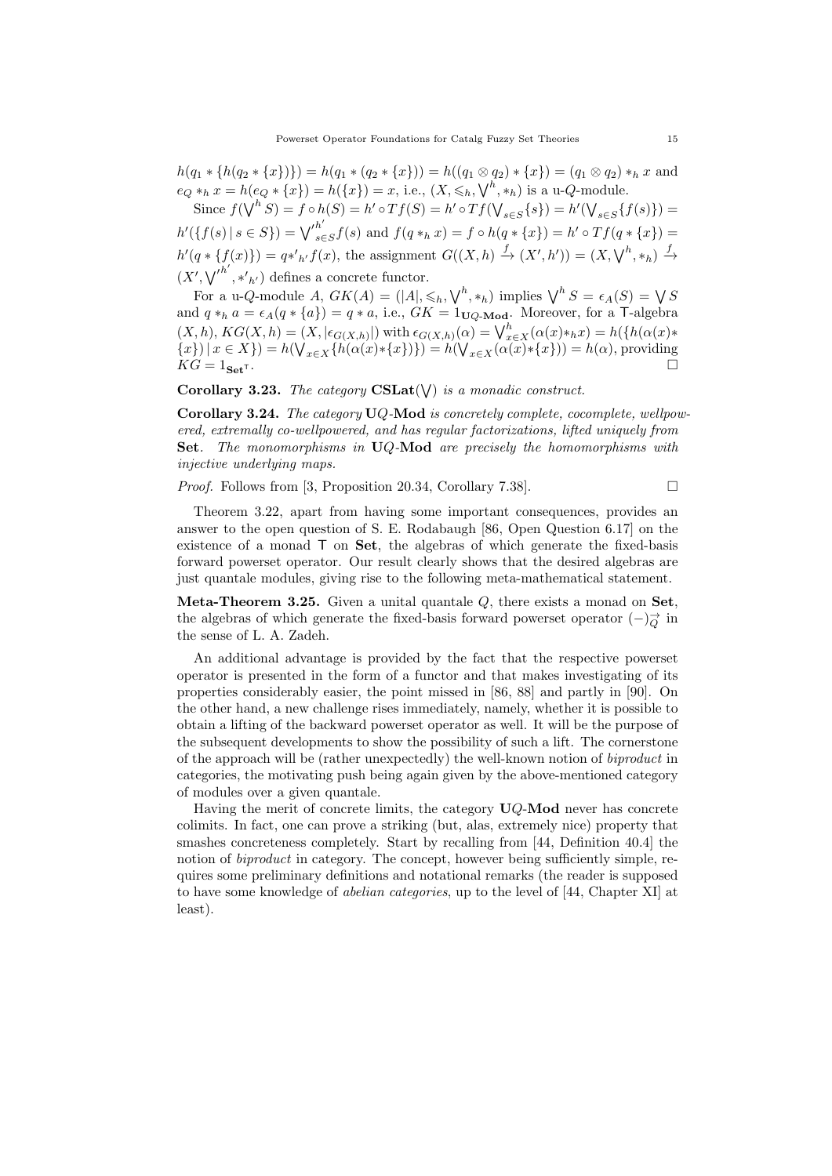$h(q_1 * \{h(q_2 * \{x\})\}) = h(q_1 * (q_2 * \{x\})) = h((q_1 \otimes q_2) * \{x\}) = (q_1 \otimes q_2) * h x$  and  $e_Q *_{h} x = h(e_Q * \{x\}) = h(\{x\}) = x$ , i.e.,  $(X, \leq_h, \bigvee^h, *_h)$  is a u-Q-module.

Since  $f(\bigvee^h S) = f \circ h(S) = h' \circ Tf(S) = h' \circ Tf(\bigvee_{s \in S} \{s\}) = h'(\bigvee_{s \in S} \{f(s)\}) =$  $h'(\{f(s) \mid s \in S\}) = \bigvee_{s \in S} h'$  $\int_{s \in S}^{n} f(s)$  and  $f(q *_{h} x) = f \circ h(q * \{x\}) = h' \circ Tf(q * \{x\}) =$  $h'(q * \{f(x)\}) = q *'_{h'} f(x)$ , the assignment  $G((X,h) \stackrel{f}{\to} (X',h')) = (X, \bigvee^h, *_h) \stackrel{f}{\to}$  $(X',\bigvee'^{h'},*,'_h)$  defines a concrete functor.

For a u-Q-module A,  $GK(A) = (|A|, \leqslant_h, \bigvee^h, *_h)$  implies  $\bigvee^h S = \epsilon_A(S) = \bigvee S$ and  $q *_{h} a = \epsilon_{A}(q * \{a\}) = q * a$ , i.e.,  $GK = 1_{UQ\text{-Mod}}$ . Moreover, for a T-algebra  $(X, h), KG(X, h) = (X, |\epsilon_{G(X, h)}|)$  with  $\epsilon_{G(X, h)}(\alpha) = \bigvee_{x \in X}^{h} (\alpha(x) *_{h} x) = h(\{\mathcal{h}(\alpha(x) *_{h} x) = h(\alpha(x))\}$  $\{x\}\mid x \in X\}$ ) =  $h(\bigvee_{x \in X} \{h(\alpha(x) * \{x\})\}) = h(\bigvee_{x \in X} (\alpha(x) * \{x\}) ) = h(\alpha)$ , providing  $KG = 1_{\mathbf{Set}^{\mathsf{T}}}$ .

# Corollary 3.23. The category  $\mathrm{CSLat}(\vee)$  is a monadic construct.

Corollary 3.24. The category UQ-Mod is concretely complete, cocomplete, wellpowered, extremally co-wellpowered, and has regular factorizations, lifted uniquely from Set. The monomorphisms in  $UQ$ -Mod are precisely the homomorphisms with injective underlying maps.

*Proof.* Follows from [3, Proposition 20.34, Corollary 7.38].  $\Box$ 

$$
f_{\rm{max}}
$$

Theorem 3.22, apart from having some important consequences, provides an answer to the open question of S. E. Rodabaugh [86, Open Question 6.17] on the existence of a monad  $\mathsf{T}$  on  $\mathsf{Set}$ , the algebras of which generate the fixed-basis forward powerset operator. Our result clearly shows that the desired algebras are just quantale modules, giving rise to the following meta-mathematical statement.

**Meta-Theorem 3.25.** Given a unital quantale  $Q$ , there exists a monad on **Set**, the algebras of which generate the fixed-basis forward powerset operator  $(-)\overrightarrow{Q}$  in the sense of L. A. Zadeh.

An additional advantage is provided by the fact that the respective powerset operator is presented in the form of a functor and that makes investigating of its properties considerably easier, the point missed in [86, 88] and partly in [90]. On the other hand, a new challenge rises immediately, namely, whether it is possible to obtain a lifting of the backward powerset operator as well. It will be the purpose of the subsequent developments to show the possibility of such a lift. The cornerstone of the approach will be (rather unexpectedly) the well-known notion of biproduct in categories, the motivating push being again given by the above-mentioned category of modules over a given quantale.

Having the merit of concrete limits, the category  $UQ$ -Mod never has concrete colimits. In fact, one can prove a striking (but, alas, extremely nice) property that smashes concreteness completely. Start by recalling from [44, Definition 40.4] the notion of *biproduct* in category. The concept, however being sufficiently simple, requires some preliminary definitions and notational remarks (the reader is supposed to have some knowledge of abelian categories, up to the level of [44, Chapter XI] at least).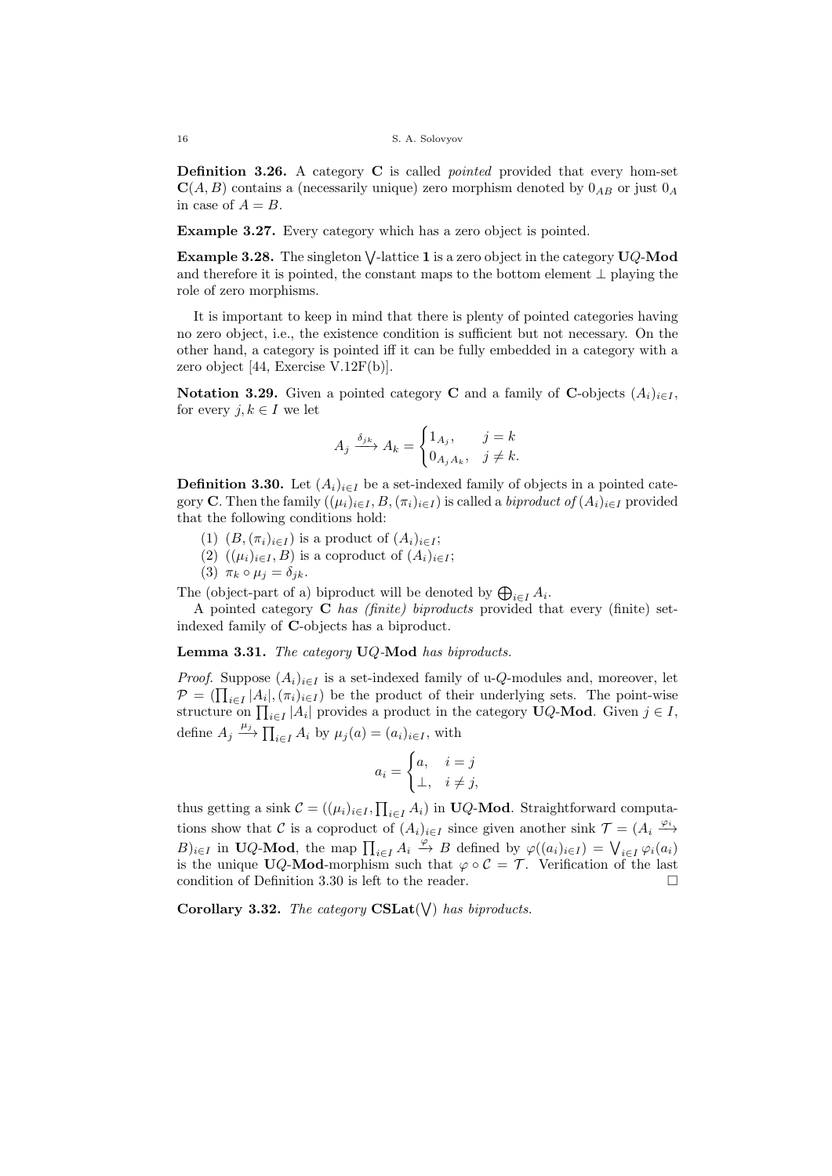Definition 3.26. A category C is called pointed provided that every hom-set  $\mathbf{C}(A, B)$  contains a (necessarily unique) zero morphism denoted by  $0_{AB}$  or just  $0_A$ in case of  $A = B$ .

Example 3.27. Every category which has a zero object is pointed.

**Example 3.28.** The singleton  $\bigvee$ -lattice 1 is a zero object in the category  $UQ$ -Mod and therefore it is pointed, the constant maps to the bottom element  $\perp$  playing the role of zero morphisms.

It is important to keep in mind that there is plenty of pointed categories having no zero object, i.e., the existence condition is sufficient but not necessary. On the other hand, a category is pointed iff it can be fully embedded in a category with a zero object [44, Exercise V.12F(b)].

**Notation 3.29.** Given a pointed category **C** and a family of **C**-objects  $(A_i)_{i \in I}$ , for every  $j, k \in I$  we let

$$
A_j \xrightarrow{\delta_{jk}} A_k = \begin{cases} 1_{A_j}, & j=k\\ 0_{A_j A_k}, & j \neq k. \end{cases}
$$

**Definition 3.30.** Let  $(A_i)_{i \in I}$  be a set-indexed family of objects in a pointed category C. Then the family  $((\mu_i)_{i\in I}, B, (\pi_i)_{i\in I})$  is called a *biproduct of*  $(A_i)_{i\in I}$  provided that the following conditions hold:

- (1)  $(B,(\pi_i)_{i\in I})$  is a product of  $(A_i)_{i\in I}$ ;
- (2)  $((\mu_i)_{i\in I}, B)$  is a coproduct of  $(A_i)_{i\in I}$ ;
- (3)  $\pi_k \circ \mu_j = \delta_{jk}$ .

The (object-part of a) biproduct will be denoted by  $\bigoplus_{i \in I} A_i$ .

A pointed category  $C$  has (finite) biproducts provided that every (finite) setindexed family of C-objects has a biproduct.

Lemma 3.31. The category  $UQ$ -Mod has biproducts.

*Proof.* Suppose  $(A_i)_{i \in I}$  is a set-indexed family of u-*Q*-modules and, moreover, let  $\mathcal{P} = (\prod_{i \in I} |A_i|, (\pi_i)_{i \in I})$  be the product of their underlying sets. The point-wise structure on  $\prod_{i \in I} |A_i|$  provides a product in the category UQ-Mod. Given  $j \in I$ , define  $A_j \stackrel{\mu_j}{\longrightarrow} \prod_{i \in I} A_i$  by  $\mu_j(a) = (a_i)_{i \in I}$ , with

$$
a_i = \begin{cases} a, & i = j \\ \perp, & i \neq j, \end{cases}
$$

thus getting a sink  $C = ((\mu_i)_{i \in I}, \prod_{i \in I} A_i)$  in **UQ-Mod**. Straightforward computations show that C is a coproduct of  $(A_i)_{i\in I}$  since given another sink  $\mathcal{T} = (A_i \stackrel{\varphi_i}{\longrightarrow} A_i)$  $(B)_{i\in I}$  in UQ-Mod, the map  $\prod_{i\in I} A_i \stackrel{\varphi}{\to} B$  defined by  $\varphi((a_i)_{i\in I}) = \bigvee_{i\in I} \varphi_i(a_i)$ is the unique UQ-Mod-morphism such that  $\varphi \circ \mathcal{C} = \mathcal{T}$ . Verification of the last condition of Definition  $3.30$  is left to the reader.

Corollary 3.32. The category  $\text{CSLat}(\bigvee)$  has biproducts.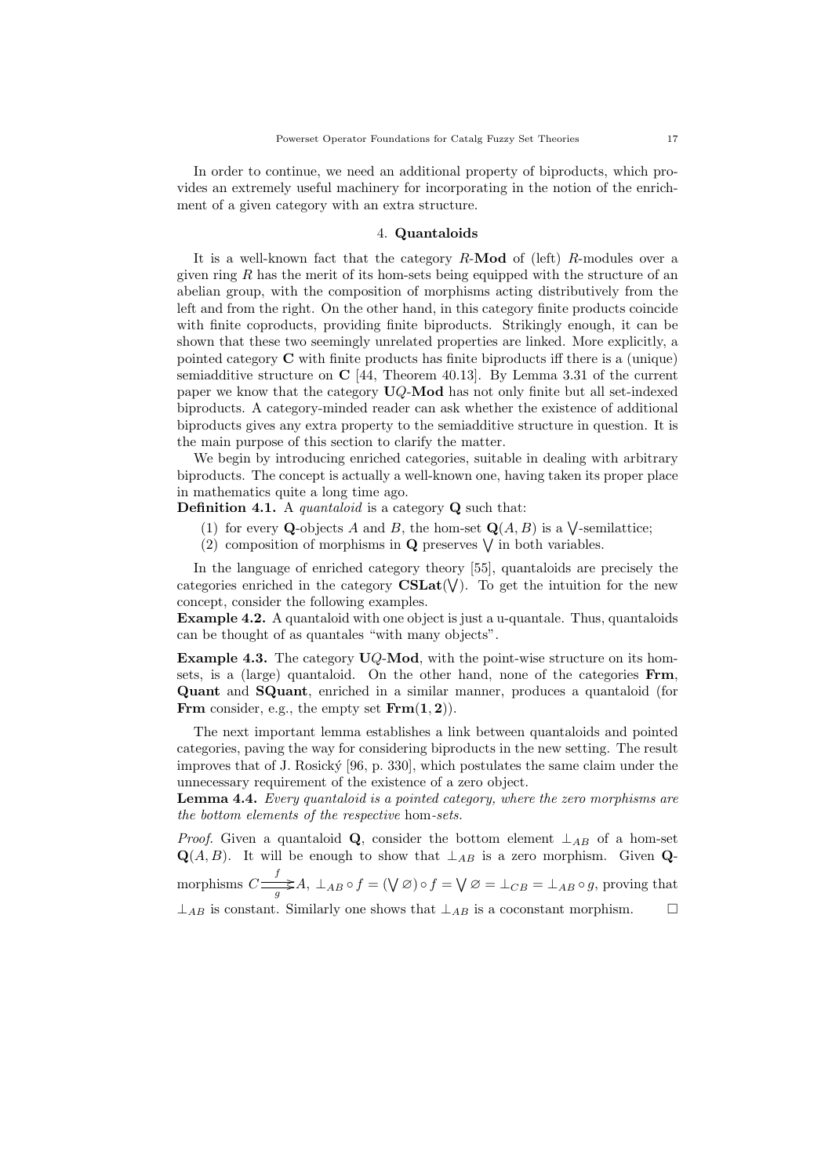In order to continue, we need an additional property of biproducts, which provides an extremely useful machinery for incorporating in the notion of the enrichment of a given category with an extra structure.

### 4. Quantaloids

It is a well-known fact that the category  $R$ -Mod of (left)  $R$ -modules over a given ring  $R$  has the merit of its hom-sets being equipped with the structure of an abelian group, with the composition of morphisms acting distributively from the left and from the right. On the other hand, in this category finite products coincide with finite coproducts, providing finite biproducts. Strikingly enough, it can be shown that these two seemingly unrelated properties are linked. More explicitly, a pointed category C with finite products has finite biproducts iff there is a (unique) semiadditive structure on  $C$  [44, Theorem 40.13]. By Lemma 3.31 of the current paper we know that the category  $UQ$ -Mod has not only finite but all set-indexed biproducts. A category-minded reader can ask whether the existence of additional biproducts gives any extra property to the semiadditive structure in question. It is the main purpose of this section to clarify the matter.

We begin by introducing enriched categories, suitable in dealing with arbitrary biproducts. The concept is actually a well-known one, having taken its proper place in mathematics quite a long time ago.

**Definition 4.1.** A *quantaloid* is a category  $Q$  such that:

- (1) for every **Q**-objects A and B, the hom-set  $\mathbf{Q}(A, B)$  is a  $\mathsf{V}\text{-semilattice}$ ;
- (2) composition of morphisms in **Q** preserves  $\vee$  in both variables.

In the language of enriched category theory [55], quantaloids are precisely the categories enriched in the category  $\mathbf{CSLat}(\mathsf{V})$ . To get the intuition for the new concept, consider the following examples.

Example 4.2. A quantaloid with one object is just a u-quantale. Thus, quantaloids can be thought of as quantales "with many objects".

**Example 4.3.** The category  $UQ$ -Mod, with the point-wise structure on its homsets, is a (large) quantaloid. On the other hand, none of the categories Frm, Quant and SQuant, enriched in a similar manner, produces a quantaloid (for Frm consider, e.g., the empty set  $Frm(1,2)$ .

The next important lemma establishes a link between quantaloids and pointed categories, paving the way for considering biproducts in the new setting. The result improves that of J. Rosický  $[96, p. 330]$ , which postulates the same claim under the unnecessary requirement of the existence of a zero object.

Lemma 4.4. Every quantaloid is a pointed category, where the zero morphisms are the bottom elements of the respective hom-sets.

*Proof.* Given a quantaloid Q, consider the bottom element  $\perp_{AB}$  of a hom-set  $\mathbf{Q}(A, B)$ . It will be enough to show that  $\perp_{AB}$  is a zero morphism. Given Qmorphisms  $C \frac{f}{\sqrt{g}} A$ ,  $\perp_{AB} \circ f = (\bigvee \varnothing) \circ f = \bigvee \varnothing = \perp_{CB} = \perp_{AB} \circ g$ , proving that

 $\perp_{AB}$  is constant. Similarly one shows that  $\perp_{AB}$  is a coconstant morphism.  $\Box$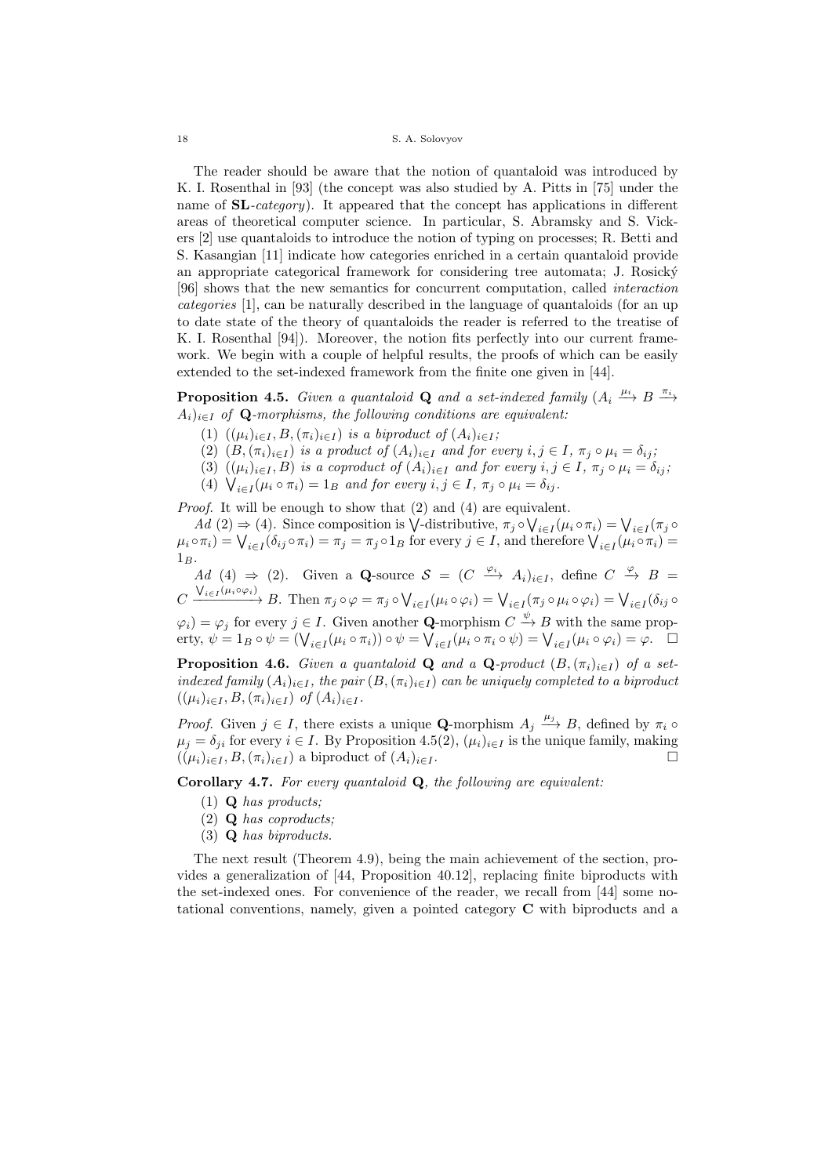The reader should be aware that the notion of quantaloid was introduced by K. I. Rosenthal in [93] (the concept was also studied by A. Pitts in [75] under the name of **SL**-category). It appeared that the concept has applications in different areas of theoretical computer science. In particular, S. Abramsky and S. Vickers [2] use quantaloids to introduce the notion of typing on processes; R. Betti and S. Kasangian [11] indicate how categories enriched in a certain quantaloid provide an appropriate categorical framework for considering tree automata; J. Rosický [96] shows that the new semantics for concurrent computation, called interaction categories [1], can be naturally described in the language of quantaloids (for an up to date state of the theory of quantaloids the reader is referred to the treatise of K. I. Rosenthal [94]). Moreover, the notion fits perfectly into our current framework. We begin with a couple of helpful results, the proofs of which can be easily extended to the set-indexed framework from the finite one given in [44].

**Proposition 4.5.** Given a quantaloid **Q** and a set-indexed family  $(A_i \stackrel{\mu_i}{\longrightarrow} B \stackrel{\pi_i}{\longrightarrow} B)$  $A_i)_{i \in I}$  of Q-morphisms, the following conditions are equivalent:

- (1)  $((\mu_i)_{i \in I}, B, (\pi_i)_{i \in I})$  is a biproduct of  $(A_i)_{i \in I}$ ;
- (2)  $(B,(\pi_i)_{i\in I})$  is a product of  $(A_i)_{i\in I}$  and for every  $i, j \in I$ ,  $\pi_j \circ \mu_i = \delta_{ij}$ ;
- (3)  $((\mu_i)_{i\in I}, B)$  is a coproduct of  $(A_i)_{i\in I}$  and for every  $i, j \in I$ ,  $\pi_j \circ \mu_i = \delta_{ij}$ ;
- (4)  $\bigvee_{i \in I} (\mu_i \circ \pi_i) = 1_B$  and for every  $i, j \in I$ ,  $\pi_j \circ \mu_i = \delta_{ij}$ .

Proof. It will be enough to show that (2) and (4) are equivalent.

Ad (2)  $\Rightarrow$  (4). Since composition is  $\bigvee$ -distributive,  $\pi_j \circ \bigvee_{i \in I} (\mu_i \circ \pi_i) = \bigvee_{i \in I} (\pi_j \circ \pi_i)$  $\mu_i \circ \pi_i = \bigvee_{i \in I} (\delta_{ij} \circ \pi_i) = \pi_j = \pi_j \circ 1_B$  for every  $j \in I$ , and therefore  $\bigvee_{i \in I} (\mu_i \circ \pi_i) =$  $1_B$ .

Ad (4)  $\Rightarrow$  (2). Given a Q-source  $S = (C \stackrel{\varphi_i}{\to} A_i)_{i \in I}$ , define  $C \stackrel{\varphi}{\to} B =$  $C \xrightarrow{\bigvee_{i \in I} (\mu_i \circ \varphi_i)} B$ . Then  $\pi_j \circ \varphi = \pi_j \circ \bigvee_{i \in I} (\mu_i \circ \varphi_i) = \bigvee_{i \in I} (\pi_j \circ \mu_i \circ \varphi_i) = \bigvee_{i \in I} (\delta_{ij} \circ \varphi_i)$  $(\varphi_i) = \varphi_j$  for every  $j \in I$ . Given another **Q**-morphism  $C \stackrel{\psi}{\to} B$  with the same property,  $\psi = 1_B \circ \psi = (\bigvee_{i \in I} (\mu_i \circ \pi_i)) \circ \psi = \bigvee_{i \in I} (\mu_i \circ \pi_i \circ \psi) = \bigvee_{i \in I} (\mu_i \circ \varphi_i) = \varphi.$ 

**Proposition 4.6.** Given a quantaloid Q and a Q-product  $(B, (\pi_i)_{i \in I})$  of a setindexed family  $(A_i)_{i \in I}$ , the pair  $(B, (\pi_i)_{i \in I})$  can be uniquely completed to a biproduct  $((\mu_i)_{i \in I}, B, (\pi_i)_{i \in I})$  of  $(A_i)_{i \in I}$ .

*Proof.* Given  $j \in I$ , there exists a unique **Q**-morphism  $A_j \xrightarrow{\mu_j} B$ , defined by  $\pi_i \circ$  $\mu_j = \delta_{ji}$  for every  $i \in I$ . By Proposition 4.5(2),  $(\mu_i)_{i \in I}$  is the unique family, making  $((\mu_i)_{i \in I}, B, (\pi_i)_{i \in I})$  a biproduct of  $(A_i)_{i \in I}$ .

Corollary 4.7. For every quantaloid Q, the following are equivalent:

- $(1)$  **Q** has products;
- (2) Q has coproducts;
- (3) Q has biproducts.

The next result (Theorem 4.9), being the main achievement of the section, provides a generalization of [44, Proposition 40.12], replacing finite biproducts with the set-indexed ones. For convenience of the reader, we recall from [44] some notational conventions, namely, given a pointed category C with biproducts and a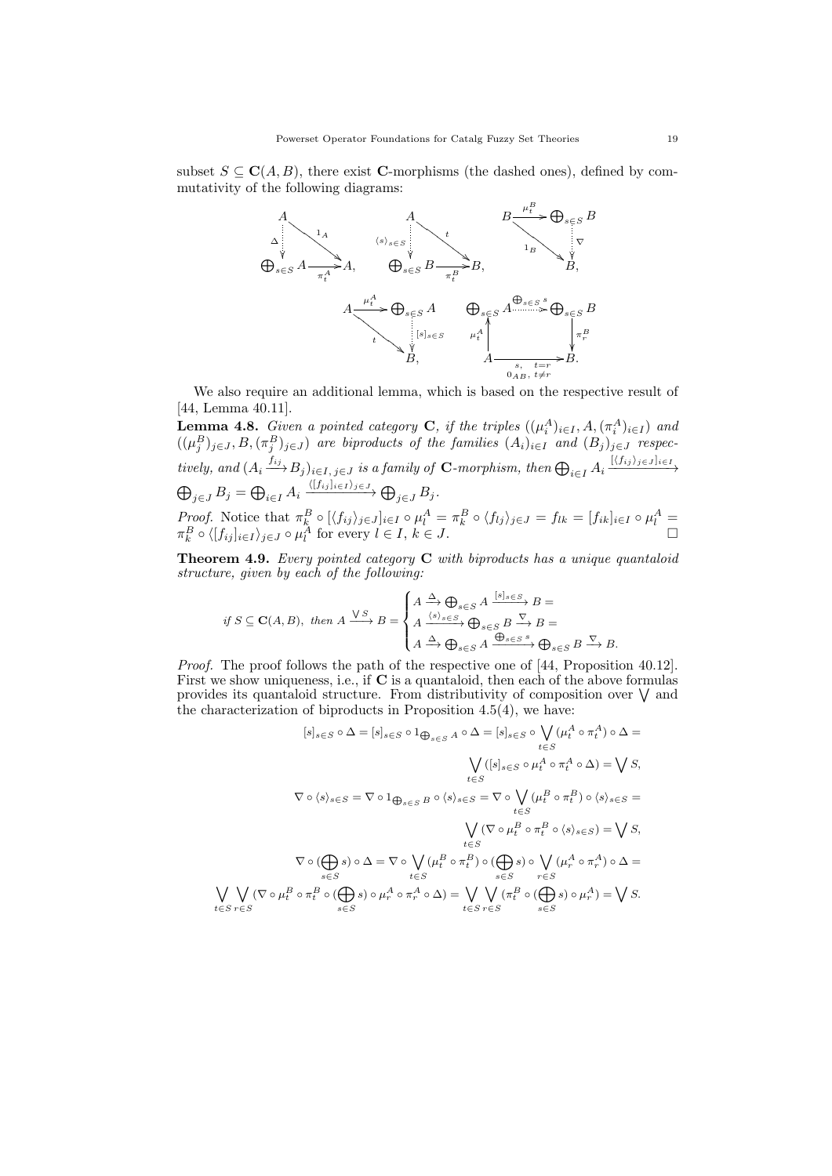subset  $S \subseteq \mathbf{C}(A, B)$ , there exist **C**-morphisms (the dashed ones), defined by commutativity of the following diagrams:



We also require an additional lemma, which is based on the respective result of [44, Lemma 40.11].

**Lemma 4.8.** Given a pointed category **C**, if the triples  $((\mu_i^A)_{i \in I}, A, (\pi_i^A)_{i \in I})$  and  $((\mu_j^B)_{j\in J}, B, (\pi_j^B)_{j\in J})$  are biproducts of the families  $(A_i)_{i\in I}$  and  $(B_j)_{j\in J}$  respectively, and  $(A_i \xrightarrow{f_{ij}} B_j)_{i \in I, j \in J}$  is a family of **C**-morphism, then  $\bigoplus_{i \in I} A_i \xrightarrow{[\langle f_{ij} \rangle_{j \in J}]_{i \in I}}$  $\bigoplus_{j\in J} B_j = \bigoplus_{i\in I} A_i \xrightarrow{\langle [f_{ij}]_{i\in I}\rangle_{j\in J}} \bigoplus_{j\in J} B_j.$ *Proof.* Notice that  $\pi_k^B \circ [\langle f_{ij} \rangle_{j \in J}]_{i \in I} \circ \mu_i^A = \pi_k^B \circ \langle f_{ij} \rangle_{j \in J} = f_{lk} = [f_{ik}]_{i \in I} \circ \mu_i^A =$  $\pi_k^B \circ \langle [f_{ij}]_{i \in I} \rangle_{j \in J} \circ \mu_l^A$  for every  $l \in I, k \in J$ .

**Theorem 4.9.** Every pointed category  $C$  with biproducts has a unique quantaloid structure, given by each of the following:

$$
if S \subseteq \mathbf{C}(A, B), then A \xrightarrow{\bigvee S} B = \begin{cases} A \xrightarrow{\Delta} \bigoplus_{s \in S} A \xrightarrow{[s]_s \in S} B = \\ A \xrightarrow{\langle s \rangle_s \in S} \bigoplus_{s \in S} B \xrightarrow{\nabla} B = \\ A \xrightarrow{\Delta} \bigoplus_{s \in S} A \xrightarrow{\bigoplus_{s \in S} s} \bigoplus_{s \in S} B \xrightarrow{\nabla} B. \end{cases}
$$

Proof. The proof follows the path of the respective one of [44, Proposition 40.12]. First we show uniqueness, i.e., if C is a quantaloid, then each of the above formulas provides its quantaloid structure. From distributivity of composition over  $\vee$  and the characterization of biproducts in Proposition  $4.5(4)$ , we have:

$$
[s]_{s\in S} \circ \Delta = [s]_{s\in S} \circ 1_{\bigoplus_{s\in S} A} \circ \Delta = [s]_{s\in S} \circ \bigvee_{t\in S} (\mu_t^A \circ \pi_t^A) \circ \Delta =
$$
  

$$
\bigvee_{t\in S} ([s]_{s\in S} \circ \mu_t^A \circ \pi_t^A \circ \Delta) = \bigvee S,
$$
  

$$
\nabla \circ \langle s \rangle_{s\in S} = \nabla \circ 1_{\bigoplus_{s\in S} B} \circ \langle s \rangle_{s\in S} = \nabla \circ \bigvee_{t\in S} (\mu_t^B \circ \pi_t^B) \circ \langle s \rangle_{s\in S} =
$$
  

$$
\bigvee_{t\in S} (\nabla \circ \mu_t^B \circ \pi_t^B \circ \langle s \rangle_{s\in S}) = \bigvee S,
$$
  

$$
\nabla \circ (\bigoplus_{s\in S} s) \circ \Delta = \nabla \circ \bigvee_{t\in S} (\mu_t^B \circ \pi_t^B) \circ (\bigoplus_{s\in S} s) \circ \bigvee_{r\in S} (\mu_r^A \circ \pi_r^A) \circ \Delta =
$$
  

$$
\bigvee_{s\in S} (\nabla \circ \mu_t^B \circ \pi_t^B \circ (\bigoplus_{s\in S} s) \circ \mu_r^A \circ \pi_r^A \circ \Delta) = \bigvee_{t\in S} \bigvee_{r\in S} (\pi_t^B \circ (\bigoplus_{s\in S} s) \circ \mu_r^A) = \bigvee S.
$$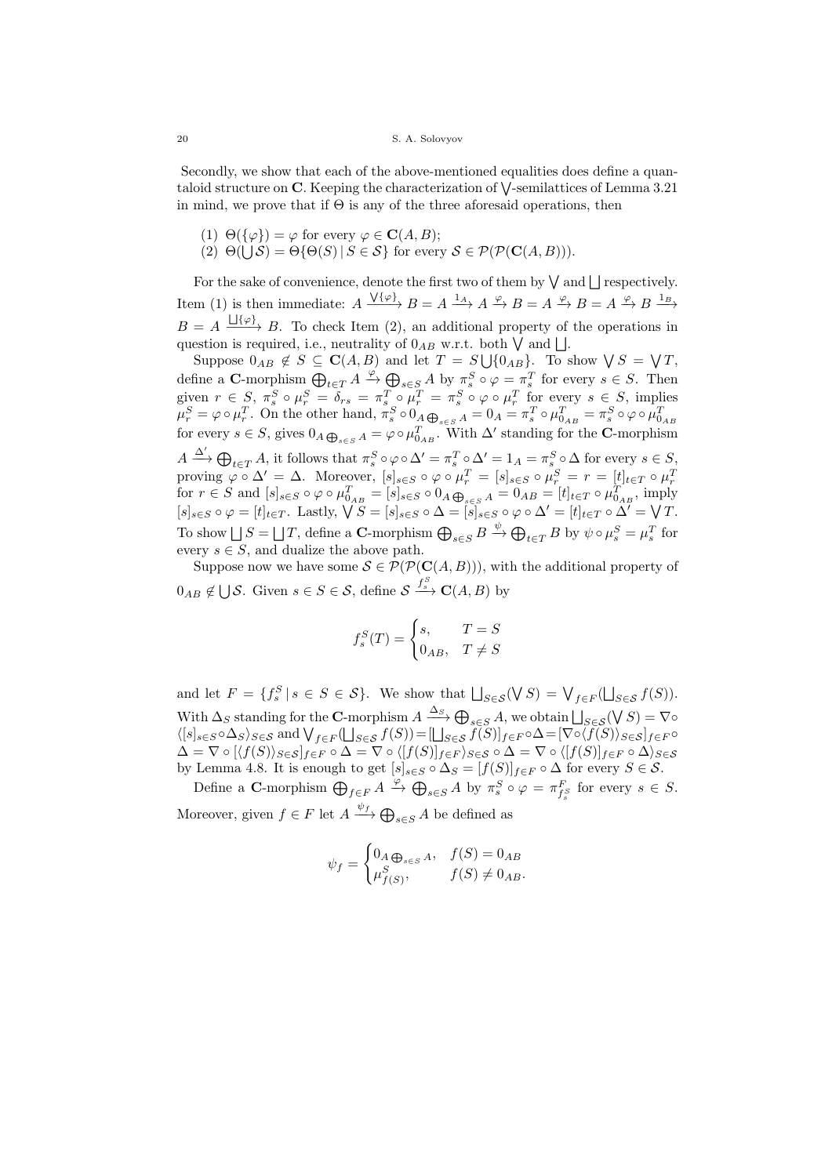Secondly, we show that each of the above-mentioned equalities does define a quantaloid structure on  $\mathbb C$ . Keeping the characterization of  $\bigvee$ -semilattices of Lemma 3.21 in mind, we prove that if  $\Theta$  is any of the three aforesaid operations, then

- (1)  $\Theta({\varphi}) = \varphi$  for every  $\varphi \in \mathbf{C}(A, B);$
- (2)  $\Theta(\bigcup \mathcal{S}) = \Theta\{\Theta(S) | S \in \mathcal{S}\}\$  for every  $\mathcal{S} \in \mathcal{P}(\mathcal{P}(\mathbf{C}(A, B))).$

For the sake of convenience, denote the first two of them by  $\vee$  and  $\Box$  respectively. Item (1) is then immediate:  $A \xrightarrow{\sqrt{\{\varphi\}}} B = A \xrightarrow{1_A} A \xrightarrow{\varphi} B = A \xrightarrow{\varphi} B = A \xrightarrow{\varphi} B \xrightarrow{1_B}$  $B = A \xrightarrow{\iint(\varphi)} B$ . To check Item (2), an additional property of the operations in question is required, i.e., neutrality of  $0_{AB}$  w.r.t. both  $\bigvee$  and  $\bigcup$ .

Suppose  $0_{AB} \notin S \subseteq \mathbf{C}(A, B)$  and let  $T = S \cup \{0_{AB}\}.$  To show  $\bigvee S = \bigvee T$ , define a C-morphism  $\bigoplus_{t \in T} A \xrightarrow{\varphi} \bigoplus_{s \in S} A$  by  $\pi_s^S \circ \varphi = \pi_s^T$  for every  $s \in S$ . Then given  $r \in S$ ,  $\pi_s^S \circ \mu_r^S = \delta_{rs} = \pi_s^T \circ \mu_r^T = \pi_s^S \circ \varphi \circ \mu_r^T$  for every  $s \in S$ , implies  $\mu_r^S = \varphi \circ \mu_r^T$ . On the other hand,  $\pi_s^S \circ 0_A \bigoplus_{s \in S} A = 0_A = \pi_s^T \circ \mu_{0_{AB}}^T = \pi_s^S \circ \varphi \circ \mu_{0_{AB}}^T$ for every  $s \in S$ , gives  $0_A \bigoplus_{s \in S} A = \varphi \circ \mu_{0_{AB}}^T$ . With  $\Delta'$  standing for the C-morphism  $A \xrightarrow{\Delta'} \bigoplus_{t \in T} A$ , it follows that  $\pi_s^S \circ \varphi \circ \Delta' = \pi_s^T \circ \Delta' = 1_A = \pi_s^S \circ \Delta$  for every  $s \in S$ , proving  $\varphi \circ \Delta' = \Delta$ . Moreover,  $[s]_{s \in S} \circ \varphi \circ \mu_r^T = [s]_{s \in S} \circ \mu_r^S = r = [t]_{t \in T} \circ \mu_r^T$  for  $r \in S$  and  $[s]_{s \in S} \circ \varphi \circ \mu_{0_{AB}}^T = [s]_{s \in S} \circ 0_A \oplus_{s \in S} A = 0_{AB} = [t]_{t \in T} \circ \mu_{0_{AB}}^T$ , imply  $[s]_{s\in S} \circ \varphi = [t]_{t\in T}$ . Lastly,  $\bigvee S = [s]_{s\in S} \circ \Delta = [s]_{s\in S} \circ \varphi \circ \Delta' = [t]_{t\in T} \circ \Delta' = \bigvee T$ . To show  $\bigcup S = \bigcup T$ , define a C-morphism  $\bigoplus_{s \in S} B \xrightarrow{\psi} \bigoplus_{t \in T} B$  by  $\psi \circ \mu_s^S = \mu_s^T$  for every  $s \in S$ , and dualize the above path.

Suppose now we have some  $S \in \mathcal{P}(\mathcal{P}(\mathbf{C}(A,B)))$ , with the additional property of  $0_{AB} \notin \bigcup \mathcal{S}$ . Given  $s \in S \in \mathcal{S}$ , define  $\mathcal{S} \xrightarrow{f^S}_{s} \mathbf{C}(A, B)$  by

$$
f_s^S(T) = \begin{cases} s, & T = S \\ 0_{AB}, & T \neq S \end{cases}
$$

and let  $F = \{f_s^S | s \in S \in \mathcal{S}\}\$ . We show that  $\bigsqcup_{S \in \mathcal{S}} (\bigvee S) = \bigvee_{f \in F} (\bigsqcup_{S \in \mathcal{S}} f(S)).$ With  $\Delta_S$  standing for the C-morphism  $A \xrightarrow{\Delta_S} \bigoplus_{s \in S} A$ , we obtain  $\bigsqcup_{S \in \mathcal{S}} (\bigvee S) = \nabla \circ$  $\langle [s]_{s\in S}\circ\Delta_S\rangle_{S\in S}$  and  $\bigvee_{f\in F}(\bigsqcup_{S\in S}f(S))=[\bigsqcup_{S\in S}f(S)]_{f\in F}\circ\Delta=[\nabla\circ\langle f(S)\rangle_{S\in S}]_{f\in F}\circ$  $\Delta = \nabla \circ [(f(S))_{S \in \mathcal{S}}]_{f \in F} \circ \Delta = \nabla \circ ([f(S)]_{f \in F})_{S \in \mathcal{S}} \circ \Delta = \nabla \circ ([f(S)]_{f \in F} \circ \Delta)_{S \in \mathcal{S}}$ by Lemma 4.8. It is enough to get  $[s]_{s\in S} \circ \Delta_S = [f(S)]_{f \in F} \circ \Delta$  for every  $S \in \mathcal{S}$ .

Define a C-morphism  $\bigoplus_{f \in F} A \xrightarrow{\varphi} \bigoplus_{s \in S} A$  by  $\pi_s^S \circ \varphi = \pi_{f_s^S}^F$  for every  $s \in S$ . Moreover, given  $f \in F$  let  $A \xrightarrow{\psi_f} \bigoplus_{s \in S} A$  be defined as

$$
\psi_f = \begin{cases} 0_A \bigoplus_{s \in S} A, & f(S) = 0_{AB} \\ \mu_{f(S)}^S, & f(S) \neq 0_{AB}. \end{cases}
$$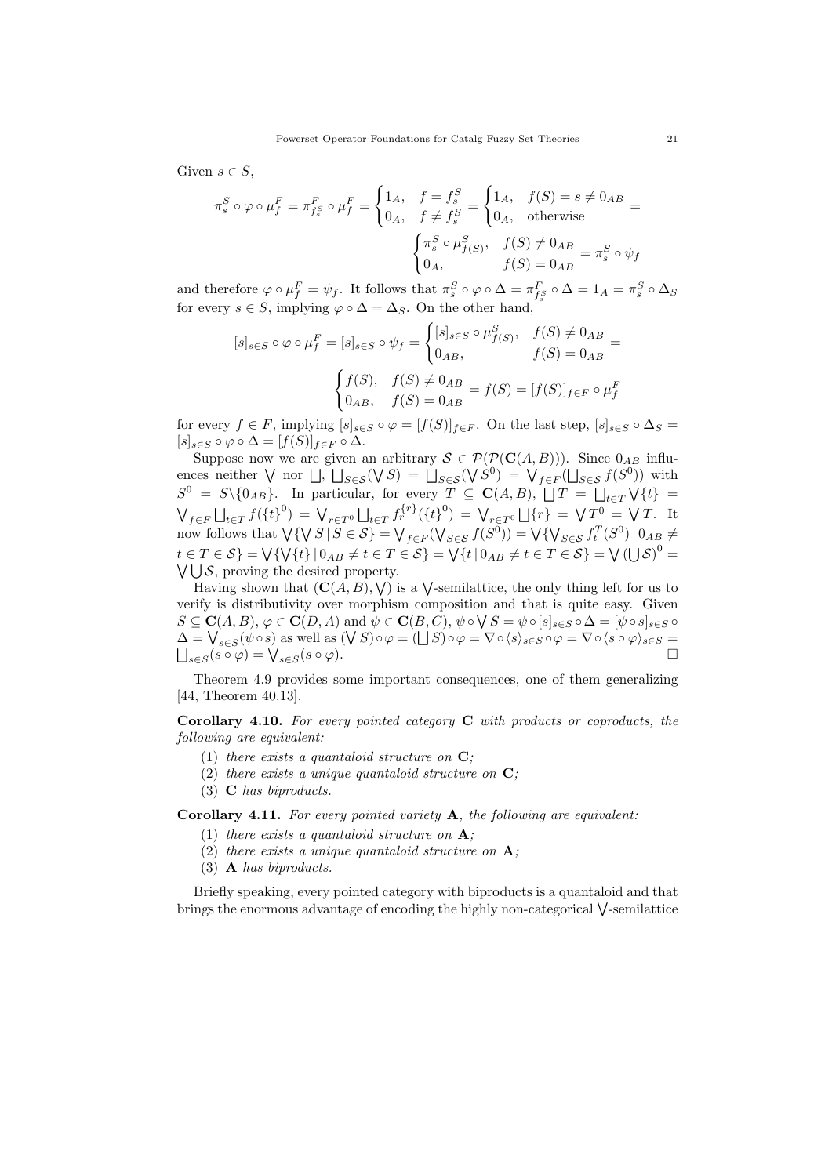Given  $s \in S$ ,

$$
\pi_s^S \circ \varphi \circ \mu_f^F = \pi_{f_s^S}^F \circ \mu_f^F = \begin{cases} 1_A, & f = f_s^S \\ 0_A, & f \neq f_s^S \end{cases} = \begin{cases} 1_A, & f(S) = s \neq 0_{AB} \\ 0_A, & \text{otherwise} \end{cases} = \begin{cases} \pi_s^S \circ \mu_{f(S)}^S, & f(S) \neq 0_{AB} \\ 0_A, & f(S) = 0_{AB} \end{cases} = \pi_s^S \circ \psi_f
$$

and therefore  $\varphi \circ \mu_f^F = \psi_f$ . It follows that  $\pi_s^S \circ \varphi \circ \Delta = \pi_{f_s^S}^F \circ \Delta = 1_A = \pi_s^S \circ \Delta_S$ for every  $s \in S$ , implying  $\varphi \circ \Delta = \Delta_S$ . On the other hand,

$$
[s]_{s \in S} \circ \varphi \circ \mu_f^F = [s]_{s \in S} \circ \psi_f = \begin{cases} [s]_{s \in S} \circ \mu_{f(S)}^S, & f(S) \neq 0_{AB} \\ 0_{AB}, & f(S) = 0_{AB} \end{cases} = f(S) = [f(S)]_{f \in F} \circ \mu_f^F
$$

$$
\begin{cases} f(S), & f(S) \neq 0_{AB} \\ 0_{AB}, & f(S) = 0_{AB} \end{cases} = f(S) = [f(S)]_{f \in F} \circ \mu_f^F
$$

for every  $f \in F$ , implying  $[s]_{s \in S} \circ \varphi = [f(S)]_{f \in F}$ . On the last step,  $[s]_{s \in S} \circ \Delta_S =$  $[s]_{s\in S}\circ\varphi\circ\Delta=[f(S)]_{f\in F}\circ\Delta.$ 

Suppose now we are given an arbitrary  $S \in \mathcal{P}(\mathcal{P}(\mathbf{C}(A,B)))$ . Since  $0_{AB}$  influences neither  $\bigvee$  nor  $\bigsqcup$ ,  $\bigsqcup_{S\in\mathcal{S}}(\bigvee S)^{S} = \bigsqcup_{S\in\mathcal{S}}(\bigvee S)^{S} = \bigvee_{f\in\mathcal{F}}(\bigsqcup_{S\in\mathcal{S}}f(S^{0}))$  with  $S^0 = S \setminus \{0_{AB}\}.$  In particular, for every  $T \subseteq \mathbf{C}(A, B), \ \bigcup T = \bigcup_{t \in T} \bigvee \{t\}$  $\bigvee_{f \in F} \bigcup_{t \in T} f(\{t\}^0) = \bigvee_{r \in T^0} \bigcup_{t \in T} f_r^{\{r\}}(\{t\}^0) = \bigvee_{r \in T^0} \bigcup \{r\} = \bigvee T^0 = \bigvee T$ . It now follows that  $\bigvee \{ \bigvee S \mid S \in \mathcal{S} \} = \bigvee_{f \in F} (\bigvee_{S \in \mathcal{S}} f(S^0)) = \bigvee \{ \bigvee_{S \in \mathcal{S}} f^T_t(S^0) \mid 0_{AB} \neq 0_{AB} \}$  $t \in T \in \mathcal{S}$  =  $\bigvee \{\bigvee \{\{t\} \mid 0_{AB} \neq t \in T \in \mathcal{S}\} = \bigvee \{t \mid 0_{AB} \neq t \in T \in \mathcal{S}\} = \bigvee (\bigcup \mathcal{S})^0 = \emptyset$  $\bigvee \bigcup \mathcal{S}$ , proving the desired property.

Having shown that  $(C(A, B), V)$  is a V-semilattice, the only thing left for us to verify is distributivity over morphism composition and that is quite easy. Given  $S \subseteq \mathbf{C}(A, B), \varphi \in \mathbf{C}(D, A)$  and  $\psi \in \mathbf{C}(B, C), \psi \circ \bigvee S = \psi \circ [s]_{s \in S} \circ \Delta = [\psi \circ s]_{s \in S} \circ$  $\Delta = \bigvee_{s \in S} (\psi \circ s)$  as well as  $(\bigvee S) \circ \varphi = (\bigsqcup S) \circ \varphi = \nabla \circ \langle s \rangle_{s \in S} \circ \varphi = \nabla \circ \langle s \circ \varphi \rangle_{s \in S} =$  $\bigcup_{s\in S}(s\circ\varphi)=\bigvee_{s\in S}(s\circ\varphi).$ 

Theorem 4.9 provides some important consequences, one of them generalizing [44, Theorem 40.13].

Corollary 4.10. For every pointed category C with products or coproducts, the following are equivalent:

- (1) there exists a quantaloid structure on  $C$ :
- (2) there exists a unique quantaloid structure on  $\mathbf{C}$ ;
- (3) C has biproducts.

Corollary 4.11. For every pointed variety A, the following are equivalent:

- (1) there exists a quantaloid structure on  $A$ ;
- (2) there exists a unique quantaloid structure on  $\mathbf{A}$ ;
- (3) A has biproducts.

Briefly speaking, every pointed category with biproducts is a quantaloid and that brings the enormous advantage of encoding the highly non-categorical  $\bigvee$ -semilattice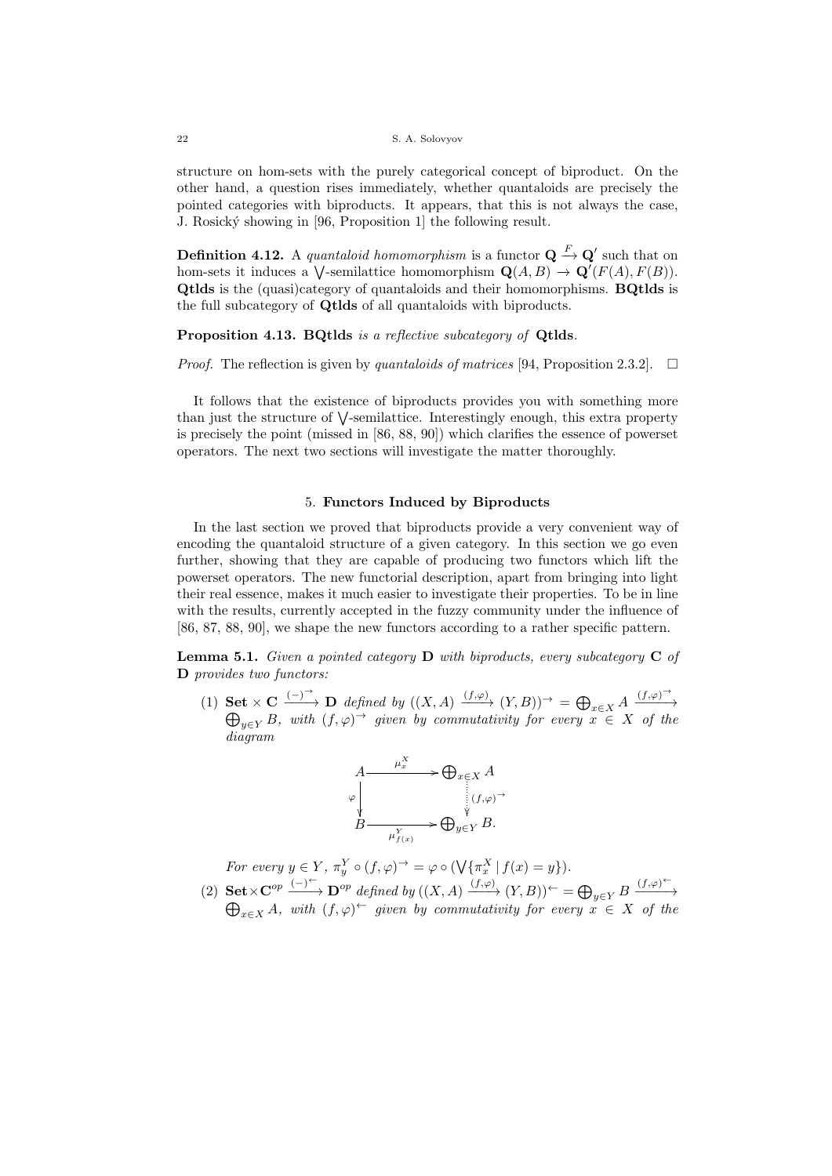structure on hom-sets with the purely categorical concept of biproduct. On the other hand, a question rises immediately, whether quantaloids are precisely the pointed categories with biproducts. It appears, that this is not always the case, J. Rosick´y showing in [96, Proposition 1] the following result.

**Definition 4.12.** A quantaloid homomorphism is a functor  $\mathbf{Q} \stackrel{F}{\to} \mathbf{Q}'$  such that on hom-sets it induces a  $\bigvee$ -semilattice homomorphism  $\mathbf{Q}(A, B) \to \mathbf{Q}'(F(A), F(B)).$ Qtlds is the (quasi)category of quantaloids and their homomorphisms. BQtlds is the full subcategory of Qtlds of all quantaloids with biproducts.

## Proposition 4.13. BQtlds is a reflective subcategory of Qtlds.

*Proof.* The reflection is given by quantaloids of matrices [94, Proposition 2.3.2].  $\Box$ 

It follows that the existence of biproducts provides you with something more than just the structure of  $\vee$ -semilattice. Interestingly enough, this extra property is precisely the point (missed in [86, 88, 90]) which clarifies the essence of powerset operators. The next two sections will investigate the matter thoroughly.

### 5. Functors Induced by Biproducts

In the last section we proved that biproducts provide a very convenient way of encoding the quantaloid structure of a given category. In this section we go even further, showing that they are capable of producing two functors which lift the powerset operators. The new functorial description, apart from bringing into light their real essence, makes it much easier to investigate their properties. To be in line with the results, currently accepted in the fuzzy community under the influence of [86, 87, 88, 90], we shape the new functors according to a rather specific pattern.

**Lemma 5.1.** Given a pointed category  $D$  with biproducts, every subcategory  $C$  of D provides two functors:

(1) Set  $\times$  C  $\xrightarrow{(-)}$  D defined by  $((X, A) \xrightarrow{(f,\varphi)} (Y, B))^{\rightarrow} = \bigoplus_{x \in X} A \xrightarrow{(f,\varphi)^{\rightarrow}}$ ⊕  $\longrightarrow$  $y \in Y$ B, with  $(f, \varphi)$ <sup>→</sup> given by commutativity for every  $x \in X$  of the diagram



For every  $y \in Y$ ,  $\pi_y^Y \circ (f, \varphi)^{\rightarrow} = \varphi \circ (\sqrt{\{\pi_x^X \mid f(x) = y\}})$ .

(2)  $\textbf{Set} \times \mathbb{C}^{op} \xrightarrow{(-)^{\leftarrow}} \mathbb{D}^{op}$  defined by  $((X, A) \xrightarrow{(f, \varphi)} (Y, B))^{\leftarrow} = \bigoplus_{y \in Y} B \xrightarrow{(f, \varphi)^{\leftarrow}}$ ⊕  $\longrightarrow$  $\lim_{x \in X} A$ , with  $(f, \varphi)$ <sup>←</sup> given by commutativity for every  $x \in X$  of the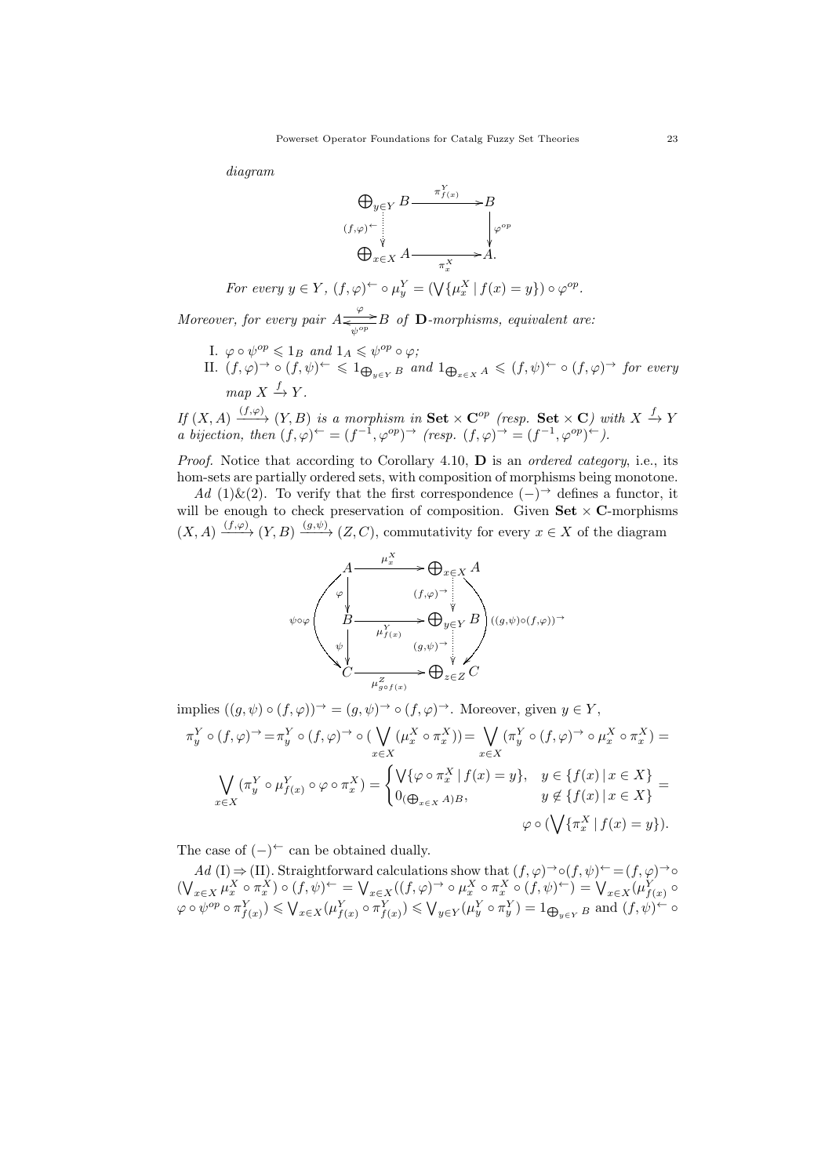diagram



For every 
$$
y \in Y
$$
,  $(f, \varphi) \hookrightarrow \varphi_y^Y = (\bigvee \{\mu_x^X \mid f(x) = y\}) \circ \varphi^{op}$ .

Moreover, for every pair  $A \frac{\varphi}{\sqrt{\varphi^{\circ p}}} B$  of **D**-morphisms, equivalent are:

- I.  $\varphi \circ \psi^{op} \leq 1_B$  and  $1_A \leq \psi^{op} \circ \varphi$ ;
- II.  $(f, \varphi)$ <sup>→</sup>  $\circ$   $(f, \psi)$ <sup>←</sup>  $\leq$  1 $\bigoplus_{y \in Y} B$  and  $1 \bigoplus_{x \in X} A$   $\leq$   $(f, \psi)$ <sup>←</sup>  $\circ$   $(f, \varphi)$ <sup>→</sup> for every  $map X \stackrel{f}{\rightarrow} Y.$

If  $(X, A) \xrightarrow{(f, \varphi)} (Y, B)$  is a morphism in Set  $\times \mathbb{C}^{op}$  (resp. Set  $\times \mathbb{C}$ ) with  $X \xrightarrow{f} Y$ a bijection, then  $(f, \varphi)^{\leftarrow} = (f^{-1}, \varphi^{op})^{\rightarrow}$  (resp.  $(f, \varphi)^{\rightarrow} = (f^{-1}, \varphi^{op})^{\leftarrow}$ ).

Proof. Notice that according to Corollary 4.10, **D** is an *ordered category*, i.e., its hom-sets are partially ordered sets, with composition of morphisms being monotone.

Ad (1)&(2). To verify that the first correspondence  $(-)$ <sup>→</sup> defines a functor, it will be enough to check preservation of composition. Given  $\mathbf{Set} \times \mathbf{C}$ -morphisms  $(X, A) \xrightarrow{(f, \varphi)} (Y, B) \xrightarrow{(g, \psi)} (Z, C)$ , commutativity for every  $x \in X$  of the diagram

$$
\begin{array}{ccc}\nA & \xrightarrow{\mu_x^X} & \bigoplus_{x \in X} A \\
\downarrow \varphi & (f, \varphi) \rightarrow \\
B & \xrightarrow{\mu_{f(x)}^Y} & \bigoplus_{y \in Y} B \\
\downarrow \psi & (g, \psi) \rightarrow \\
C & \xrightarrow{\mu_{g \circ f(x)}^Z} & \bigoplus_{z \in Z} C\n\end{array}
$$

implies  $((q, \psi) \circ (f, \varphi))^{\rightarrow} = (q, \psi)^{\rightarrow} \circ (f, \varphi)^{\rightarrow}$ . Moreover, given  $y \in Y$ ,  $\pi_y^Y \circ (f, \varphi) \rightarrow \pi_y^Y \circ (f, \varphi) \rightarrow \circ (\bigvee$  $x \in X$  $(\mu_x^X \circ \pi_x^X)) = \bigvee$  $x \in X$  $(\pi_y^Y \circ (f, \varphi) \to \circ \mu_x^X \circ \pi_x^X) =$ ⋁  $x \in X$  $(\pi_y^Y \circ \mu_{f(x)}^Y \circ \varphi \circ \pi_x^X) = \begin{cases} \bigvee \{\varphi \circ \pi_x^X \mid f(x) = y\}, & y \in \{f(x) \mid x \in X\} \\ 0 & \text{if } f(x) = x\} \end{cases}$  $\begin{aligned} 0_{(\bigoplus_{x \in X} A)B}, & y \in (f(x)) | x \in X \end{aligned}$  $\varphi \circ (\bigvee \{\pi_x^X \mid f(x) = y\}).$ 

The case of  $(-)$ <sup>←</sup> can be obtained dually.

Ad (I)  $\Rightarrow$  (II). Straightforward calculations show that  $(f, \varphi) \rightarrow \circ (f, \psi) \leftarrow (f, \varphi) \rightarrow \circ$  $(\bigvee_{x\in X}\mu_x^X\circ\pi_x^X)\circ(f,\psi)^\leftarrow = \bigvee_{x\in X}((f,\varphi)^\rightarrow\circ\mu_x^X\circ\pi_x^X\circ(f,\psi)^\leftarrow) = \bigvee_{x\in X}(\mu_{f(x)}^Y\circ\pi_x^X)\circ(f,\psi)^\leftarrow$  $\varphi \circ \psi^{op} \circ \pi_{f(x)}^Y \leqslant \bigvee_{x \in X} (\mu_{f(x)}^Y \circ \pi_{f(x)}^Y) \leqslant \bigvee_{y \in Y} (\mu_{y}^Y \circ \pi_{y}^Y) = 1_{\bigoplus_{y \in Y} B}$  and  $(f, \psi) \stackrel{\leftarrow}{\leftarrow} \circ$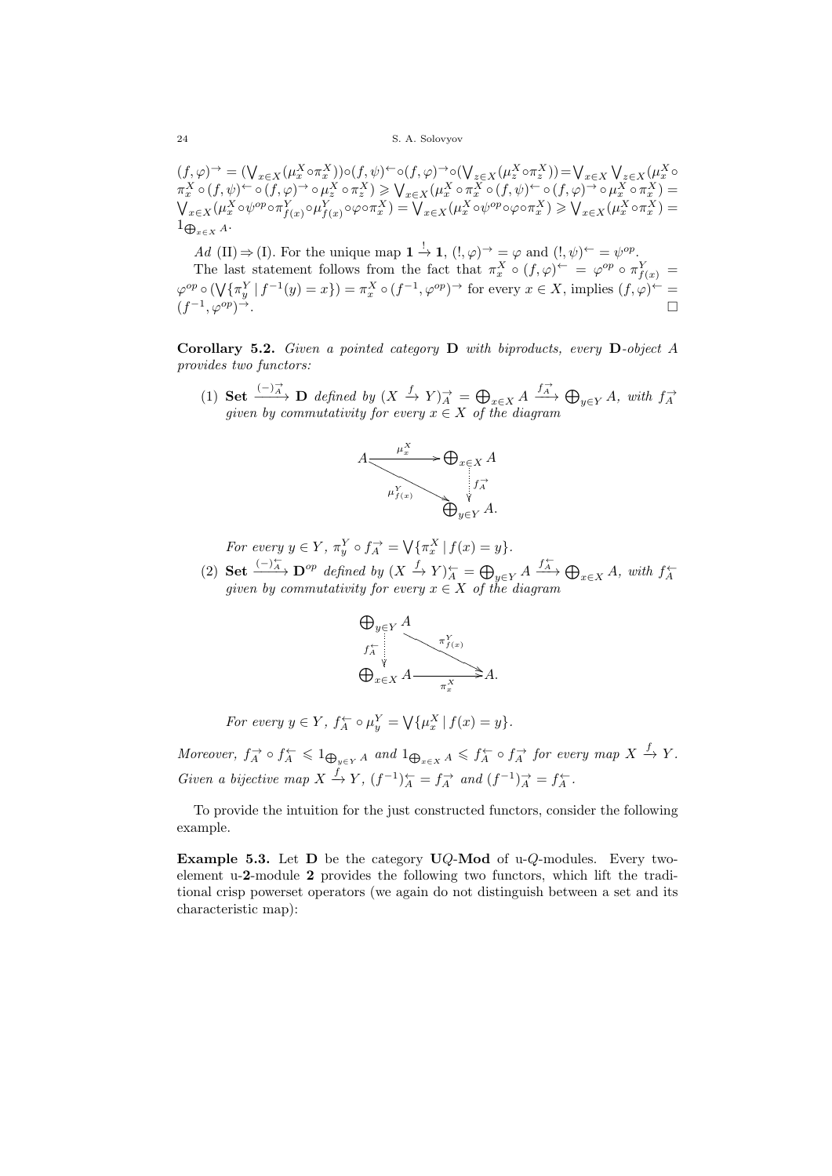$(f, \varphi)^{\rightarrow} = (\bigvee_{x \in X} (\mu_x^X \circ \pi_x^X)) \circ (f, \psi)^{\leftarrow} \circ (f, \varphi)^{\rightarrow} \circ (\bigvee_{z \in X} (\mu_x^X \circ \pi_z^X)) = \bigvee_{x \in X} \bigvee_{z \in X} (\mu_x^X \circ \pi_z^X)$  $\pi^X_x \circ (f, \psi)^\leftarrow \circ (f, \varphi)^\rightarrow \circ \mu^X_z \circ \pi^X_z) \geqslant \bigvee_{x \in X} (\mu^X_x \circ \pi^X_x \circ (f, \psi)^\leftarrow \circ (f, \varphi)^\rightarrow \circ \mu^X_x \circ \pi^X_x) =$  $\bigvee_{x\in X}(\mu^X_x\circ\psi^{op}\circ\pi^Y_{f(x)}\circ\mu^Y_{f(x)}\circ\varphi\circ\pi^X_x)=\bigvee_{x\in X}(\mu^X_x\circ\psi^{op}\circ\varphi\circ\pi^X_x)\geq\bigvee_{x\in X}(\mu^X_x\circ\pi^X_x)=$  $1_{\bigoplus_{x \in X} A}$ .

Ad (II)  $\Rightarrow$  (I). For the unique map  $1 \stackrel{!}{\rightarrow} 1$ ,  $(l, \varphi) \stackrel{\rightharpoonup}{\rightarrow} = \varphi$  and  $(l, \psi) \stackrel{\leftharpoonup}{\leftarrow} = \psi^{op}$ . The last statement follows from the fact that  $\pi_x^X \circ (f, \varphi)^{\leftarrow} = \varphi^{op} \circ \pi_{f(x)}^Y =$  $\varphi^{op} \circ (\bigvee \{\pi_y^Y \mid f^{-1}(y) = x\}) = \pi_x^X \circ (f^{-1}, \varphi^{op}) \rightarrow \text{for every } x \in X, \text{ implies } (f, \varphi) \leftarrow$  $(f^{-1}, \varphi^{op})^{\rightarrow}$ .

**Corollary 5.2.** Given a pointed category  $D$  with biproducts, every  $D$ -object A provides two functors:

(1) Set  $\frac{(-)\overrightarrow{A}}{A}$  D defined by  $(X \stackrel{f}{\to} Y)_{A}^{\to} = \bigoplus_{x \in X} A \xrightarrow{f_{A}^{\to}} \bigoplus_{y \in Y} A$ , with  $f_{A}^{\to}$  given by commutativity for every  $x \in X$  of the diagram



For every  $y \in Y$ ,  $\pi_y^Y \circ f_A^{\rightarrow} = \bigvee \{ \pi_x^X \mid f(x) = y \}.$ 

(2) Set  $\xrightarrow{(-)\pi} \mathbf{D}^{op}$  defined by  $(X \xrightarrow{f} Y)^{\leftarrow}_{A} = \bigoplus_{y \in Y} A \xrightarrow{f^{\leftarrow}_{A}} \bigoplus_{x \in X} A$ , with  $f^{\leftarrow}_{A}$  given by commutativity for every  $x \in X$  of the diagram



For every  $y \in Y$ ,  $f_A^{\leftarrow} \circ \mu_y^Y = \bigvee \{ \mu_x^X \mid f(x) = y \}.$ 

Moreover,  $f_A^{\rightarrow} \circ f_A^{\leftarrow} \leq 1_{\bigoplus_{y \in Y} A}$  and  $1_{\bigoplus_{x \in X} A} \leq f_A^{\leftarrow} \circ f_A^{\rightarrow}$  for every map  $X \xrightarrow{f} Y$ . Given a bijective map  $X \xrightarrow{f} Y$ ,  $(f^{-1})_{A}^{\leftarrow} = f_{A}^{\rightarrow}$  and  $(f^{-1})_{A}^{\rightarrow} = f_{A}^{\leftarrow}$ .

To provide the intuition for the just constructed functors, consider the following example.

Example 5.3. Let  $D$  be the category UQ-Mod of u-Q-modules. Every twoelement u-2-module 2 provides the following two functors, which lift the traditional crisp powerset operators (we again do not distinguish between a set and its characteristic map):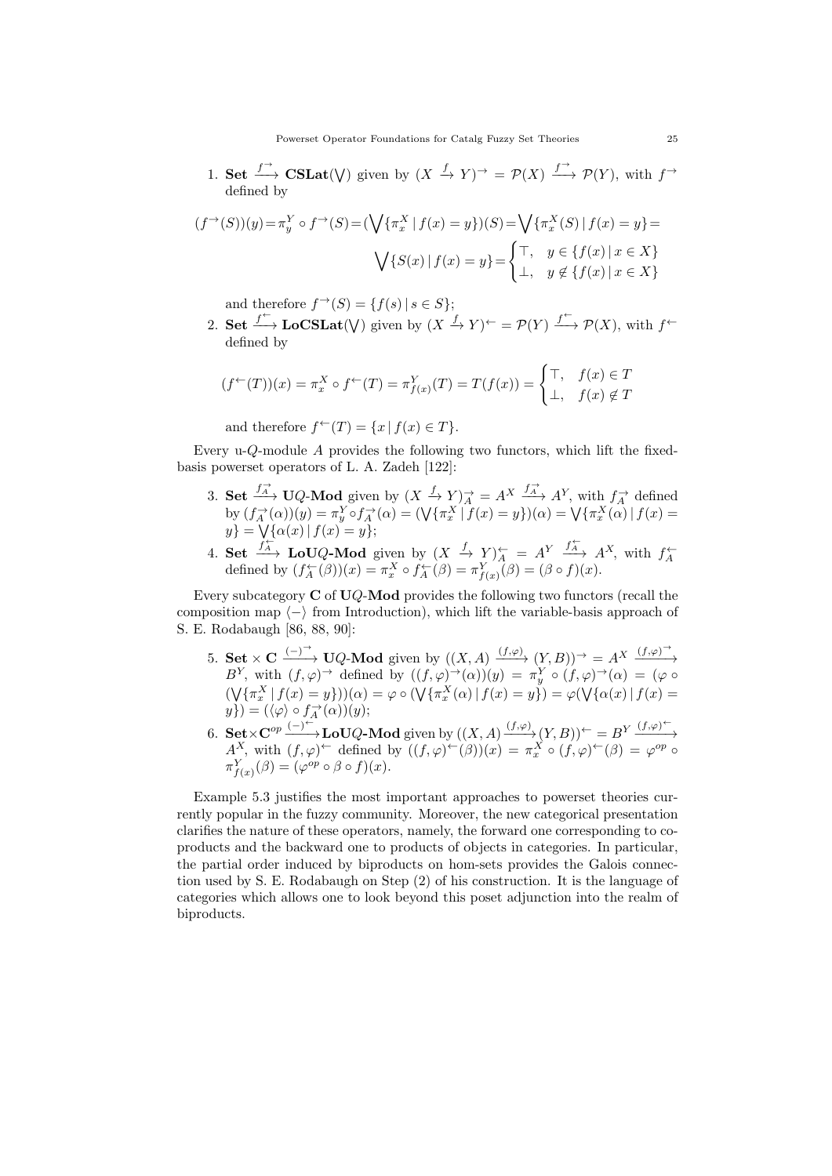1. Set  $\stackrel{f}{\longrightarrow}$  CSLat( $V$ ) given by  $(X \stackrel{f}{\rightarrow} Y)^{\rightarrow} = \mathcal{P}(X) \stackrel{f}{\longrightarrow} \mathcal{P}(Y)$ , with  $f^{\rightarrow}$ defined by

$$
(f^{\rightarrow}(S))(y) = \pi_y^Y \circ f^{\rightarrow}(S) = (\bigvee \{\pi_x^X \mid f(x) = y\})(S) = \bigvee \{\pi_x^X(S) \mid f(x) = y\} = \bigvee \{S(x) \mid f(x) = y\} = \begin{cases} \top, & y \in \{f(x) \mid x \in X\} \\ \bot, & y \notin \{f(x) \mid x \in X\} \end{cases}
$$

and therefore  $f^{\rightarrow}(S) = \{f(s) | s \in S\}$ ;

2. Set  $f^{\leftarrow}$  LoCSLat( $V$ ) given by  $(X \xrightarrow{f} Y)^{\leftarrow} = \mathcal{P}(Y) \xrightarrow{f^{\leftarrow}} \mathcal{P}(X)$ , with  $f^{\leftarrow}$ defined by

$$
(f^{\leftarrow}(T))(x) = \pi_x^X \circ f^{\leftarrow}(T) = \pi_{f(x)}^Y(T) = T(f(x)) = \begin{cases} \top, & f(x) \in T \\ \bot, & f(x) \notin T \end{cases}
$$

and therefore  $f^{\leftarrow}(T) = \{x \mid f(x) \in T\}.$ 

Every u- $Q$ -module  $A$  provides the following two functors, which lift the fixedbasis powerset operators of L. A. Zadeh [122]:

- 3. Set  $\frac{f_A^{\rightarrow}}{A}$  UQ-Mod given by  $(X \xrightarrow{f} Y)_A^{\rightarrow} = A^X \xrightarrow{f_A^{\rightarrow}} A^Y$ , with  $f_A^{\rightarrow}$  defined by  $(f_A^{\rightarrow}(\alpha))(y) = \pi_y^Y \circ f_A^{\rightarrow}(\alpha) = (\sqrt{\{\pi_x^X \mid f(x) = y\}})(\alpha) = \sqrt{\{\pi_x^X(\alpha) \mid f(x) = y\}}$  $y$ } =  $\sqrt{\{\alpha(x) | f(x) = y\}};$
- 4. Set  $\frac{f^{\leftarrow}_{A}}{A}$  LoUQ-Mod given by  $(X \stackrel{f}{\to} Y)^{\leftarrow}_{A} = A^Y \stackrel{f^{\leftarrow}_{A}}{A} A^X$ , with  $f^{\leftarrow}_{A}$  defined by  $(f^{\leftarrow}_{A}(\beta))(x) = \pi_x^X \circ f^{\leftarrow}_{A}(\beta) = \pi_{f(x)}^Y(\beta) = (\beta \circ f)(x)$ .

Every subcategory  $C$  of  $UQ$ -Mod provides the following two functors (recall the composition map  $\langle - \rangle$  from Introduction), which lift the variable-basis approach of S. E. Rodabaugh [86, 88, 90]:

- 5. Set  $\times$  C  $\xrightarrow{(-)}$  UQ-Mod given by  $((X, A) \xrightarrow{(f,\varphi)} (Y, B))^{\rightarrow} = A^X \xrightarrow{(f,\varphi)^{\rightarrow}}$ B<sup>Y</sup>, with  $(f, \varphi)$ <sup> $\rightarrow$ </sup> defined by  $((f, \varphi) \to (\alpha))(y) = \pi_y^Y \circ (f, \varphi) \to (\alpha) = (\varphi \circ$  $(\bigvee \{\pi_x^X \mid f(x) = y\}))(\alpha) = \varphi \circ (\bigvee \{\pi_x^X (\alpha) \mid f(x) = y\}) = \varphi(\bigvee \{\alpha(x) \mid f(x) = y\})$  $y\}) = (\langle \varphi \rangle \circ f_A^{\rightarrow}(\alpha))(y);$
- 6. Set  $\times \mathbb{C}^{op} \xrightarrow{(-)}^{\leftarrow}$  LoUQ-Mod given by  $((X, A) \xrightarrow{(f, \varphi)} (Y, B))^{\leftarrow} = B^Y \xrightarrow{(f, \varphi)^{\leftarrow}}$  $A^X$ , with  $(f, \varphi)^{\leftarrow}$  defined by  $((f, \varphi)^{\leftarrow}(\beta))(x) = \pi_x^X \circ (f, \varphi)^{\leftarrow}(\beta) = \varphi^{op} \circ$  $\pi_{f(x)}^Y(\beta) = (\varphi^{op} \circ \beta \circ f)(x).$

Example 5.3 justifies the most important approaches to powerset theories currently popular in the fuzzy community. Moreover, the new categorical presentation clarifies the nature of these operators, namely, the forward one corresponding to coproducts and the backward one to products of objects in categories. In particular, the partial order induced by biproducts on hom-sets provides the Galois connection used by S. E. Rodabaugh on Step (2) of his construction. It is the language of categories which allows one to look beyond this poset adjunction into the realm of biproducts.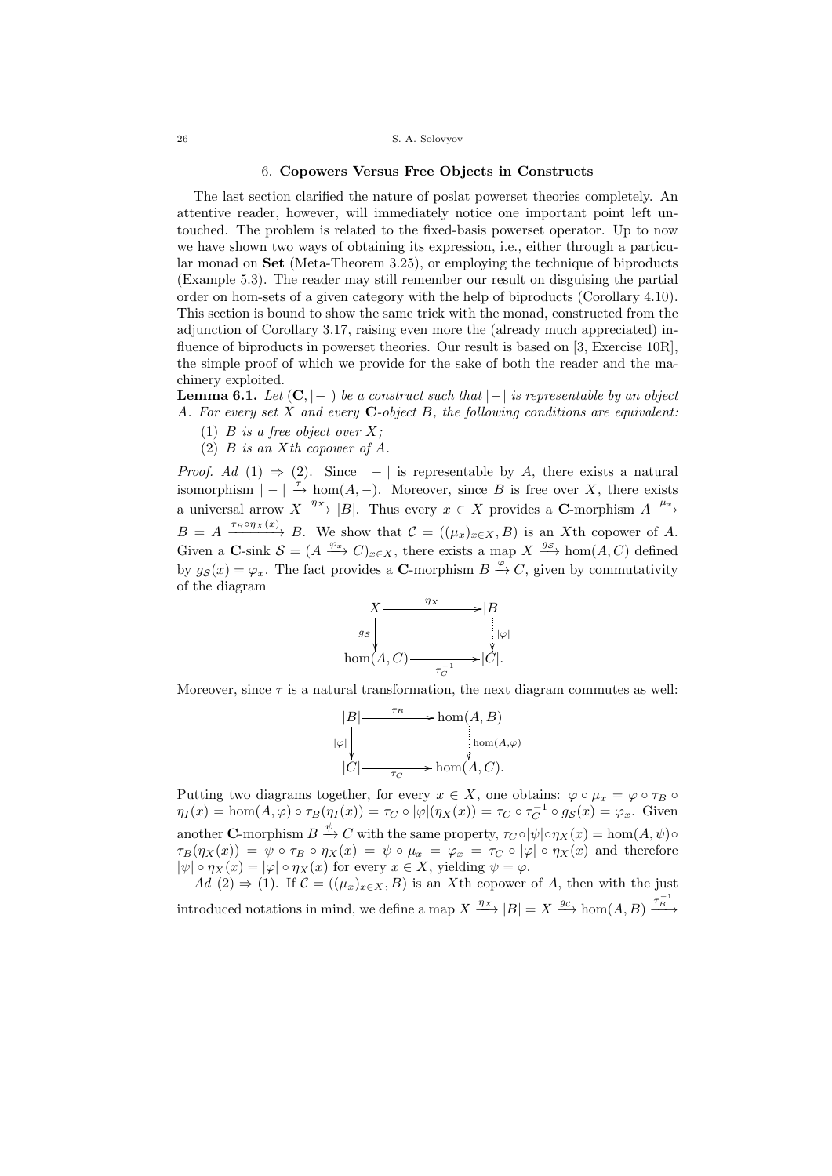### 6. Copowers Versus Free Objects in Constructs

The last section clarified the nature of poslat powerset theories completely. An attentive reader, however, will immediately notice one important point left untouched. The problem is related to the fixed-basis powerset operator. Up to now we have shown two ways of obtaining its expression, i.e., either through a particular monad on Set (Meta-Theorem 3.25), or employing the technique of biproducts (Example 5.3). The reader may still remember our result on disguising the partial order on hom-sets of a given category with the help of biproducts (Corollary 4.10). This section is bound to show the same trick with the monad, constructed from the adjunction of Corollary 3.17, raising even more the (already much appreciated) influence of biproducts in powerset theories. Our result is based on [3, Exercise 10R], the simple proof of which we provide for the sake of both the reader and the machinery exploited.

**Lemma 6.1.** Let  $(C, |-|)$  be a construct such that  $|-|$  is representable by an object A. For every set  $X$  and every  $C$ -object  $B$ , the following conditions are equivalent:

- (1)  $B$  is a free object over  $X$ ;
- (2)  $B$  is an  $X$ th copower of  $A$ .

*Proof.* Ad (1)  $\Rightarrow$  (2). Since | − | is representable by A, there exists a natural isomorphism  $| - | \stackrel{\tau}{\rightarrow} \text{hom}(A, -)$ . Moreover, since B is free over X, there exists a universal arrow  $X \xrightarrow{\eta_X} |B|$ . Thus every  $x \in X$  provides a C-morphism  $A \xrightarrow{\mu_x}$  $B = A \xrightarrow{\tau_B \circ \eta_X(x)} B$ . We show that  $C = ((\mu_x)_{x \in X}, B)$  is an X<sup>th</sup> copower of A. Given a **C**-sink  $S = (A \xrightarrow{\varphi_x} C)_{x \in X}$ , there exists a map  $X \xrightarrow{gs} \text{hom}(A, C)$  defined by  $g_{\mathcal{S}}(x) = \varphi_x$ . The fact provides a **C**-morphism  $B \xrightarrow{\varphi} C$ , given by commutativity of the diagram



Moreover, since  $\tau$  is a natural transformation, the next diagram commutes as well:

$$
|B| \longrightarrow \text{hom}(A, B)
$$
  
\n
$$
|\varphi| \downarrow \qquad \qquad \downarrow \text{hom}(A, \varphi)
$$
  
\n
$$
|C| \longrightarrow \text{hom}(A, C).
$$

Putting two diagrams together, for every  $x \in X$ , one obtains:  $\varphi \circ \mu_x = \varphi \circ \tau_B \circ \varphi$  $\eta_I(x) = \hom(A, \varphi) \circ \tau_B(\eta_I(x)) = \tau_C \circ |\varphi|(\eta_X(x)) = \tau_C \circ \tau_C^{-1} \circ g_S(x) = \varphi_x.$  Given another **C**-morphism  $B \xrightarrow{\psi} C$  with the same property,  $\tau_C \circ |\psi| \circ \eta_X(x) = \text{hom}(A, \psi) \circ$  $\tau_B(\eta_X(x)) = \psi \circ \tau_B \circ \eta_X(x) = \psi \circ \mu_x = \varphi_x = \tau_C \circ |\varphi| \circ \eta_X(x)$  and therefore  $|\psi| \circ \eta_X(x) = |\varphi| \circ \eta_X(x)$  for every  $x \in X$ , yielding  $\psi = \varphi$ .

Ad (2)  $\Rightarrow$  (1). If  $\mathcal{C} = ((\mu_x)_{x \in X}, B)$  is an X<sup>th</sup> copower of A, then with the just introduced notations in mind, we define a map  $X \xrightarrow{\eta_X} |B| = X \xrightarrow{gc} \text{hom}(A, B) \xrightarrow{\tau_B^{-1}}$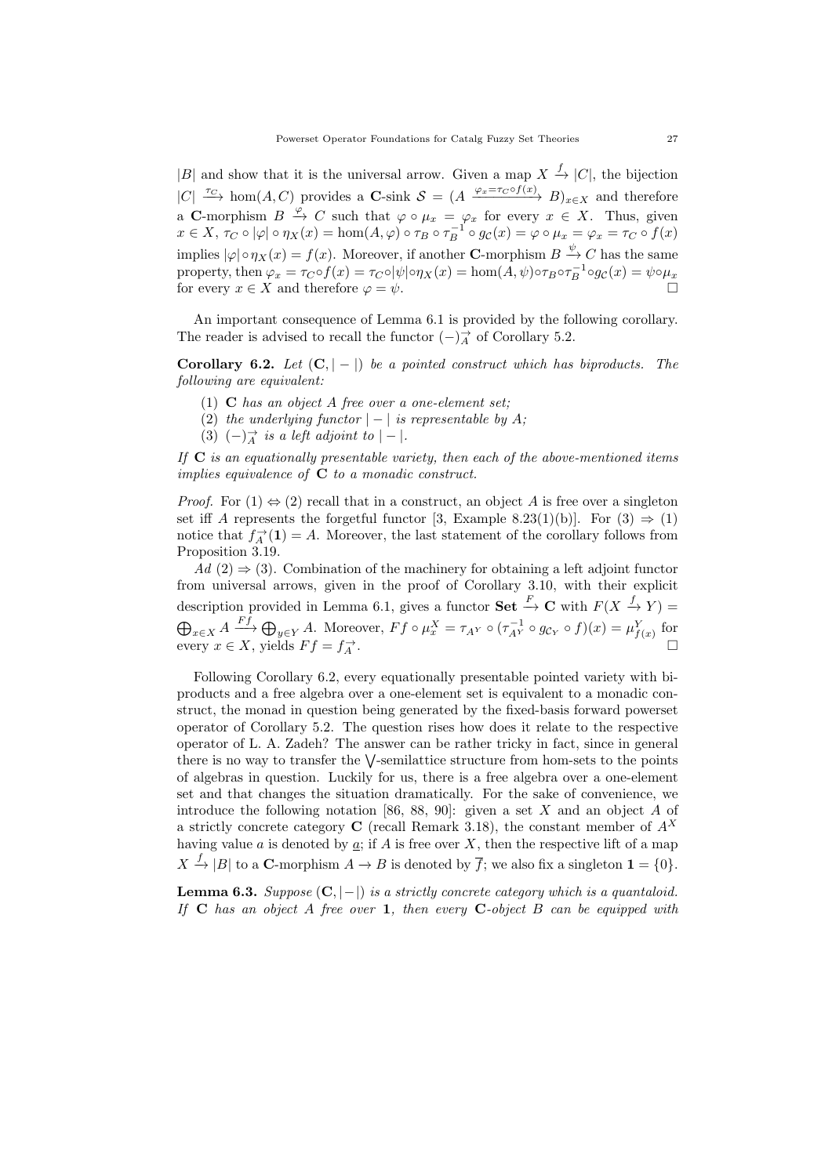|B| and show that it is the universal arrow. Given a map  $X \xrightarrow{f} |C|$ , the bijection  $|C| \stackrel{\tau_C}{\longrightarrow} \text{hom}(A, C)$  provides a **C**-sink  $S = (A \stackrel{\varphi_x = \tau_C \circ f(x)}{\longrightarrow} B)_{x \in X}$  and therefore a C-morphism  $B \xrightarrow{\varphi} C$  such that  $\varphi \circ \mu_x = \varphi_x$  for every  $x \in X$ . Thus, given  $x \in X$ ,  $\tau_C \circ |\varphi| \circ \eta_X(x) = \text{hom}(A, \varphi) \circ \tau_B \circ \tau_B^{-1} \circ g_C(x) = \varphi \circ \mu_x = \varphi_x = \tau_C \circ f(x)$ implies  $|\varphi| \circ \eta_X(x) = f(x)$ . Moreover, if another **C**-morphism  $B \xrightarrow{\psi} C$  has the same property, then  $\varphi_x = \tau_C \circ f(x) = \tau_C \circ |\psi| \circ \eta_X(x) = \text{hom}(A, \psi) \circ \tau_B \circ \tau_B^{-1} \circ g_C(x) = \psi \circ \mu_x$ for every  $x \in X$  and therefore  $\varphi = \psi$ .

An important consequence of Lemma 6.1 is provided by the following corollary. The reader is advised to recall the functor  $(-)^{\rightarrow}_{A}$  of Corollary 5.2.

Corollary 6.2. Let  $(C, |-|)$  be a pointed construct which has biproducts. The following are equivalent:

- (1)  $C$  has an object A free over a one-element set;
- (2) the underlying functor  $|-|$  is representable by A;
- (3)  $(-)$ <sup> $\rightarrow$ </sup> is a left adjoint to  $|-$ .

If  $C$  is an equationally presentable variety, then each of the above-mentioned items implies equivalence of  $C$  to a monadic construct.

*Proof.* For  $(1) \Leftrightarrow (2)$  recall that in a construct, an object A is free over a singleton set iff A represents the forgetful functor [3, Example 8.23(1)(b)]. For (3)  $\Rightarrow$  (1) notice that  $f_A^{\rightarrow}(\mathbf{1}) = A$ . Moreover, the last statement of the corollary follows from Proposition 3.19.

 $Ad (2) \Rightarrow (3)$ . Combination of the machinery for obtaining a left adjoint functor from universal arrows, given in the proof of Corollary 3.10, with their explicit description provided in Lemma 6.1, gives a functor **Set**  $\stackrel{F}{\to} \mathbf{C}$  with  $F(X \stackrel{f}{\to} Y) =$  $\bigoplus_{x\in X} A \xrightarrow{Ff} \bigoplus_{y\in Y} A$ . Moreover,  $Ff \circ \mu_x^X = \tau_{A^Y} \circ (\tau_{A^Y}^{-1} \circ g_{\mathcal{C}_Y} \circ f)(x) = \mu_{f(x)}^Y$  for every  $x \in X$ , yields  $Ff = f_A^{\rightarrow}$ .

Following Corollary 6.2, every equationally presentable pointed variety with biproducts and a free algebra over a one-element set is equivalent to a monadic construct, the monad in question being generated by the fixed-basis forward powerset operator of Corollary 5.2. The question rises how does it relate to the respective operator of L. A. Zadeh? The answer can be rather tricky in fact, since in general there is no way to transfer the  $\vee$ -semilattice structure from hom-sets to the points of algebras in question. Luckily for us, there is a free algebra over a one-element set and that changes the situation dramatically. For the sake of convenience, we introduce the following notation [86, 88, 90]: given a set  $X$  and an object  $A$  of a strictly concrete category C (recall Remark 3.18), the constant member of  $A<sup>X</sup>$ having value  $a$  is denoted by  $\underline{a}$ ; if  $A$  is free over  $X$ , then the respective lift of a map  $X \stackrel{f}{\rightarrow} |B|$  to a **C**-morphism  $A \rightarrow B$  is denoted by  $\overline{f}$ ; we also fix a singleton  $\mathbf{1} = \{0\}.$ 

Lemma 6.3. Suppose  $(C, |-|)$  is a strictly concrete category which is a quantaloid. If  $C$  has an object  $A$  free over 1, then every  $C$ -object  $B$  can be equipped with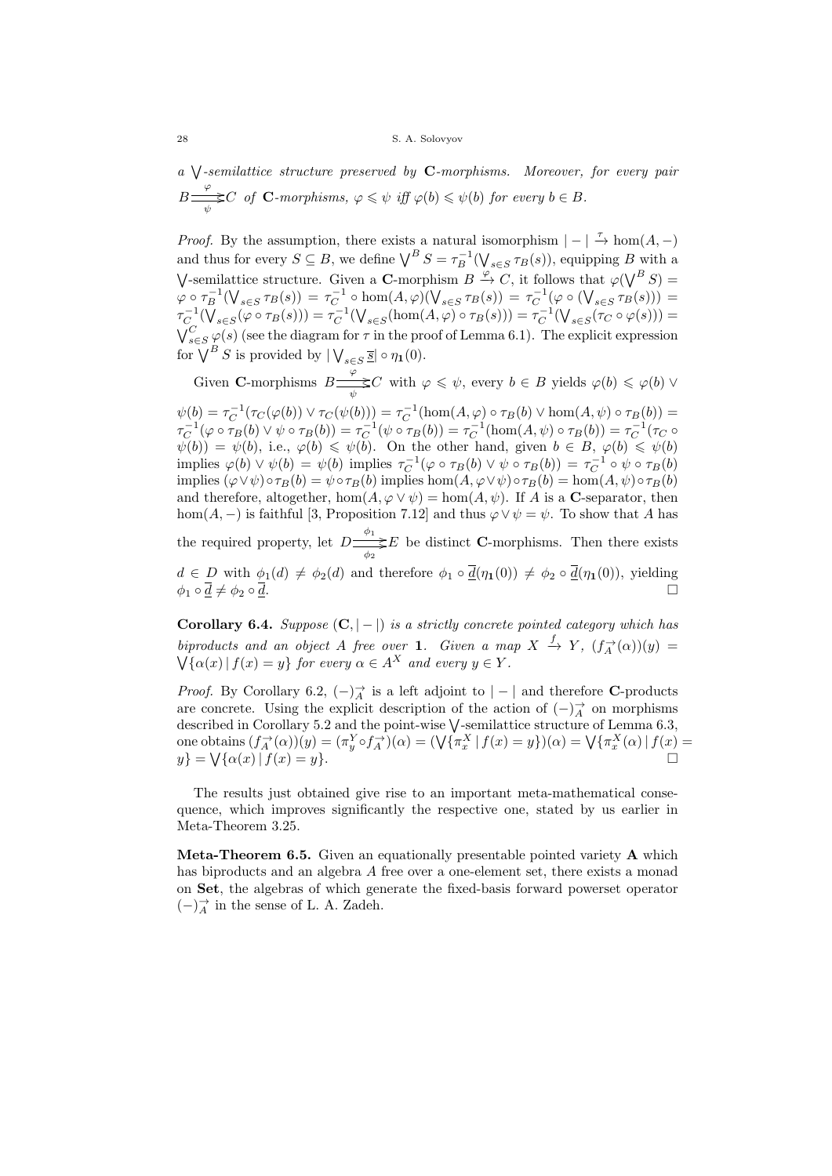a V-semilattice structure preserved by C-morphisms. Moreover, for every pair  $B \stackrel{\varphi}{\Longrightarrow} C$  $\frac{\partial \mathcal{L}}{\partial \psi} \leq C$  of **C**-morphisms,  $\varphi \leq \psi$  iff  $\varphi(b) \leq \psi(b)$  for every  $b \in B$ .

*Proof.* By the assumption, there exists a natural isomorphism  $| - | \stackrel{\tau}{\rightarrow} \text{hom}(A, -)$ and thus for every  $S \subseteq B$ , we define  $\bigvee^B S = \tau_B^{-1}(\bigvee_{s \in S} \tau_B(s))$ , equipping B with a V-semilattice structure. Given a C-morphism  $B \stackrel{\varphi}{\rightarrow} C$ , it follows that  $\varphi(\bigvee^B S) =$  $\varphi \circ \tau_B^{-1}(\bigvee_{s \in S} \tau_B(s)) = \tau_C^{-1} \circ \hom(A, \varphi)(\bigvee_{s \in S} \tau_B(s)) = \tau_C^{-1}(\varphi \circ (\bigvee_{s \in S} \tau_B(s))) =$  $\tau_C^{-1}(\bigvee_{s\in S}(\varphi\circ\tau_B(s)))=\tau_C^{-1}(\bigvee_{s\in S}(\text{hom}(A,\varphi)\circ\tau_B(s)))=\tau_C^{-1}(\bigvee_{s\in S}(\tau_C\circ\varphi(s)))=$  $\bigvee_{s\in S}^C \varphi(s)$  (see the diagram for  $\tau$  in the proof of Lemma 6.1). The explicit expression for  $\bigvee^B S$  is provided by  $\bigvee_{s \in S} \overline{\underline{s}} \big| \circ \eta_1(0)$ .

Given **C**-morphisms  $B \stackrel{\varphi}{\Longrightarrow} C$  $\frac{\partial^2}{\partial \psi} \leq C$  with  $\varphi \leq \psi$ , every  $b \in B$  yields  $\varphi(b) \leq \varphi(b) \vee$ 

 $\psi(b) = \tau_C^{-1}(\tau_C(\varphi(b)) \vee \tau_C(\psi(b))) = \tau_C^{-1}(\hom(A, \varphi) \circ \tau_B(b) \vee \hom(A, \psi) \circ \tau_B(b)) =$  $\tau_C^{-1}(\varphi \circ \tau_B(b) \vee \psi \circ \tau_B(b)) = \tau_C^{-1}(\psi \circ \tau_B(b)) = \tau_C^{-1}(\text{hom}(A, \psi) \circ \tau_B(b)) = \tau_C^{-1}(\tau_C \circ \tau_B(b))$  $\psi(b) = \psi(b)$ , i.e.,  $\varphi(b) \leq \psi(b)$ . On the other hand, given  $b \in B$ ,  $\varphi(b) \leq \psi(b)$ implies  $\varphi(b) \vee \psi(b) = \psi(b)$  implies  $\tau_C^{-1}(\varphi \circ \tau_B(b) \vee \psi \circ \tau_B(b)) = \tau_C^{-1} \circ \psi \circ \tau_B(b)$ implies  $(\varphi \lor \psi) \circ \tau_B(b) = \psi \circ \tau_B(b)$  implies hom $(A, \varphi \lor \psi) \circ \tau_B(b) = \hom(A, \psi) \circ \tau_B(b)$ and therefore, altogether,  $hom(A, \varphi \vee \psi) = hom(A, \psi)$ . If A is a C-separator, then hom( $A$ , –) is faithful [3, Proposition 7.12] and thus  $\varphi \vee \psi = \psi$ . To show that A has

the required property, let  $D \stackrel{\phi_1}{\Longrightarrow}$  $\Rightarrow E$  be distinct **C**-morphisms. Then there exists  $d \in D$  with  $\phi_1(d) \neq \phi_2(d)$  and therefore  $\phi_1 \circ \overline{d}(\eta_1(0)) \neq \phi_2 \circ \overline{d}(\eta_1(0))$ , yielding

 $\phi_1 \circ \overline{d} \neq \phi_2 \circ \overline{d}$ . □

Corollary 6.4. Suppose  $(C, |-|)$  is a strictly concrete pointed category which has biproducts and an object A free over 1. Given a map  $X \stackrel{f}{\to} Y$ ,  $(f_A^{\rightarrow}(\alpha))(y) =$  $\bigvee {\{\alpha(x) | f(x) = y\}}$  for every  $\alpha \in A^X$  and every  $y \in Y$ .

*Proof.* By Corollary 6.2,  $(-)_{A}^{\rightarrow}$  is a left adjoint to  $|-|$  and therefore **C**-products are concrete. Using the explicit description of the action of  $(-)_{A}^{\rightarrow}$  on morphisms described in Corollary 5.2 and the point-wise  $\sqrt{\ }$ -semilattice structure of Lemma 6.3, one obtains  $(f_A^{\rightarrow}(\alpha))(y) = (\pi_y^Y \circ f_A^{\rightarrow})(\alpha) = (\sqrt{\pi_x^X} \mid f(x) = y) \cdot (\alpha) = \sqrt{\pi_x^X}(\alpha) \mid f(x) = y$  $y$ } =  $\vee$  $\{\alpha(x) | f(x) = y\}.$ 

The results just obtained give rise to an important meta-mathematical consequence, which improves significantly the respective one, stated by us earlier in Meta-Theorem 3.25.

Meta-Theorem 6.5. Given an equationally presentable pointed variety A which has biproducts and an algebra A free over a one-element set, there exists a monad on Set, the algebras of which generate the fixed-basis forward powerset operator  $(-)$ <sup>→</sup> in the sense of L. A. Zadeh.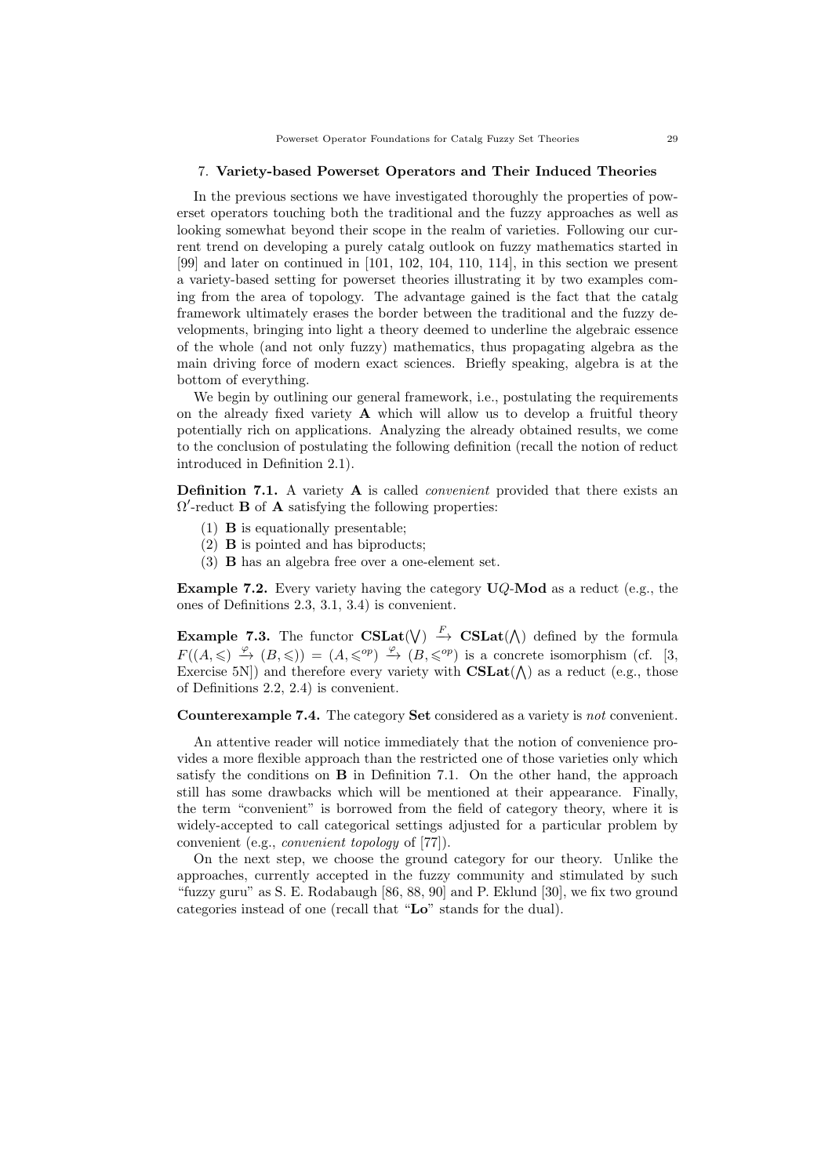### 7. Variety-based Powerset Operators and Their Induced Theories

In the previous sections we have investigated thoroughly the properties of powerset operators touching both the traditional and the fuzzy approaches as well as looking somewhat beyond their scope in the realm of varieties. Following our current trend on developing a purely catalg outlook on fuzzy mathematics started in [99] and later on continued in [101, 102, 104, 110, 114], in this section we present a variety-based setting for powerset theories illustrating it by two examples coming from the area of topology. The advantage gained is the fact that the catalg framework ultimately erases the border between the traditional and the fuzzy developments, bringing into light a theory deemed to underline the algebraic essence of the whole (and not only fuzzy) mathematics, thus propagating algebra as the main driving force of modern exact sciences. Briefly speaking, algebra is at the bottom of everything.

We begin by outlining our general framework, i.e., postulating the requirements on the already fixed variety  $A$  which will allow us to develop a fruitful theory potentially rich on applications. Analyzing the already obtained results, we come to the conclusion of postulating the following definition (recall the notion of reduct introduced in Definition 2.1).

**Definition 7.1.** A variety **A** is called *convenient* provided that there exists an  $\Omega'$ -reduct **B** of **A** satisfying the following properties:

- (1) B is equationally presentable;
- (2) B is pointed and has biproducts;
- (3) B has an algebra free over a one-element set.

**Example 7.2.** Every variety having the category  $UQ$ -Mod as a reduct (e.g., the ones of Definitions 2.3, 3.1, 3.4) is convenient.

**Example 7.3.** The functor  $CSLat(\vee) \stackrel{F}{\rightarrow} CSLat(\wedge)$  defined by the formula  $F((A, \leqslant) \stackrel{\varphi}{\to} (B, \leqslant)) = (A, \leqslant^{op}) \stackrel{\varphi}{\to} (B, \leqslant^{op})$  is a concrete isomorphism (cf. [3, Exercise 5N) and therefore every variety with  $CSLat(\Lambda)$  as a reduct (e.g., those of Definitions 2.2, 2.4) is convenient.

Counterexample 7.4. The category Set considered as a variety is not convenient.

An attentive reader will notice immediately that the notion of convenience provides a more flexible approach than the restricted one of those varieties only which satisfy the conditions on B in Definition 7.1. On the other hand, the approach still has some drawbacks which will be mentioned at their appearance. Finally, the term "convenient" is borrowed from the field of category theory, where it is widely-accepted to call categorical settings adjusted for a particular problem by convenient (e.g., convenient topology of [77]).

On the next step, we choose the ground category for our theory. Unlike the approaches, currently accepted in the fuzzy community and stimulated by such "fuzzy guru" as S. E. Rodabaugh [86, 88, 90] and P. Eklund [30], we fix two ground categories instead of one (recall that "Lo" stands for the dual).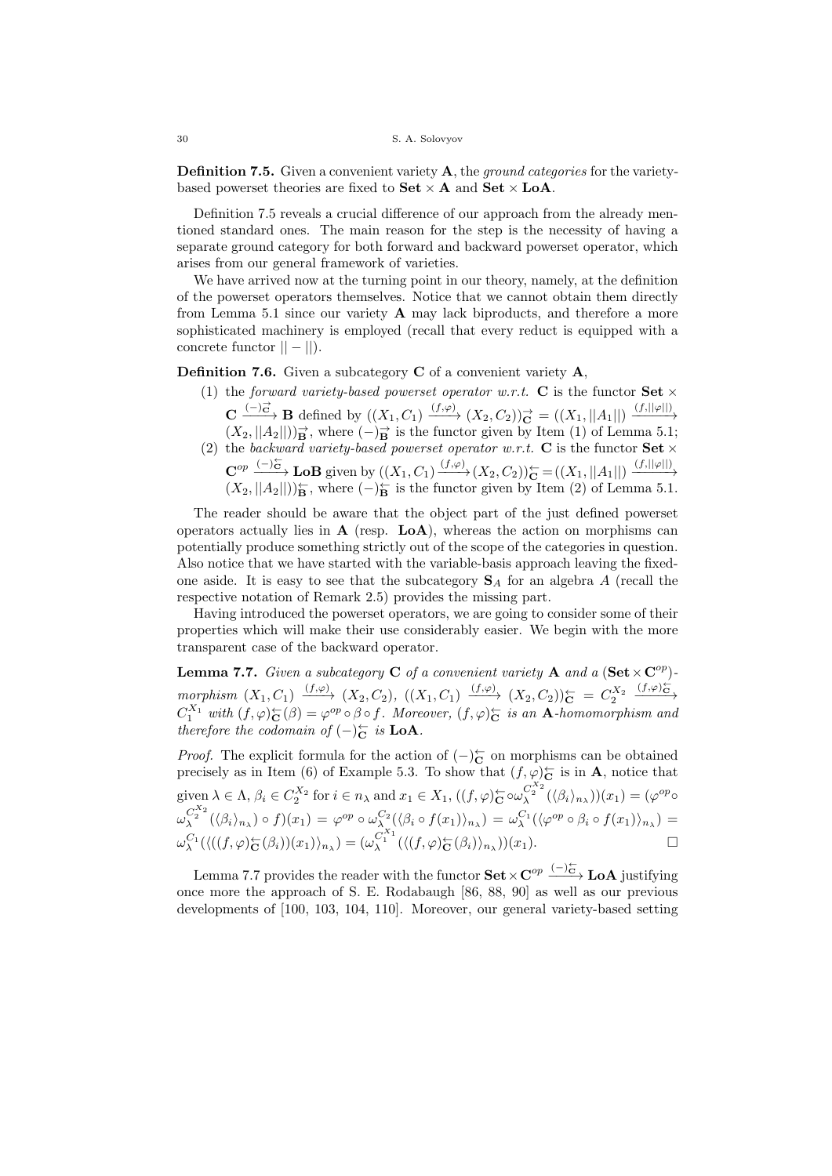**Definition 7.5.** Given a convenient variety  $\bf{A}$ , the *ground categories* for the varietybased powerset theories are fixed to  $\textbf{Set} \times \textbf{A}$  and  $\textbf{Set} \times \textbf{LoA}$ .

Definition 7.5 reveals a crucial difference of our approach from the already mentioned standard ones. The main reason for the step is the necessity of having a separate ground category for both forward and backward powerset operator, which arises from our general framework of varieties.

We have arrived now at the turning point in our theory, namely, at the definition of the powerset operators themselves. Notice that we cannot obtain them directly from Lemma 5.1 since our variety  $A$  may lack biproducts, and therefore a more sophisticated machinery is employed (recall that every reduct is equipped with a concrete functor  $|| - ||$ ).

**Definition 7.6.** Given a subcategory  $C$  of a convenient variety  $A$ ,

- (1) the forward variety-based powerset operator w.r.t. C is the functor  $\text{Set} \times$  $\mathbf{C} \xrightarrow{(-)\vec{c}} \mathbf{B}$  defined by  $((X_1, C_1) \xrightarrow{(f,\varphi)} (X_2, C_2))\vec{c} = ((X_1, ||A_1||) \xrightarrow{(f, ||\varphi||)}$  $(X_2, ||A_2||)\rightarrow{\rightarrow}$ , where  $(-)_{\mathbf{B}}^{\rightarrow}$  is the functor given by Item (1) of Lemma 5.1;
- (2) the backward variety-based powerset operator w.r.t. C is the functor  $\textbf{Set} \times$  $\mathbf{C}^{op} \xrightarrow{(-)\subset\atop{\leftarrow}} \mathbf{LoB}$  given by  $((X_1, C_1) \xrightarrow{(f,\varphi)} (X_2, C_2))_{\mathbf{C}}^{\leftarrow} = ((X_1, ||A_1||) \xrightarrow{(f, ||\varphi||)}$  $(X_2, ||A_2||)\mathbf{E}$ , where  $(-)_{\mathbf{B}}^{\leftarrow}$  is the functor given by Item (2) of Lemma 5.1.

The reader should be aware that the object part of the just defined powerset operators actually lies in  $A$  (resp.  $LoA$ ), whereas the action on morphisms can potentially produce something strictly out of the scope of the categories in question. Also notice that we have started with the variable-basis approach leaving the fixedone aside. It is easy to see that the subcategory  $S_A$  for an algebra A (recall the respective notation of Remark 2.5) provides the missing part.

Having introduced the powerset operators, we are going to consider some of their properties which will make their use considerably easier. We begin with the more transparent case of the backward operator.

**Lemma 7.7.** Given a subcategory **C** of a convenient variety **A** and a  $(\mathbf{Set} \times \mathbf{C}^{op})$  $morphism(X_1, C_1) \xrightarrow{(f,\varphi)} (X_2, C_2), ((X_1, C_1) \xrightarrow{(f,\varphi)} (X_2, C_2))_{\mathbf{C}}^{\leftarrow} = C_2^{X_2} \xrightarrow{(f,\varphi)_{\mathbf{C}}^{\leftarrow}}$  $C_1^{X_1}$  with  $(f, \varphi)_{\mathbf{C}}^{\Leftrightarrow}(\beta) = \varphi^{op} \circ \beta \circ f$ . Moreover,  $(f, \varphi)_{\mathbf{C}}^{\Leftrightarrow}$  is an A-homomorphism and therefore the codomain of  $(-)_{\mathbf{C}}^{\leftarrow}$  is **LoA**.

*Proof.* The explicit formula for the action of  $(-)_{\mathbf{C}}^{\leftarrow}$  on morphisms can be obtained precisely as in Item (6) of Example 5.3. To show that  $(f, \varphi)_{\mathbf{C}}^{\leftarrow}$  is in **A**, notice that given  $\lambda \in \Lambda$ ,  $\beta_i \in C_2^{X_2}$  for  $i \in n_\lambda$  and  $x_1 \in X_1$ ,  $((f, \varphi)_{\mathbb{C}} \circ \omega_{\lambda}^{C_2^{X_2}}(\langle \beta_i \rangle_{n_\lambda}))(x_1) = (\varphi^{op} \circ \varphi^{op} \circ \varphi^{op} \circ \varphi^{op} \circ \varphi^{op} \circ \varphi^{op} \circ \varphi^{op} \circ \varphi^{op} \circ \varphi^{op} \circ \varphi^{op} \circ \varphi^{op} \circ \varphi^{op} \circ \varphi^{op} \circ \varphi^{op}$  $\omega_{\lambda}^{C_{2}^{X_{2}}}(\langle \beta_{i} \rangle_{n_{\lambda}}) \circ f)(x_{1}) = \varphi^{op} \circ \omega_{\lambda}^{C_{2}}(\langle \beta_{i} \circ f(x_{1}) \rangle_{n_{\lambda}}) = \omega_{\lambda}^{C_{1}}(\langle \varphi^{op} \circ \beta_{i} \circ f(x_{1}) \rangle_{n_{\lambda}}) =$  $\omega_{\lambda}^{C_1} (\langle ((f, \varphi)_{\mathbf{C}}^{\leftarrow}(\beta_i))(x_1) \rangle_{n_{\lambda}}) = (\omega_{\lambda}^{C_1} (\langle (f, \varphi)_{\mathbf{C}}^{\leftarrow}(\beta_i) \rangle_{n_{\lambda}}))(x_1).$ 

Lemma 7.7 provides the reader with the functor  $\textbf{Set} \times \textbf{C}^{op} \xrightarrow{(-)\leftarrow\atop{c}} \textbf{LoA}$  justifying once more the approach of S. E. Rodabaugh [86, 88, 90] as well as our previous developments of [100, 103, 104, 110]. Moreover, our general variety-based setting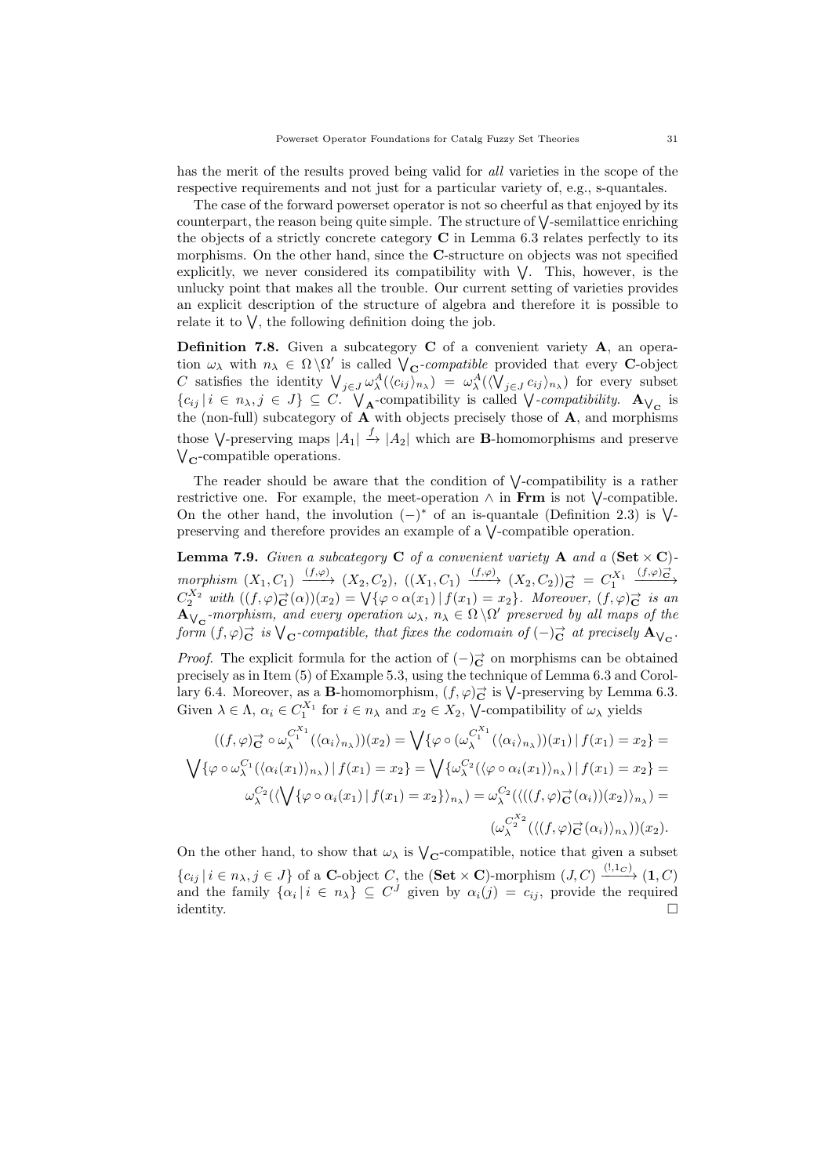has the merit of the results proved being valid for *all* varieties in the scope of the respective requirements and not just for a particular variety of, e.g., s-quantales.

The case of the forward powerset operator is not so cheerful as that enjoyed by its counterpart, the reason being quite simple. The structure of  $\vee$ -semilattice enriching the objects of a strictly concrete category  $C$  in Lemma 6.3 relates perfectly to its morphisms. On the other hand, since the C-structure on objects was not specified explicitly, we never considered its compatibility with  $\vee$ . This, however, is the unlucky point that makes all the trouble. Our current setting of varieties provides an explicit description of the structure of algebra and therefore it is possible to relate it to  $\vee$ , the following definition doing the job.

Definition 7.8. Given a subcategory C of a convenient variety A, an operation  $\omega_{\lambda}$  with  $n_{\lambda} \in \Omega \backslash \Omega'$  is called  $\bigvee_{\mathbf{C}}$ -compatible provided that every C-object C satisfies the identity  $\bigvee_{j\in J}\omega^A_\lambda(\langle c_{ij}\rangle_{n_\lambda}) = \omega^A_\lambda(\langle \bigvee_{j\in J}c_{ij}\rangle_{n_\lambda})$  for every subset  ${c_{ij} | i \in n_\lambda, j \in J} \subseteq C$ .  $\bigvee_{\mathbf{A}}$ -compatibility is called  $\bigvee$ -compatibility.  $\mathbf{A}_{\bigvee_{\mathbf{C}}}$  is the (non-full) subcategory of  $A$  with objects precisely those of  $A$ , and morphisms those  $\bigvee$ -preserving maps  $|A_1| \stackrel{f}{\to} |A_2|$  which are **B**-homomorphisms and preserve  $V_{\rm C}$ -compatible operations.

The reader should be aware that the condition of  $\sqrt{\ }$ -compatibility is a rather restrictive one. For example, the meet-operation  $\wedge$  in Frm is not  $\vee$ -compatible. On the other hand, the involution  $(-)^*$  of an is-quantale (Definition 2.3) is  $\sqrt{\phantom{a}}$ preserving and therefore provides an example of a  $\sqrt{\ }$ -compatible operation.

Lemma 7.9. Given a subcategory  $C$  of a convenient variety  $A$  and a  $(Set \times C)$  $morphism(X_1, C_1) \xrightarrow{(f,\varphi)} (X_2, C_2), ((X_1, C_1) \xrightarrow{(f,\varphi)} (X_2, C_2)) \stackrel{\rightarrow}{\mathbf{C}} = C_1^{X_1} \xrightarrow{(f,\varphi) \stackrel{\rightarrow}{\mathbf{C}}}$  $C_2^{X_2}$  with  $((f, \varphi)_{\mathbf{C}}^{\to}(\alpha))(x_2) = \bigvee \{ \varphi \circ \alpha(x_1) \mid f(x_1) = x_2 \}.$  Moreover,  $(f, \varphi)_{\mathbf{C}}^{\to}$  is an  $\overline{A}_{\bigvee_{\mathbf{C}}}$ -morphism, and every operation  $\omega_{\lambda}$ ,  $n_{\lambda} \in \Omega \setminus \Omega'$  preserved by all maps of the form  $(f, \varphi)_{\mathbf{C}}^{\rightarrow}$  is  $\bigvee_{\mathbf{C}}$ -compatible, that fixes the codomain of  $(-)_{\mathbf{C}}^{\rightarrow}$  at precisely  $\mathbf{A}_{\bigvee_{\mathbf{C}}}$ .

*Proof.* The explicit formula for the action of  $(-)\vec{c}$  on morphisms can be obtained precisely as in Item (5) of Example 5.3, using the technique of Lemma 6.3 and Corollary 6.4. Moreover, as a **B**-homomorphism,  $(f, \varphi)_{\mathbf{C}}^{\to}$  is  $\bigvee$ -preserving by Lemma 6.3. Given  $\lambda \in \Lambda$ ,  $\alpha_i \in C_1^{X_1}$  for  $i \in n_\lambda$  and  $x_2 \in X_2$ ,  $\bigvee$ -compatibility of  $\omega_\lambda$  yields

$$
((f,\varphi)_{\mathbf{C}}^{\rightarrow}\circ\omega_{\lambda}^{C_{1}^{X_{1}}}(\langle\alpha_{i}\rangle_{n_{\lambda}}))(x_{2}) = \bigvee\{\varphi\circ(\omega_{\lambda}^{C_{1}^{X_{1}}}(\langle\alpha_{i}\rangle_{n_{\lambda}}))(x_{1}) \mid f(x_{1}) = x_{2}\} = \bigvee\{\varphi\circ\omega_{\lambda}^{C_{1}}(\langle\alpha_{i}(x_{1})\rangle_{n_{\lambda}}) \mid f(x_{1}) = x_{2}\} = \bigvee\{\omega_{\lambda}^{C_{2}}(\langle\varphi\circ\alpha_{i}(x_{1})\rangle_{n_{\lambda}}) \mid f(x_{1}) = x_{2}\} = \omega_{\lambda}^{C_{2}}(\langle\bigvee\{\varphi\circ\alpha_{i}(x_{1}) \mid f(x_{1}) = x_{2}\}\rangle_{n_{\lambda}}) = \omega_{\lambda}^{C_{2}}(\langle((f,\varphi)_{\mathbf{C}}^{\rightarrow}(\alpha_{i}))(x_{2})\rangle_{n_{\lambda}}) = \omega_{\lambda}^{C_{2}^{X_{2}}}(\langle((f,\varphi)_{\mathbf{C}}^{\rightarrow}(\alpha_{i})\rangle_{n_{\lambda}}))(x_{2}).
$$

On the other hand, to show that  $\omega_{\lambda}$  is  $\mathcal{V}_{\mathbf{C}}$ -compatible, notice that given a subset  ${c_{ij} | i \in n_{\lambda}, j \in J}$  of a **C**-object C, the (**Set**  $\times$  **C**)-morphism  $(J, C) \xrightarrow{(!, 1_C)} (1, C)$ and the family  $\{\alpha_i \mid i \in n_{\lambda}\}\subseteq C^J$  given by  $\alpha_i(j) = c_{ij}$ , provide the required identity.  $\Box$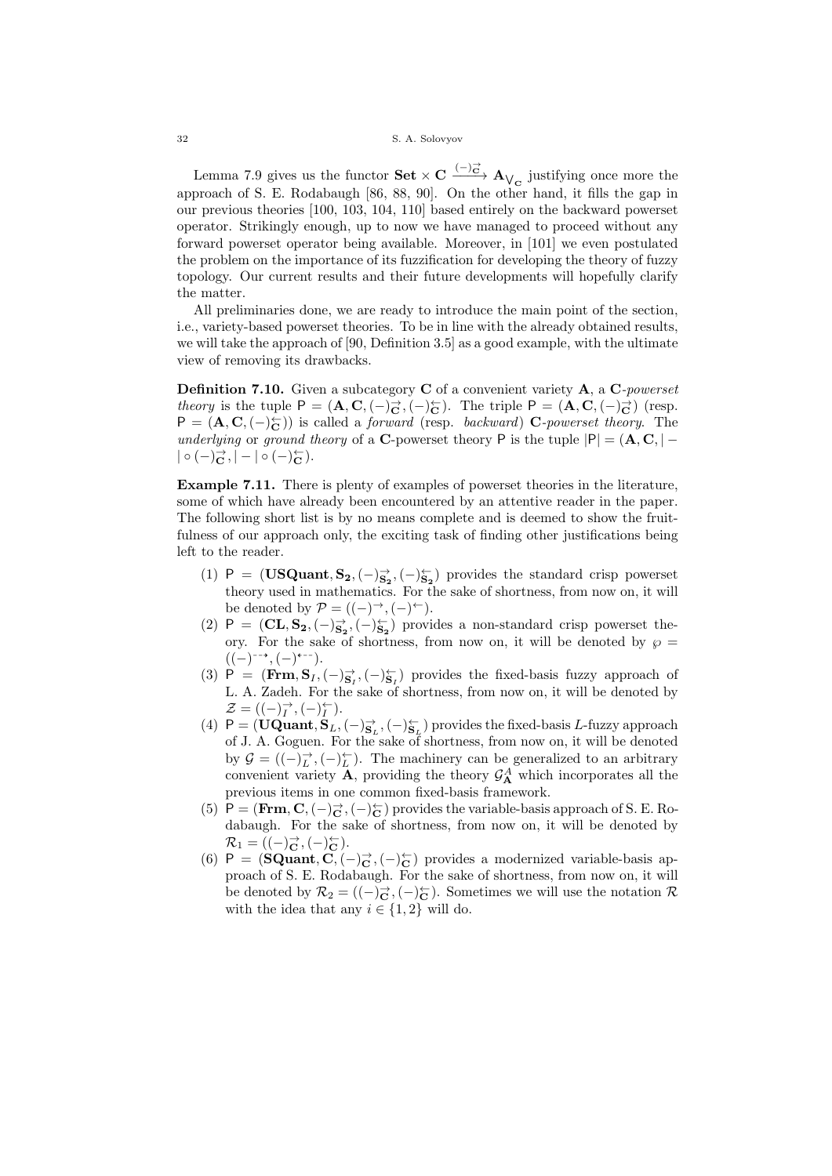Lemma 7.9 gives us the functor  $\textbf{Set} \times \textbf{C} \xrightarrow{(-)_{\textbf{C}}^{\rightarrow}} \textbf{A}_{\bigvee_{\textbf{C}}}$  justifying once more the approach of S. E. Rodabaugh [86, 88, 90]. On the other hand, it fills the gap in our previous theories [100, 103, 104, 110] based entirely on the backward powerset operator. Strikingly enough, up to now we have managed to proceed without any forward powerset operator being available. Moreover, in [101] we even postulated the problem on the importance of its fuzzification for developing the theory of fuzzy topology. Our current results and their future developments will hopefully clarify the matter.

All preliminaries done, we are ready to introduce the main point of the section, i.e., variety-based powerset theories. To be in line with the already obtained results, we will take the approach of [90, Definition 3.5] as a good example, with the ultimate view of removing its drawbacks.

Definition 7.10. Given a subcategory C of a convenient variety A, a C-powerset theory is the tuple  $P = (\mathbf{A}, \mathbf{C}, (-)^{\rightarrow}_{\mathbf{C}}, (-)^{\leftarrow}_{\mathbf{C}})$ . The triple  $P = (\mathbf{A}, \mathbf{C}, (-)^{\rightarrow}_{\mathbf{C}})$  (resp.  $P = (\mathbf{A}, \mathbf{C}, (-)_\mathbf{C}^{\leftarrow})$  is called a *forward* (resp. *backward*) C-*powerset theory*. The underlying or ground theory of a C-powerset theory P is the tuple  $|P| = (A, C, | \mid \circ \left( -\right)_{\mathbf{C}}^{\rightarrow}, \mid -\mid \circ \left( -\right)_{\mathbf{C}}^{\leftarrow} ).$ 

Example 7.11. There is plenty of examples of powerset theories in the literature, some of which have already been encountered by an attentive reader in the paper. The following short list is by no means complete and is deemed to show the fruitfulness of our approach only, the exciting task of finding other justifications being left to the reader.

- (1) P =  $(\text{USQuant}, S_2, (-)_{S_2}^{\nightharpoonup}, (-)_{S_2}^{\nightharpoonup})$  provides the standard crisp powerset theory used in mathematics. For the sake of shortness, from now on, it will be denoted by  $\mathcal{P} = ((-) \rightarrow, (-) \leftarrow).$
- (2)  $P = (CL, S_2, (-)_{S_2}^{\nightharpoonup}, (-)_{S_2}^{\nightharpoonup})$  provides a non-standard crisp powerset theory. For the sake of shortness, from now on, it will be denoted by  $\wp =$  $((-)^{-1}$ ,  $(-)^{+1}$ ).
- (3) P =  $(\text{Frm}, \text{S}_I, (-)_{\text{S}_I}^{\leftrightarrow}, (-)_{\text{S}_I}^{\leftrightarrow})$  provides the fixed-basis fuzzy approach of L. A. Zadeh. For the sake of shortness, from now on, it will be denoted by  $\mathcal{Z} = ((-)^\rightarrow_I, (-)^\leftarrow_I).$
- (4)  $P = (UQuant, S<sub>L</sub>, (-)<sup>→</sup><sub>S<sub>L</sub></sub>, (-)<sup>+</sup><sub>S<sub>L</sub></sub>)$  provides the fixed-basis L-fuzzy approach of J. A. Goguen. For the sake of shortness, from now on, it will be denoted by  $\mathcal{G} = ((-\rangle_L^{\rightarrow}, (-)_L^{\leftarrow})$ . The machinery can be generalized to an arbitrary convenient variety **A**, providing the theory  $\mathcal{G}_{\mathbf{A}}^A$  which incorporates all the previous items in one common fixed-basis framework.
- (5) P =  $(\text{Frm}, \text{C}, (-)_\text{C}^{\rightarrow}, (-)_\text{C}^{\leftarrow})$  provides the variable-basis approach of S. E. Rodabaugh. For the sake of shortness, from now on, it will be denoted by  $\mathcal{R}_1 = ((-)_{\mathbf{C}}^{\rightarrow}, (-)_{\mathbf{C}}^{\leftarrow}).$
- (6) P =  $(\text{SQuant}, \overrightarrow{C}, (-)_C^{\leftarrow}, (-)_C^{\leftarrow})$  provides a modernized variable-basis approach of S. E. Rodabaugh. For the sake of shortness, from now on, it will be denoted by  $\mathcal{R}_2 = ((-\rangle_{\mathbf{C}}^{\rightarrow}, (-)_\mathbf{C}^{\leftarrow}).$  Sometimes we will use the notation  $\mathcal{R}$ with the idea that any  $i \in \{1, 2\}$  will do.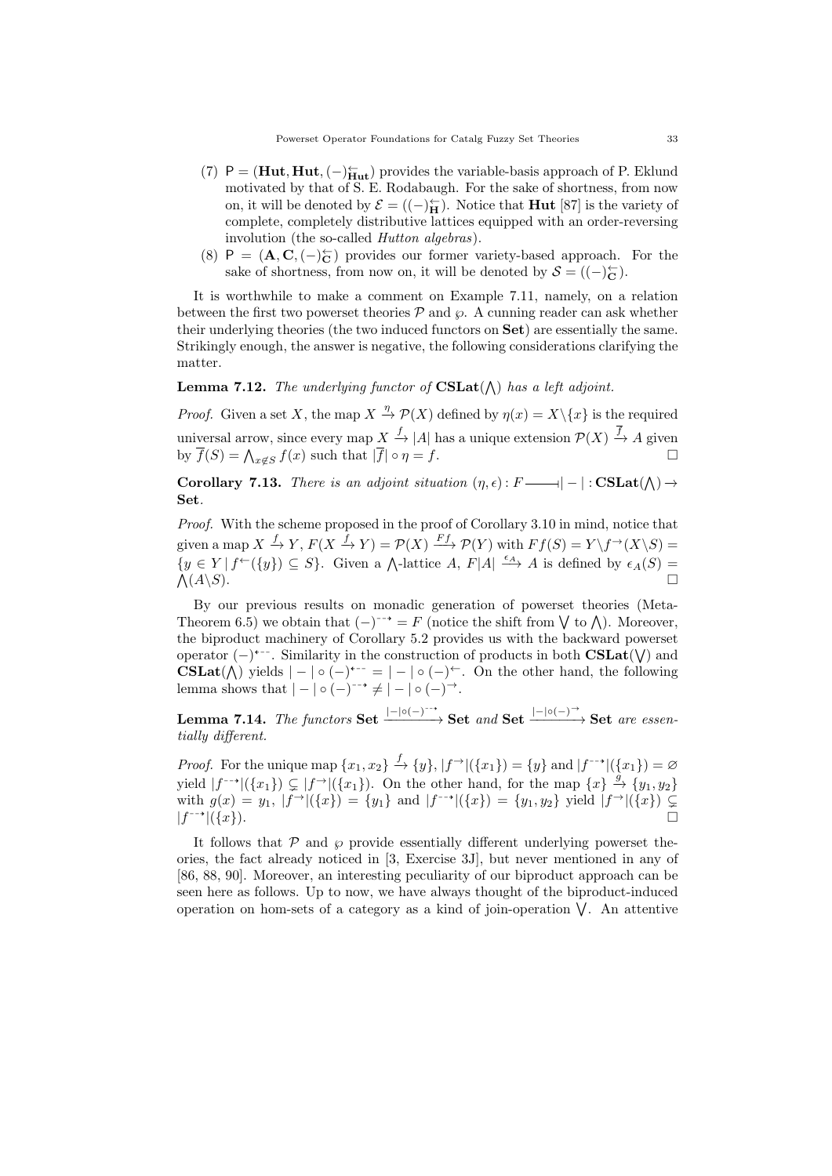- (7) P =  $(Hut, Hut, (-)_{Hut}^{\leftarrow})$  provides the variable-basis approach of P. Eklund motivated by that of S. E. Rodabaugh. For the sake of shortness, from now on, it will be denoted by  $\mathcal{E} = ((-\rangle_{\mathbf{H}}^{\leftarrow})$ . Notice that **Hut** [87] is the variety of complete, completely distributive lattices equipped with an order-reversing involution (the so-called *Hutton algebras*).
- (8) P =  $(\mathbf{A}, \mathbf{C}, (-)_\mathbf{C}^{\leftarrow})$  provides our former variety-based approach. For the sake of shortness, from now on, it will be denoted by  $S = ((-)_{\mathbf{C}}^{\leftarrow}).$

It is worthwhile to make a comment on Example 7.11, namely, on a relation between the first two powerset theories  $\mathcal P$  and  $\wp$ . A cunning reader can ask whether their underlying theories (the two induced functors on Set) are essentially the same. Strikingly enough, the answer is negative, the following considerations clarifying the matter.

## **Lemma 7.12.** The underlying functor of  $\text{CSLat}(\wedge)$  has a left adjoint.

*Proof.* Given a set X, the map  $X \stackrel{\eta}{\rightarrow} \mathcal{P}(X)$  defined by  $\eta(x) = X \setminus \{x\}$  is the required universal arrow, since every map  $X \xrightarrow{f} |A|$  has a unique extension  $\mathcal{P}(X) \xrightarrow{f} A$  given by  $\overline{f}(S) = \bigwedge_{x \notin S} f(x)$  such that  $|\overline{f}| \circ \eta = f$ .

Corollary 7.13. There is an adjoint situation  $(\eta, \epsilon) : F \longrightarrow |-| : \text{CSLat}(\wedge) \rightarrow$ I Set.

Proof. With the scheme proposed in the proof of Corollary 3.10 in mind, notice that given a map  $X \xrightarrow{f} Y$ ,  $F(X \xrightarrow{f} Y) = \mathcal{P}(X) \xrightarrow{Ff} \mathcal{P}(Y)$  with  $Ff(S) = Y \setminus f^{\rightarrow}(X \setminus S)$  $\{y \in Y \mid f^{\leftarrow}(\{y\}) \subseteq S\}.$  Given a  $\bigwedge$ -lattice  $A, F|A| \stackrel{\epsilon_A}{\longrightarrow} A$  is defined by  $\epsilon_A(S) =$  $\Lambda(A\backslash S)$ .  $(A\setminus S)$ .  $\square$ 

By our previous results on monadic generation of powerset theories (Meta-Theorem 6.5) we obtain that  $(-)^{-\rightarrow} = F$  (notice the shift from  $\bigvee$  to  $\bigwedge$ ). Moreover, the biproduct machinery of Corollary 5.2 provides us with the backward powerset operator  $(-)^{+-}$ . Similarity in the construction of products in both  $\text{CSLat}(\vee)$  and CSLat( $\bigwedge$ ) yields  $| - | \circ (-)^{+-} = | - | \circ (-)^{+-}$ . On the other hand, the following lemma shows that  $|-| \circ (-)^{-} \neq |- | \circ (-)^{\rightarrow}$ .

Lemma 7.14. The functors Set  $\frac{|-| \circ (-)^{-*}}{\longrightarrow}$  Set and Set  $\frac{|-| \circ (-)^{-*}}{\longrightarrow}$  Set are essentially different.

*Proof.* For the unique map  $\{x_1, x_2\} \stackrel{f}{\rightarrow} \{y\}$ ,  $|f^{\rightarrow}|(\{x_1\}) = \{y\}$  and  $|f^{-\rightarrow}|(\{x_1\}) = \emptyset$ yield  $|f^{-\star}|(\{x_1\}) \subsetneq |f^{\to}|(\{x_1\})$ . On the other hand, for the map  $\{x\} \stackrel{g}{\to} \{y_1, y_2\}$ with  $g(x) = y_1$ ,  $|f^{-1}((x))| = \{y_1\}$  and  $|f^{-1}((x))| = \{y_1, y_2\}$  yield  $|f^{-1}((x))| \subseteq$  $|f^{-\rightarrow}|(\{x\}).$ 99K∣({x}). □→ (({x}). □→ (({x}). □□→ ({x}). □□→ ({x}). □□→ ({x}). □□→ (x}). □□→ (x}). □□→ (x}). □□→ (x}). □□→ (x}). □□→ (x}). □□→ (x}). □□→ (x}). □□→ (x}). □□→ (x}). □□→ (x}). □□→ (x}). □→ (x}). □→ (x}). □→ (x}). □→ (x}).

It follows that  $\mathcal P$  and  $\varphi$  provide essentially different underlying powerset theories, the fact already noticed in [3, Exercise 3J], but never mentioned in any of [86, 88, 90]. Moreover, an interesting peculiarity of our biproduct approach can be seen here as follows. Up to now, we have always thought of the biproduct-induced operation on hom-sets of a category as a kind of join-operation ⋁ . An attentive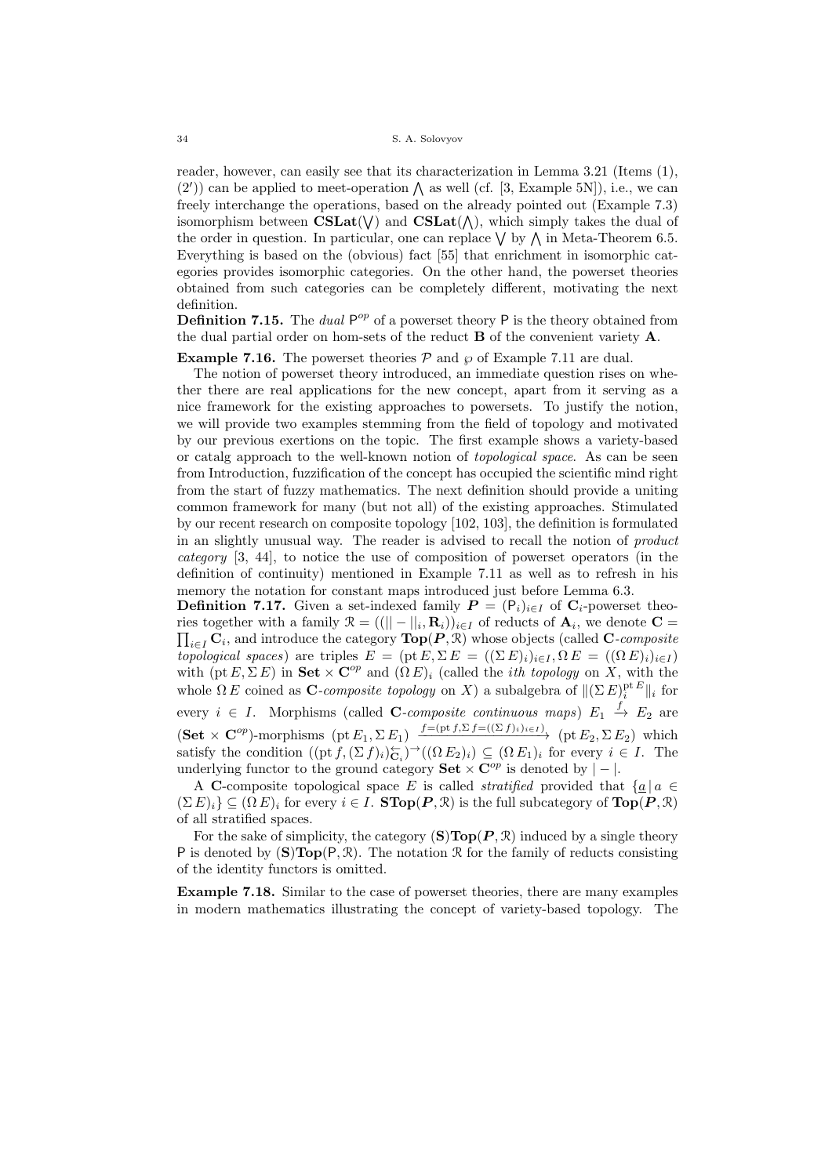reader, however, can easily see that its characterization in Lemma 3.21 (Items (1),  $(2')$  can be applied to meet-operation  $\wedge$  as well (cf. [3, Example 5N]), i.e., we can freely interchange the operations, based on the already pointed out (Example 7.3) isomorphism between  $CSLat(\nabla)$  and  $CSLat(\nabla)$ , which simply takes the dual of the order in question. In particular, one can replace  $\vee$  by  $\wedge$  in Meta-Theorem 6.5. Everything is based on the (obvious) fact [55] that enrichment in isomorphic categories provides isomorphic categories. On the other hand, the powerset theories obtained from such categories can be completely different, motivating the next definition.

**Definition 7.15.** The *dual*  $P^{op}$  of a powerset theory P is the theory obtained from the dual partial order on hom-sets of the reduct B of the convenient variety A.

# **Example 7.16.** The powerset theories  $P$  and  $\wp$  of Example 7.11 are dual.

The notion of powerset theory introduced, an immediate question rises on whether there are real applications for the new concept, apart from it serving as a nice framework for the existing approaches to powersets. To justify the notion, we will provide two examples stemming from the field of topology and motivated by our previous exertions on the topic. The first example shows a variety-based or catalg approach to the well-known notion of topological space. As can be seen from Introduction, fuzzification of the concept has occupied the scientific mind right from the start of fuzzy mathematics. The next definition should provide a uniting common framework for many (but not all) of the existing approaches. Stimulated by our recent research on composite topology [102, 103], the definition is formulated in an slightly unusual way. The reader is advised to recall the notion of product category [3, 44], to notice the use of composition of powerset operators (in the definition of continuity) mentioned in Example 7.11 as well as to refresh in his memory the notation for constant maps introduced just before Lemma 6.3.

**Definition 7.17.** Given a set-indexed family  $P = (P_i)_{i \in I}$  of  $C_i$ -powerset theories together with a family  $\mathcal{R} = ((|| - ||_i, \mathbf{R}_i))_{i \in I}$  of reducts of  $\mathbf{A}_i$ , we denote  $\mathbf{C} =$  $\prod_{i \in I} \mathbf{C}_i$ , and introduce the category  $\text{Top}(P, \mathbb{R})$  whose objects (called C-composite topological spaces) are triples  $E = (\text{pt } E, \Sigma E = ((\Sigma E)_i)_{i \in I}, \Omega E = ((\Omega E)_i)_{i \in I})$ with (pt  $E, \Sigma E$ ) in Set  $\times \mathbb{C}^{op}$  and  $(\Omega E)_i$  (called the *ith topology* on  $\hat{X}$ , with the whole  $\Omega E$  coined as C-composite topology on X) a subalgebra of  $\|(\Sigma E)^{\text{pt } E}_i\|_i$  for every  $i \in I$ . Morphisms (called C-composite continuous maps)  $E_1 \stackrel{f}{\rightarrow} E_2$  are  $(\mathbf{Set} \times \mathbf{C}^{op})$ -morphisms  $(\mathrm{pt} E_1, \Sigma E_1) \xrightarrow{f=(\mathrm{pt} f, \Sigma f=((\Sigma f))_i \in I)} (\mathrm{pt} E_2, \Sigma E_2)$  which satisfy the condition  $((pt\, f, (\Sigma\, f)_i)_{\mathbf{C}_i}^{\leftrightarrow})^{\rightarrow}((\Omega\, E_2)_i) \subseteq (\Omega\, E_1)_i$  for every  $i \in I$ . The underlying functor to the ground category **Set**  $\times \mathbb{C}^{op}$  is denoted by  $|-|$ .

A C-composite topological space E is called *stratified* provided that  $\{a \mid a \in \mathbb{R}\}$  $(\Sigma E)_i$   $\subseteq$   $(\Omega E)_i$  for every  $i \in I$ . **STop** $(P, \mathcal{R})$  is the full subcategory of  $\text{Top}(P, \mathcal{R})$ of all stratified spaces.

For the sake of simplicity, the category  $(S)Top(P, \mathcal{R})$  induced by a single theory P is denoted by  $(\mathbf{S})\text{Top}(\mathsf{P}, \mathcal{R})$ . The notation  $\mathcal R$  for the family of reducts consisting of the identity functors is omitted.

Example 7.18. Similar to the case of powerset theories, there are many examples in modern mathematics illustrating the concept of variety-based topology. The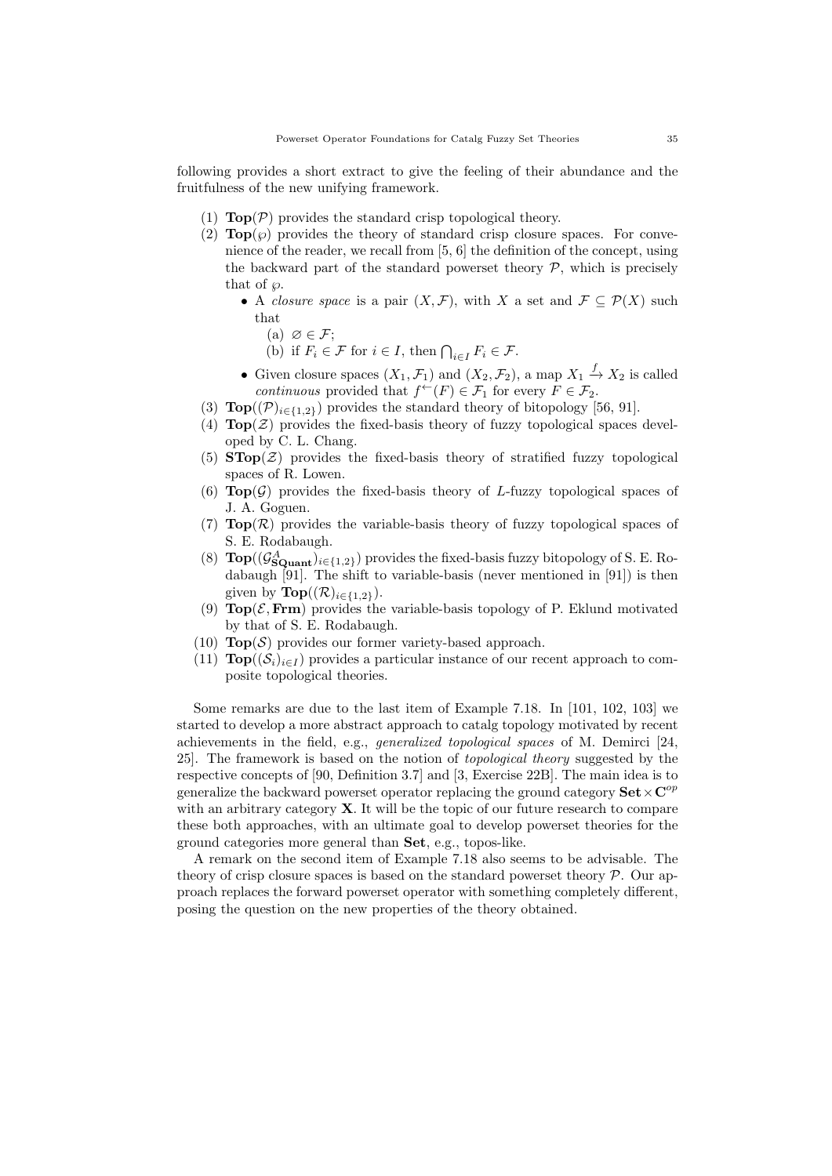following provides a short extract to give the feeling of their abundance and the fruitfulness of the new unifying framework.

- (1)  $\text{Top}(\mathcal{P})$  provides the standard crisp topological theory.
- (2)  $\text{Top}(\wp)$  provides the theory of standard crisp closure spaces. For convenience of the reader, we recall from [5, 6] the definition of the concept, using the backward part of the standard powerset theory  $P$ , which is precisely that of  $\varphi$ .
	- A closure space is a pair  $(X, \mathcal{F})$ , with X a set and  $\mathcal{F} \subset \mathcal{P}(X)$  such that
		- (a)  $\varnothing \in \mathcal{F};$
		- (b) if  $F_i \in \mathcal{F}$  for  $i \in I$ , then  $\bigcap_{i \in I} F_i \in \mathcal{F}$ .
	- Given closure spaces  $(X_1, \mathcal{F}_1)$  and  $(X_2, \mathcal{F}_2)$ , a map  $X_1 \stackrel{f}{\rightarrow} X_2$  is called continuous provided that  $f^{\leftarrow}(F) \in \mathcal{F}_1$  for every  $F \in \mathcal{F}_2$ .
- (3)  $\text{Top}((\mathcal{P})_{i\in\{1,2\}})$  provides the standard theory of bitopology [56, 91].
- (4)  $\text{Top}(\mathcal{Z})$  provides the fixed-basis theory of fuzzy topological spaces developed by C. L. Chang.
- (5)  $\text{STop}(\mathcal{Z})$  provides the fixed-basis theory of stratified fuzzy topological spaces of R. Lowen.
- (6)  $\text{Top}(\mathcal{G})$  provides the fixed-basis theory of L-fuzzy topological spaces of J. A. Goguen.
- (7)  $\text{Top}(\mathcal{R})$  provides the variable-basis theory of fuzzy topological spaces of S. E. Rodabaugh.
- (8)  $\text{Top}((\mathcal{G}_{\text{SQuant}}^A)_{i \in \{1,2\}})$  provides the fixed-basis fuzzy bitopology of S. E. Rodabaugh [91]. The shift to variable-basis (never mentioned in [91]) is then given by  $\text{Top}((\mathcal{R})_{i \in \{1,2\}}).$
- (9)  $\text{Top}(\mathcal{E}, \text{Frm})$  provides the variable-basis topology of P. Eklund motivated by that of S. E. Rodabaugh.
- (10)  $\text{Top}(\mathcal{S})$  provides our former variety-based approach.
- (11)  $\text{Top}((S_i)_{i\in I})$  provides a particular instance of our recent approach to composite topological theories.

Some remarks are due to the last item of Example 7.18. In [101, 102, 103] we started to develop a more abstract approach to catalg topology motivated by recent achievements in the field, e.g., generalized topological spaces of M. Demirci [24, 25]. The framework is based on the notion of topological theory suggested by the respective concepts of [90, Definition 3.7] and [3, Exercise 22B]. The main idea is to generalize the backward powerset operator replacing the ground category  $\textbf{Set} \times \textbf{C}^{op}$ with an arbitrary category  $X$ . It will be the topic of our future research to compare these both approaches, with an ultimate goal to develop powerset theories for the ground categories more general than Set, e.g., topos-like.

A remark on the second item of Example 7.18 also seems to be advisable. The theory of crisp closure spaces is based on the standard powerset theory  $P$ . Our approach replaces the forward powerset operator with something completely different, posing the question on the new properties of the theory obtained.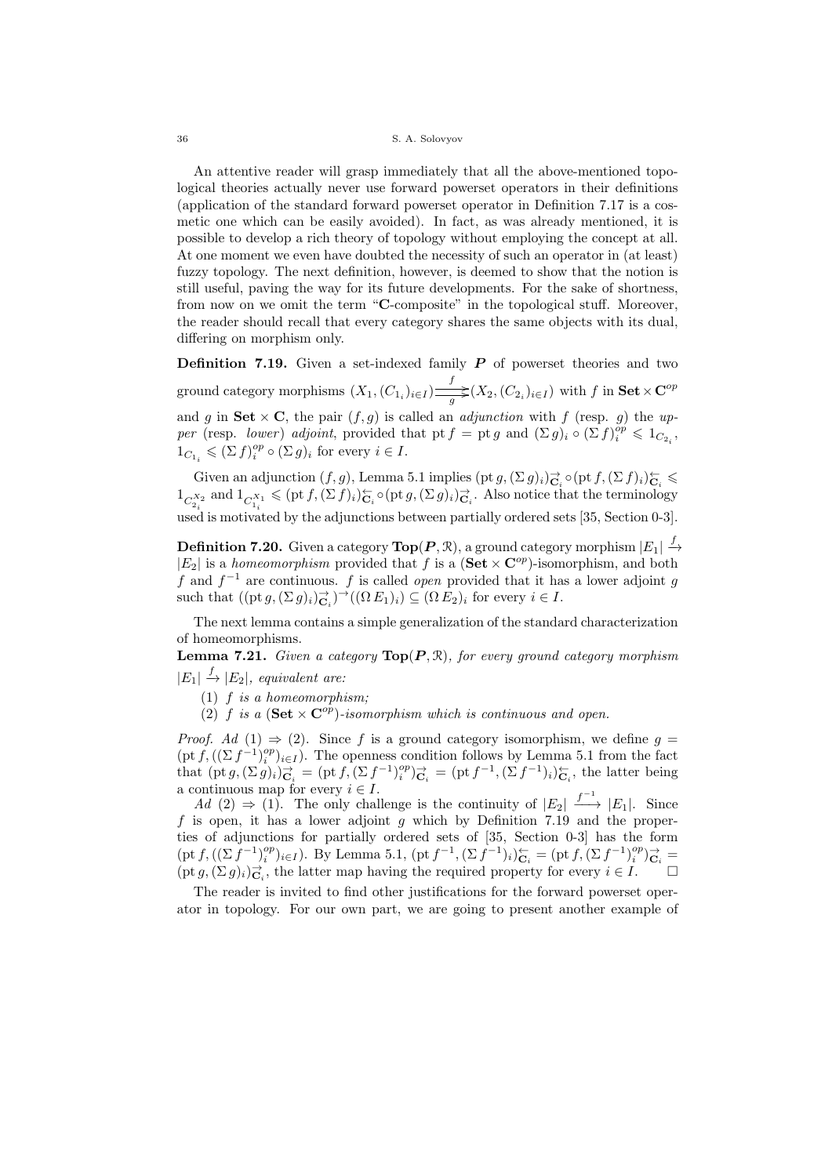An attentive reader will grasp immediately that all the above-mentioned topological theories actually never use forward powerset operators in their definitions (application of the standard forward powerset operator in Definition 7.17 is a cosmetic one which can be easily avoided). In fact, as was already mentioned, it is possible to develop a rich theory of topology without employing the concept at all. At one moment we even have doubted the necessity of such an operator in (at least) fuzzy topology. The next definition, however, is deemed to show that the notion is still useful, paving the way for its future developments. For the sake of shortness, from now on we omit the term "C-composite" in the topological stuff. Moreover, the reader should recall that every category shares the same objects with its dual, differing on morphism only.

**Definition 7.19.** Given a set-indexed family  $P$  of powerset theories and two ground category morphisms  $(X_1,(C_{1_i})_{i\in I})\frac{f}{\sqrt{2\pi i}}(X_2,(C_{2_i})_{i\in I})$  with f in  $\textbf{Set} \times \textbf{C}^{op}$ and g in Set  $\times$  C, the pair  $(f, g)$  is called an *adjunction* with f (resp. g) the upper (resp. lower) adjoint, provided that pt  $f =$  pt g and  $(\Sigma g)_i \circ (\Sigma f)_i^{op} \leq 1_{C_{2_i}}$ ,  $1_{C_{1_i}} \leqslant (\sum f)_i^{op} \circ (\sum g)_i$  for every  $i \in I$ .

Given an adjunction  $(f, g)$ , Lemma 5.1 implies  $(\text{pt } g, (\Sigma g)_i) \rightarrow_{\mathbf{C}_i}^{\mathbf{C}} \circ (\text{pt } f, (\Sigma f)_i) \leftarrow_{\mathbf{C}_i}^{\mathbf{C}}$  $1_{C_{2_i}^{X_2}}$  and  $1_{C_{1_i}^{X_1}} \leqslant (\text{pt } f, (\Sigma f)_i)_{C_i}^{\leftarrow} \circ (\text{pt } g, (\Sigma g)_i)_{C_i}^{\rightarrow}$ . Also notice that the terminology used is motivated by the adjunctions between partially ordered sets [35, Section 0-3].

 ${\bf Definition}$  7.20. Given a category  ${\bf Top}(P,\mathcal{R}),$  a ground category morphism  $|E_1|\stackrel{f}{\rightarrow}$  $|E_2|$  is a homeomorphism provided that f is a  $(\mathbf{Set} \times \mathbf{C}^{op})$ -isomorphism, and both f and  $f^{-1}$  are continuous. f is called *open* provided that it has a lower adjoint g such that  $((\text{pt } g, (\Sigma g)_i)_{\mathbf{C}_i})^{\to}((\Omega E_1)_i) \subseteq (\Omega E_2)_i$  for every  $i \in I$ .

The next lemma contains a simple generalization of the standard characterization of homeomorphisms.

**Lemma 7.21.** Given a category  $\text{Top}(P, \mathbb{R})$ , for every ground category morphism  $|E_1|\stackrel{f}{\rightarrow} |E_2|$ , equivalent are:

- $(1)$  *f* is a homeomorphism;
- (2) f is a  $(\textbf{Set} \times \textbf{C}^{op})$ -isomorphism which is continuous and open.

*Proof.* Ad  $(1) \Rightarrow (2)$ . Since f is a ground category isomorphism, we define  $g =$  $(\text{pt } f, ((\Sigma f^{-1})_i^{op})_{i\in I})$ . The openness condition follows by Lemma 5.1 from the fact that  $(\text{pt } g, (\Sigma g)_i)_{\mathbf{C}_i}^{\rightarrow} = (\text{pt } f, (\Sigma f^{-1})_i^{\circ p})_{\mathbf{C}_i}^{\rightarrow} = (\text{pt } f^{-1}, (\Sigma f^{-1})_i)_{\mathbf{C}_i}^{\leftarrow}$ , the latter being a continuous map for every  $i \in I$ .

 $Ad (2) \Rightarrow (1)$ . The only challenge is the continuity of  $|E_2| \xrightarrow{f^{-1}} |E_1|$ . Since  $f$  is open, it has a lower adjoint  $g$  which by Definition 7.19 and the properties of adjunctions for partially ordered sets of [35, Section 0-3] has the form  $(\text{pt } f, ((\Sigma \tilde{f}^{-1})_i^{op})_{i \in I}).$  By Lemma 5.1,  $(\text{pt } f^{-1}, (\Sigma \tilde{f}^{-1})_i)_{\mathbf{C}_i}^{\leftarrow} = (\text{pt } f, (\Sigma \tilde{f}^{-1})_i^{op})_{\mathbf{C}_i}^{\rightarrow} =$  $(\text{pt } g, (\Sigma g)_i)_{\mathbf{C}_i}^{\to}$ , the latter map having the required property for every  $i \in I$ .

The reader is invited to find other justifications for the forward powerset operator in topology. For our own part, we are going to present another example of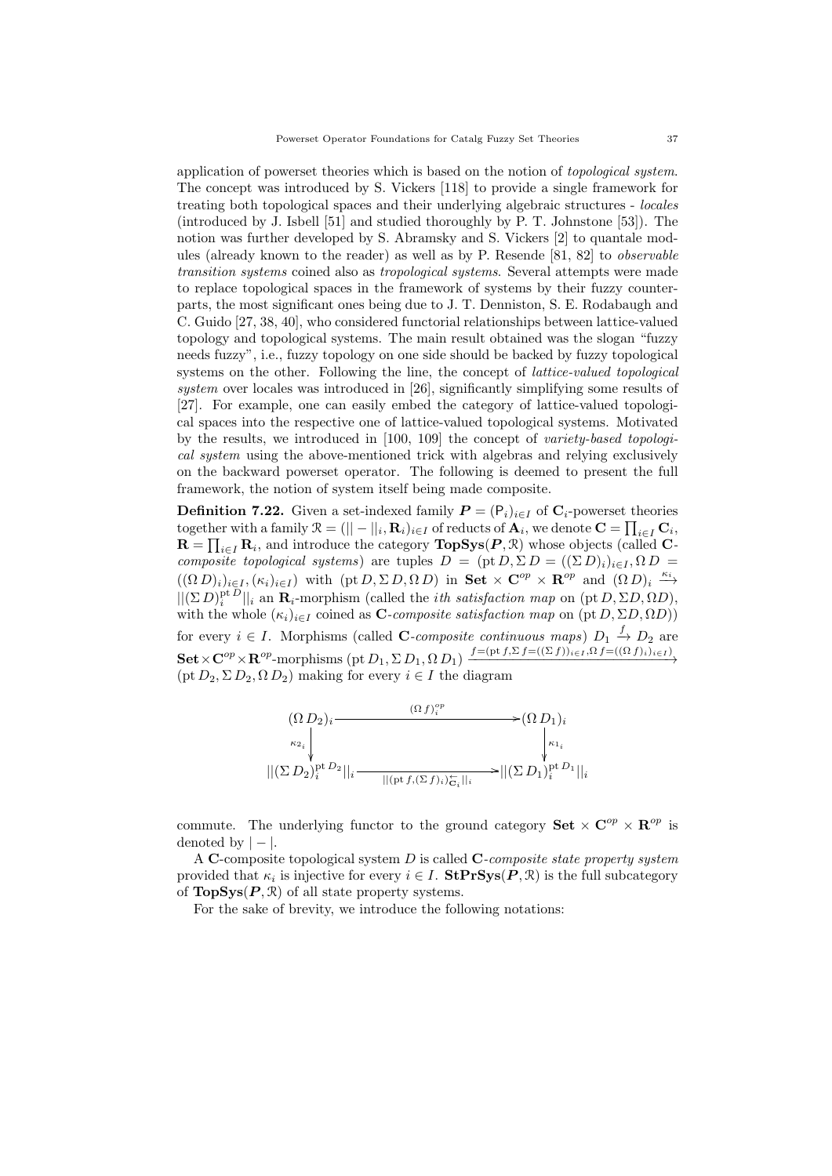application of powerset theories which is based on the notion of topological system. The concept was introduced by S. Vickers [118] to provide a single framework for treating both topological spaces and their underlying algebraic structures - locales (introduced by J. Isbell [51] and studied thoroughly by P. T. Johnstone [53]). The notion was further developed by S. Abramsky and S. Vickers [2] to quantale modules (already known to the reader) as well as by P. Resende [81, 82] to observable transition systems coined also as tropological systems. Several attempts were made to replace topological spaces in the framework of systems by their fuzzy counterparts, the most significant ones being due to J. T. Denniston, S. E. Rodabaugh and C. Guido [27, 38, 40], who considered functorial relationships between lattice-valued topology and topological systems. The main result obtained was the slogan "fuzzy needs fuzzy", i.e., fuzzy topology on one side should be backed by fuzzy topological systems on the other. Following the line, the concept of *lattice-valued topological* system over locales was introduced in [26], significantly simplifying some results of [27]. For example, one can easily embed the category of lattice-valued topological spaces into the respective one of lattice-valued topological systems. Motivated by the results, we introduced in [100, 109] the concept of variety-based topological system using the above-mentioned trick with algebras and relying exclusively on the backward powerset operator. The following is deemed to present the full framework, the notion of system itself being made composite.

**Definition 7.22.** Given a set-indexed family  $P = (P_i)_{i \in I}$  of  $C_i$ -powerset theories  $\text{together with a family } \mathfrak{R} = (||-||_i, \mathbf{R}_i)_{i \in I} \text{ of reduces of } \mathbf{A}_i, \text{ we denote } \mathbf{C} = \prod_{i \in I} \mathbf{C}_i,$  $\mathbf{R} = \prod_{i \in I} \mathbf{R}_i$ , and introduce the category  $\textbf{TopSys}(P, \mathcal{R})$  whose objects (called Ccomposite topological systems) are tuples  $D = (\text{pt }D, \Sigma D = ((\Sigma D)_i)_{i \in I}, \Omega D =$  $((\Omega D)_i)_{i\in I}, (\kappa_i)_{i\in I})$  with  $(\text{pt } D, \Sigma D, \Omega D)$  in  $\text{Set} \times \mathbb{C}^{op} \times \mathbb{R}^{op}$  and  $(\Omega D)_i \stackrel{\kappa_i}{\longrightarrow}$  $||(\Sigma D)^{\text{pt }D}_i||_i$  an  $\mathbf{R}_i$ -morphism (called the *ith satisfaction map* on (pt  $D, \Sigma D, \Omega D$ ), with the whole  $(\kappa_i)_{i \in I}$  coined as **C**-composite satisfaction map on (pt  $D$ ,  $\Sigma D$ ,  $\Omega D$ )) for every  $i \in I$ . Morphisms (called C-composite continuous maps)  $D_1 \stackrel{f}{\rightarrow} D_2$  are  $\textbf{Set} \times \mathbf{C}^{op} \times \mathbf{R}^{op}$ -morphisms (pt  $D_1, \Sigma D_1, \Omega D_1$ )  $\xrightarrow{f=(\text{pt } f, \Sigma f=((\Sigma f))_{i\in I}, \Omega f=((\Omega f)_i)_{i\in I})}$  $(pt D<sub>2</sub>,  $\Sigma D<sub>2</sub>, \Omega D<sub>2</sub>)$  making for every  $i \in I$  the diagram$ 



commute. The underlying functor to the ground category  $\mathbf{Set} \times \mathbf{C}^{op} \times \mathbf{R}^{op}$  is denoted by  $| - |$ .

A C-composite topological system  $D$  is called C-composite state property system provided that  $\kappa_i$  is injective for every  $i \in I$ .  $\textbf{StPrSys}(P, \mathcal{R})$  is the full subcategory of  $\text{TopSys}(P, \mathcal{R})$  of all state property systems.

For the sake of brevity, we introduce the following notations: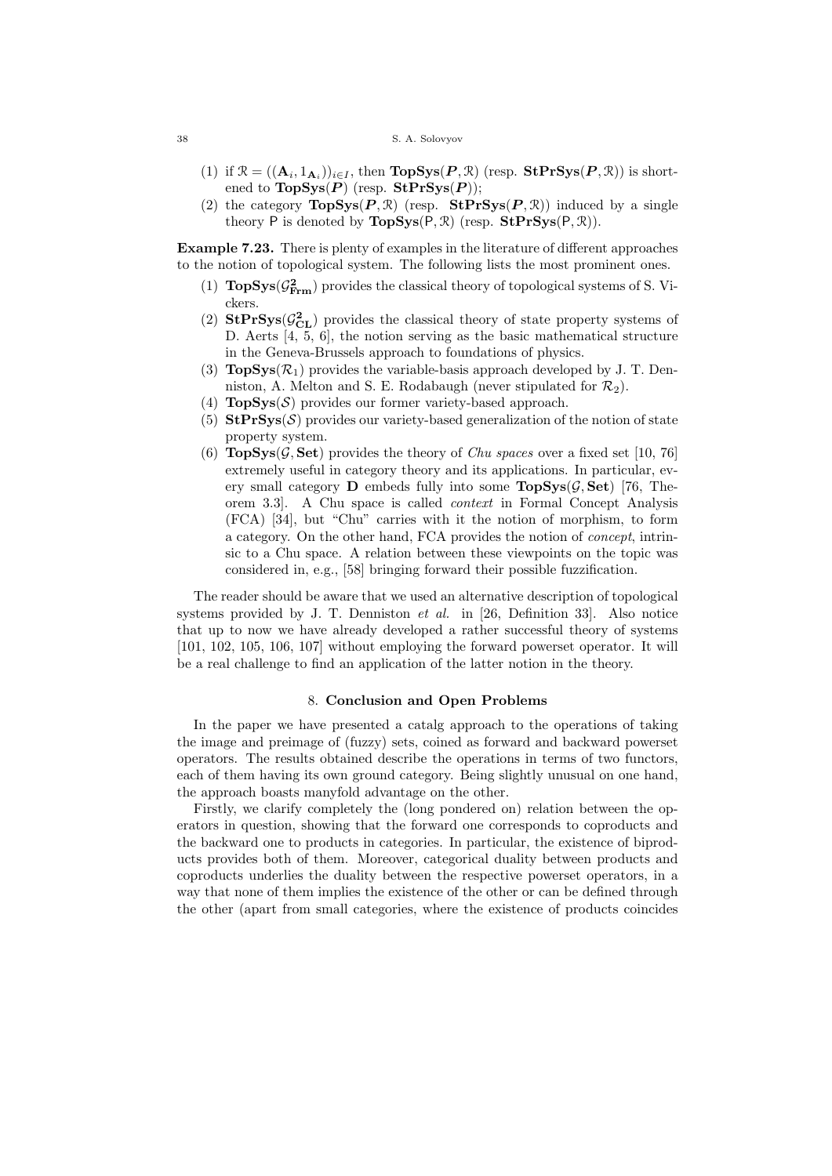- (1) if  $\mathcal{R} = ((\mathbf{A}_i, 1_{\mathbf{A}_i}))_{i \in I}$ , then  $\text{TopSys}(P, \mathcal{R})$  (resp.  $\text{StPrSys}(P, \mathcal{R})$ ) is shortened to  $TopSys(P)$  (resp.  $StPrSys(P)$ );
- (2) the category  $\text{TopSys}(P, \mathcal{R})$  (resp.  $\text{StPrSys}(P, \mathcal{R})$ ) induced by a single theory P is denoted by  $\text{TopSys}(P, \mathcal{R})$  (resp.  $\text{StPrSys}(P, \mathcal{R})$ ).

Example 7.23. There is plenty of examples in the literature of different approaches to the notion of topological system. The following lists the most prominent ones.

- (1)  $\text{TopSys}(\mathcal{G}_{\text{Frm}}^2)$  provides the classical theory of topological systems of S. Vickers.
- (2)  $\text{StPrSys}(\mathcal{G}_{CL}^2)$  provides the classical theory of state property systems of D. Aerts [4, 5, 6], the notion serving as the basic mathematical structure in the Geneva-Brussels approach to foundations of physics.
- (3)  $\text{TopSys}(\mathcal{R}_1)$  provides the variable-basis approach developed by J. T. Denniston, A. Melton and S. E. Rodabaugh (never stipulated for  $\mathcal{R}_2$ ).
- (4)  $\text{TopSys}(\mathcal{S})$  provides our former variety-based approach.
- (5)  $StPrSys(S)$  provides our variety-based generalization of the notion of state property system.
- (6)  $\text{TopSys}(\mathcal{G}, \text{Set})$  provides the theory of *Chu spaces* over a fixed set [10, 76] extremely useful in category theory and its applications. In particular, every small category **D** embeds fully into some  $\text{TopSys}(\mathcal{G}, \text{Set})$  [76, Theorem 3.3]. A Chu space is called context in Formal Concept Analysis (FCA) [34], but "Chu" carries with it the notion of morphism, to form a category. On the other hand, FCA provides the notion of concept, intrinsic to a Chu space. A relation between these viewpoints on the topic was considered in, e.g., [58] bringing forward their possible fuzzification.

The reader should be aware that we used an alternative description of topological systems provided by J. T. Denniston et al. in [26, Definition 33]. Also notice that up to now we have already developed a rather successful theory of systems [101, 102, 105, 106, 107] without employing the forward powerset operator. It will be a real challenge to find an application of the latter notion in the theory.

### 8. Conclusion and Open Problems

In the paper we have presented a catalg approach to the operations of taking the image and preimage of (fuzzy) sets, coined as forward and backward powerset operators. The results obtained describe the operations in terms of two functors, each of them having its own ground category. Being slightly unusual on one hand, the approach boasts manyfold advantage on the other.

Firstly, we clarify completely the (long pondered on) relation between the operators in question, showing that the forward one corresponds to coproducts and the backward one to products in categories. In particular, the existence of biproducts provides both of them. Moreover, categorical duality between products and coproducts underlies the duality between the respective powerset operators, in a way that none of them implies the existence of the other or can be defined through the other (apart from small categories, where the existence of products coincides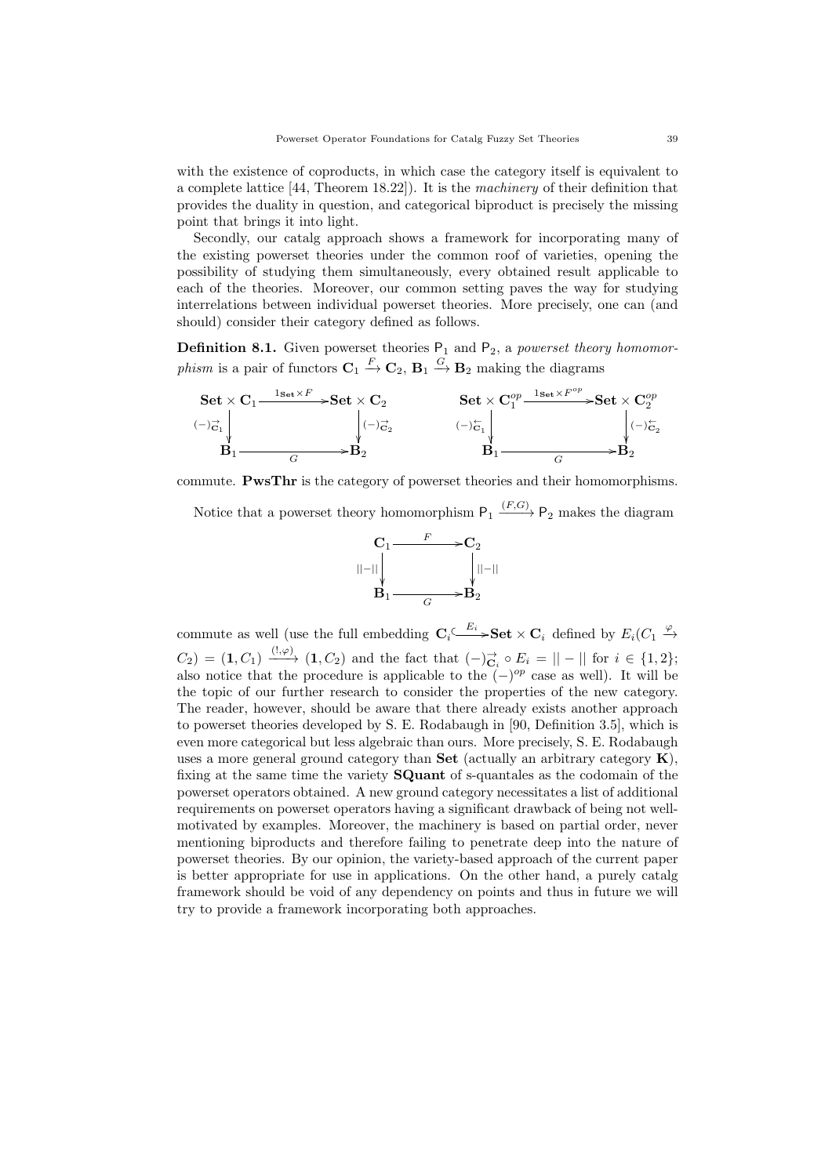with the existence of coproducts, in which case the category itself is equivalent to a complete lattice [44, Theorem 18.22]). It is the machinery of their definition that provides the duality in question, and categorical biproduct is precisely the missing point that brings it into light.

Secondly, our catalg approach shows a framework for incorporating many of the existing powerset theories under the common roof of varieties, opening the possibility of studying them simultaneously, every obtained result applicable to each of the theories. Moreover, our common setting paves the way for studying interrelations between individual powerset theories. More precisely, one can (and should) consider their category defined as follows.

**Definition 8.1.** Given powerset theories  $P_1$  and  $P_2$ , a powerset theory homomorphism is a pair of functors  $\mathbf{C}_1 \stackrel{F}{\rightarrow} \mathbf{C}_2$ ,  $\mathbf{B}_1 \stackrel{G}{\rightarrow} \mathbf{B}_2$  making the diagrams



commute. PwsThr is the category of powerset theories and their homomorphisms.

Notice that a powerset theory homomorphism  $P_1 \xrightarrow{(F,G)} P_2$  makes the diagram



commute as well (use the full embedding  $\mathbf{C}_i \stackrel{E_i}{\longleftrightarrow} \mathbf{Set} \times \mathbf{C}_i$  defined by  $E_i(C_1 \stackrel{\varphi}{\rightarrow}$  $C_2$  = (1,  $C_1$ )  $\xrightarrow{(1,\varphi)}$  (1,  $C_2$ ) and the fact that  $(-)_{\mathbf{C}_i}^{\rightarrow} \circ E_i = || - ||$  for  $i \in \{1,2\};$ also notice that the procedure is applicable to the  $(-)^{op}$  case as well). It will be the topic of our further research to consider the properties of the new category. The reader, however, should be aware that there already exists another approach to powerset theories developed by S. E. Rodabaugh in [90, Definition 3.5], which is even more categorical but less algebraic than ours. More precisely, S. E. Rodabaugh uses a more general ground category than **Set** (actually an arbitrary category  $\mathbf{K}$ ), fixing at the same time the variety SQuant of s-quantales as the codomain of the powerset operators obtained. A new ground category necessitates a list of additional requirements on powerset operators having a significant drawback of being not wellmotivated by examples. Moreover, the machinery is based on partial order, never mentioning biproducts and therefore failing to penetrate deep into the nature of powerset theories. By our opinion, the variety-based approach of the current paper is better appropriate for use in applications. On the other hand, a purely catalg framework should be void of any dependency on points and thus in future we will try to provide a framework incorporating both approaches.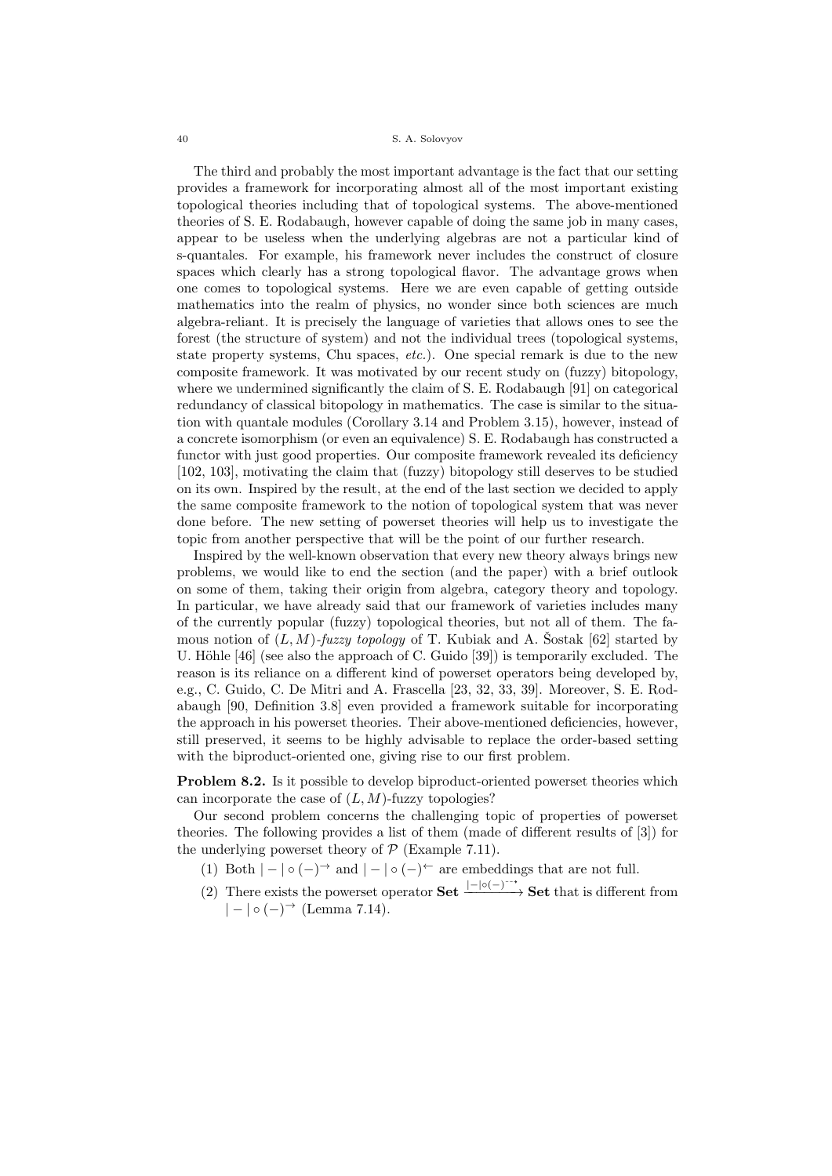The third and probably the most important advantage is the fact that our setting provides a framework for incorporating almost all of the most important existing topological theories including that of topological systems. The above-mentioned theories of S. E. Rodabaugh, however capable of doing the same job in many cases, appear to be useless when the underlying algebras are not a particular kind of s-quantales. For example, his framework never includes the construct of closure spaces which clearly has a strong topological flavor. The advantage grows when one comes to topological systems. Here we are even capable of getting outside mathematics into the realm of physics, no wonder since both sciences are much algebra-reliant. It is precisely the language of varieties that allows ones to see the forest (the structure of system) and not the individual trees (topological systems, state property systems, Chu spaces, etc.). One special remark is due to the new composite framework. It was motivated by our recent study on (fuzzy) bitopology, where we undermined significantly the claim of S. E. Rodabaugh [91] on categorical redundancy of classical bitopology in mathematics. The case is similar to the situation with quantale modules (Corollary 3.14 and Problem 3.15), however, instead of a concrete isomorphism (or even an equivalence) S. E. Rodabaugh has constructed a functor with just good properties. Our composite framework revealed its deficiency [102, 103], motivating the claim that (fuzzy) bitopology still deserves to be studied on its own. Inspired by the result, at the end of the last section we decided to apply the same composite framework to the notion of topological system that was never done before. The new setting of powerset theories will help us to investigate the topic from another perspective that will be the point of our further research.

Inspired by the well-known observation that every new theory always brings new problems, we would like to end the section (and the paper) with a brief outlook on some of them, taking their origin from algebra, category theory and topology. In particular, we have already said that our framework of varieties includes many of the currently popular (fuzzy) topological theories, but not all of them. The famous notion of  $(L, M)$ -fuzzy topology of T. Kubiak and A. Sostak [62] started by U. Höhle [46] (see also the approach of C. Guido [39]) is temporarily excluded. The reason is its reliance on a different kind of powerset operators being developed by, e.g., C. Guido, C. De Mitri and A. Frascella [23, 32, 33, 39]. Moreover, S. E. Rodabaugh [90, Definition 3.8] even provided a framework suitable for incorporating the approach in his powerset theories. Their above-mentioned deficiencies, however, still preserved, it seems to be highly advisable to replace the order-based setting with the biproduct-oriented one, giving rise to our first problem.

Problem 8.2. Is it possible to develop biproduct-oriented powerset theories which can incorporate the case of  $(L, M)$ -fuzzy topologies?

Our second problem concerns the challenging topic of properties of powerset theories. The following provides a list of them (made of different results of [3]) for the underlying powerset theory of  $P$  (Example 7.11).

- (1) Both  $| | \circ (-)^{\rightarrow}$  and  $| | \circ (-)^{\leftarrow}$  are embeddings that are not full.
- (2) There exists the powerset operator  $\textbf{Set} \xrightarrow{|-| \circ (-)^{-*}} \textbf{Set}$  that is different from  $| - | \circ (-)^{\rightarrow}$  (Lemma 7.14).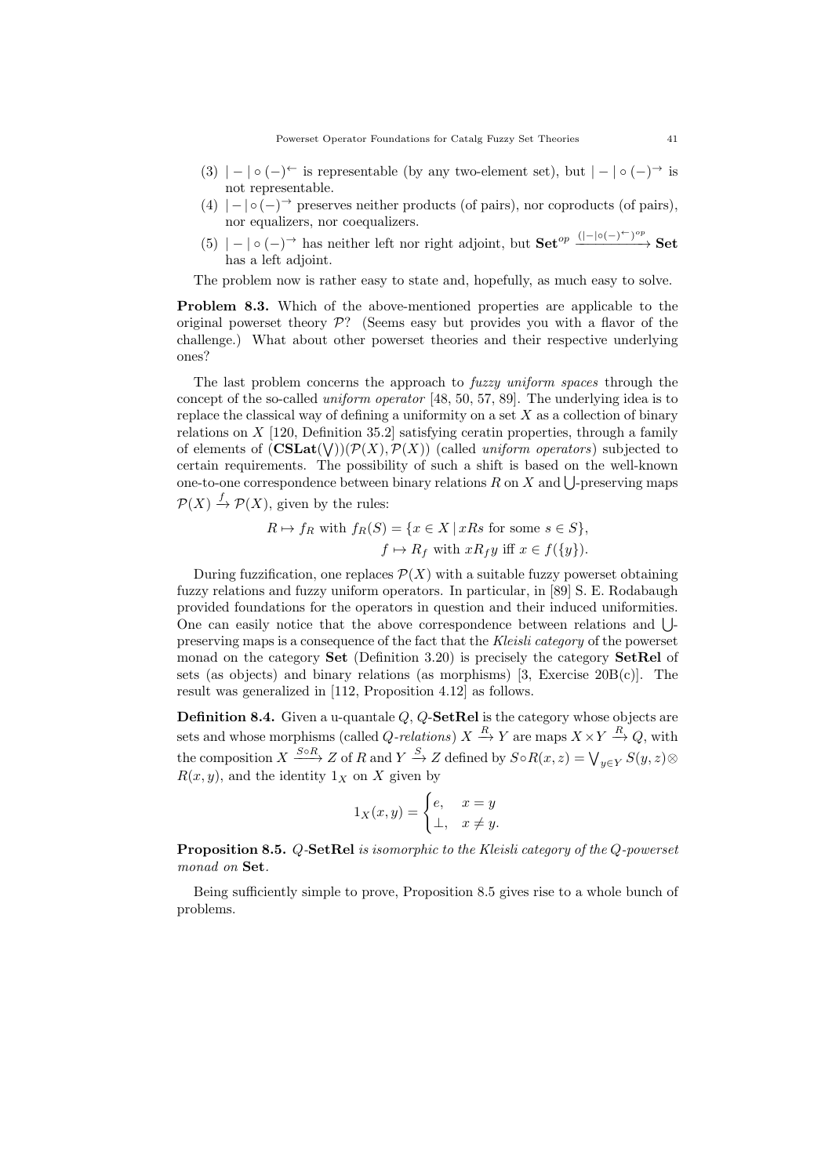- (3)  $| | \circ (-) \leftarrow$  is representable (by any two-element set), but  $| | \circ (-) \rightarrow$  is not representable.
- (4)  $| | \circ (-)^{\rightarrow}$  preserves neither products (of pairs), nor coproducts (of pairs), nor equalizers, nor coequalizers.
- $(5)$   $| | \circ (-) \rangle$  has neither left nor right adjoint, but  $\textbf{Set}^{op} \xrightarrow{(|-| \circ (-) \leftarrow)^{op}} \textbf{Set}$ has a left adjoint.

The problem now is rather easy to state and, hopefully, as much easy to solve.

Problem 8.3. Which of the above-mentioned properties are applicable to the original powerset theory  $\mathcal{P}$ ? (Seems easy but provides you with a flavor of the challenge.) What about other powerset theories and their respective underlying ones?

The last problem concerns the approach to fuzzy uniform spaces through the concept of the so-called uniform operator [48, 50, 57, 89]. The underlying idea is to replace the classical way of defining a uniformity on a set  $X$  as a collection of binary relations on  $X$  [120, Definition 35.2] satisfying ceratin properties, through a family of elements of  $(\mathbf{CSLat}(\mathsf{V}))(\mathcal{P}(X), \mathcal{P}(X))$  (called uniform operators) subjected to certain requirements. The possibility of such a shift is based on the well-known one-to-one correspondence between binary relations R on X and  $\bigcup$ -preserving maps  $\mathcal{P}(X) \stackrel{f}{\rightarrow} \mathcal{P}(X)$ , given by the rules:

$$
R \mapsto f_R \text{ with } f_R(S) = \{ x \in X \mid xRs \text{ for some } s \in S \},
$$
  

$$
f \mapsto R_f \text{ with } xR_f y \text{ iff } x \in f(\{y\}).
$$

During fuzzification, one replaces  $\mathcal{P}(X)$  with a suitable fuzzy powerset obtaining fuzzy relations and fuzzy uniform operators. In particular, in [89] S. E. Rodabaugh provided foundations for the operators in question and their induced uniformities. One can easily notice that the above correspondence between relations and ∪ preserving maps is a consequence of the fact that the Kleisli category of the powerset monad on the category **Set** (Definition 3.20) is precisely the category **SetRel** of sets (as objects) and binary relations (as morphisms) [3, Exercise  $20B(c)$ ]. The result was generalized in [112, Proposition 4.12] as follows.

**Definition 8.4.** Given a u-quantale  $Q$ ,  $Q$ -**SetRel** is the category whose objects are sets and whose morphisms (called *Q-relations*)  $X \stackrel{R}{\to} Y$  are maps  $X \times Y \stackrel{R}{\to} Q$ , with the composition  $X \xrightarrow{S \circ R} Z$  of R and  $Y \xrightarrow{S} Z$  defined by  $S \circ R(x, z) = \bigvee_{y \in Y} S(y, z) \otimes$  $R(x, y)$ , and the identity  $1_X$  on X given by

$$
1_X(x,y) = \begin{cases} e, & x = y \\ \perp, & x \neq y. \end{cases}
$$

**Proposition 8.5.**  $Q$ -SetRel is isomorphic to the Kleisli category of the  $Q$ -powerset monad on Set.

Being sufficiently simple to prove, Proposition 8.5 gives rise to a whole bunch of problems.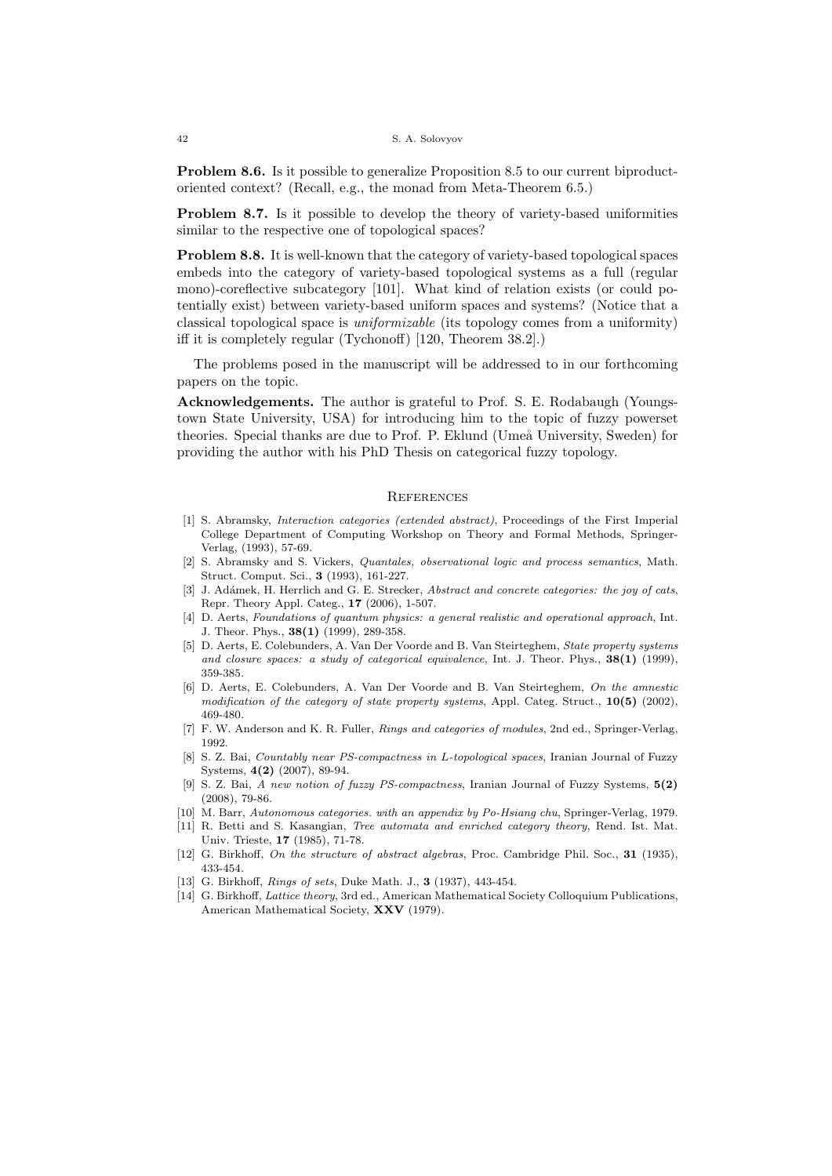Problem 8.6. Is it possible to generalize Proposition 8.5 to our current biproductoriented context? (Recall, e.g., the monad from Meta-Theorem 6.5.)

Problem 8.7. Is it possible to develop the theory of variety-based uniformities similar to the respective one of topological spaces?

Problem 8.8. It is well-known that the category of variety-based topological spaces embeds into the category of variety-based topological systems as a full (regular mono)-coreflective subcategory [101]. What kind of relation exists (or could potentially exist) between variety-based uniform spaces and systems? (Notice that a classical topological space is uniformizable (its topology comes from a uniformity) iff it is completely regular (Tychonoff) [120, Theorem 38.2].)

The problems posed in the manuscript will be addressed to in our forthcoming papers on the topic.

Acknowledgements. The author is grateful to Prof. S. E. Rodabaugh (Youngstown State University, USA) for introducing him to the topic of fuzzy powerset theories. Special thanks are due to Prof. P. Eklund (Umeå University, Sweden) for providing the author with his PhD Thesis on categorical fuzzy topology.

### **REFERENCES**

- [1] S. Abramsky, Interaction categories (extended abstract), Proceedings of the First Imperial College Department of Computing Workshop on Theory and Formal Methods, Springer-Verlag, (1993), 57-69.
- [2] S. Abramsky and S. Vickers, Quantales, observational logic and process semantics, Math. Struct. Comput. Sci., 3 (1993), 161-227.
- [3] J. Adámek, H. Herrlich and G. E. Strecker, Abstract and concrete categories: the joy of cats, Repr. Theory Appl. Categ., 17 (2006), 1-507.
- [4] D. Aerts, Foundations of quantum physics: a general realistic and operational approach, Int. J. Theor. Phys., 38(1) (1999), 289-358.
- [5] D. Aerts, E. Colebunders, A. Van Der Voorde and B. Van Steirteghem, State property systems and closure spaces: a study of categorical equivalence, Int. J. Theor. Phys.,  $38(1)$  (1999), 359-385.
- [6] D. Aerts, E. Colebunders, A. Van Der Voorde and B. Van Steirteghem, On the amnestic modification of the category of state property systems, Appl. Categ. Struct.,  $10(5)$  (2002), 469-480.
- [7] F. W. Anderson and K. R. Fuller, Rings and categories of modules, 2nd ed., Springer-Verlag, 1992.
- [8] S. Z. Bai, Countably near PS-compactness in L-topological spaces, Iranian Journal of Fuzzy Systems, 4(2) (2007), 89-94.
- [9] S. Z. Bai, A new notion of fuzzy PS-compactness, Iranian Journal of Fuzzy Systems, 5(2) (2008), 79-86.
- [10] M. Barr, Autonomous categories. with an appendix by Po-Hsiang chu, Springer-Verlag, 1979.
- [11] R. Betti and S. Kasangian, Tree automata and enriched category theory, Rend. Ist. Mat. Univ. Trieste, 17 (1985), 71-78.
- [12] G. Birkhoff, On the structure of abstract algebras, Proc. Cambridge Phil. Soc., 31 (1935), 433-454.
- [13] G. Birkhoff, *Rings of sets*, Duke Math. J., **3** (1937), 443-454.
- [14] G. Birkhoff, Lattice theory, 3rd ed., American Mathematical Society Colloquium Publications, American Mathematical Society, XXV (1979).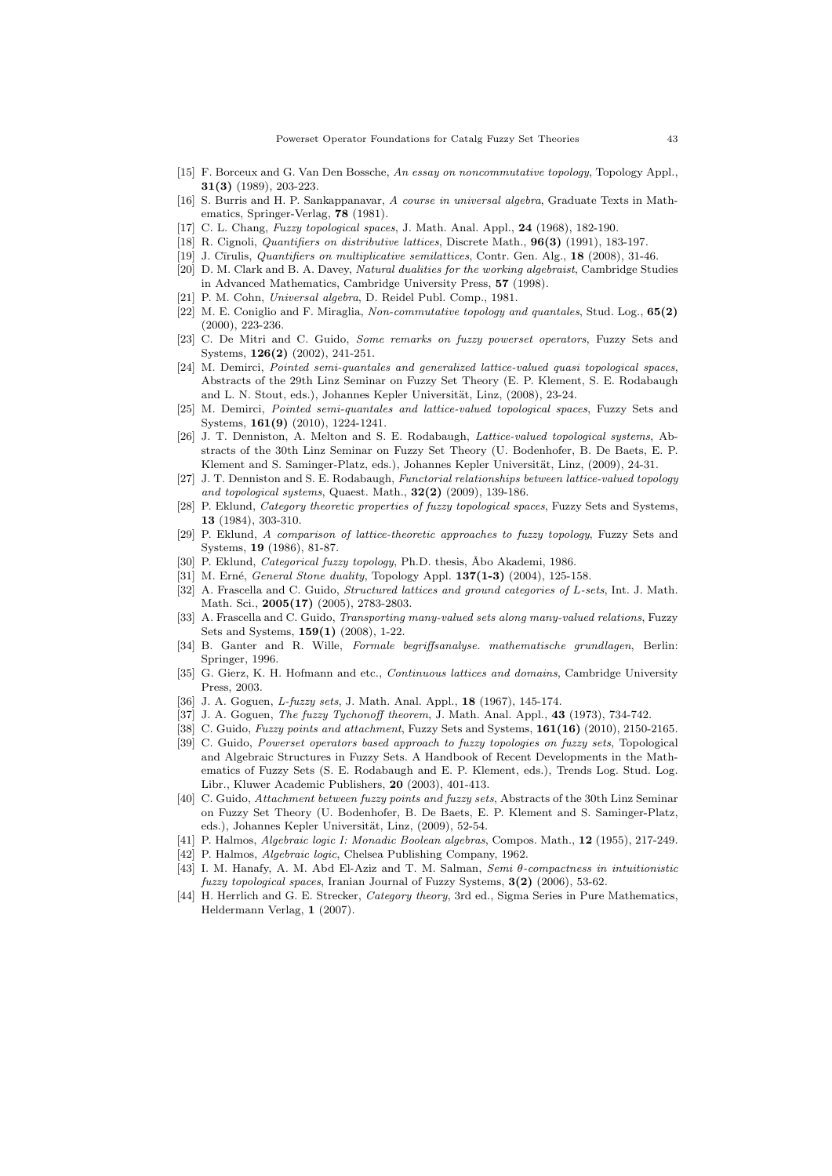- [15] F. Borceux and G. Van Den Bossche, An essay on noncommutative topology, Topology Appl., 31(3) (1989), 203-223.
- [16] S. Burris and H. P. Sankappanavar, A course in universal algebra, Graduate Texts in Mathematics, Springer-Verlag, 78 (1981).
- [17] C. L. Chang, Fuzzy topological spaces, J. Math. Anal. Appl., 24 (1968), 182-190.
- [18] R. Cignoli, *Quantifiers on distributive lattices*, Discrete Math.,  $96(3)$  (1991), 183-197.
- [19] J. Cīrulis, *Quantifiers on multiplicative semilattices*, Contr. Gen. Alg., **18** (2008), 31-46.
- [20] D. M. Clark and B. A. Davey, Natural dualities for the working algebraist, Cambridge Studies in Advanced Mathematics, Cambridge University Press, 57 (1998).
- [21] P. M. Cohn, Universal algebra, D. Reidel Publ. Comp., 1981.
- [22] M. E. Coniglio and F. Miraglia, Non-commutative topology and quantales, Stud. Log., 65(2) (2000), 223-236.
- [23] C. De Mitri and C. Guido, Some remarks on fuzzy powerset operators, Fuzzy Sets and Systems, 126(2) (2002), 241-251.
- [24] M. Demirci, Pointed semi-quantales and generalized lattice-valued quasi topological spaces, Abstracts of the 29th Linz Seminar on Fuzzy Set Theory (E. P. Klement, S. E. Rodabaugh and L. N. Stout, eds.), Johannes Kepler Universität, Linz, (2008), 23-24.
- [25] M. Demirci, *Pointed semi-quantales and lattice-valued topological spaces*, Fuzzy Sets and Systems, 161(9) (2010), 1224-1241.
- [26] J. T. Denniston, A. Melton and S. E. Rodabaugh, Lattice-valued topological systems, Abstracts of the 30th Linz Seminar on Fuzzy Set Theory (U. Bodenhofer, B. De Baets, E. P. Klement and S. Saminger-Platz, eds.), Johannes Kepler Universität, Linz, (2009), 24-31.
- [27] J. T. Denniston and S. E. Rodabaugh, Functorial relationships between lattice-valued topology and topological systems, Quaest. Math.,  $32(2)$  (2009), 139-186.
- [28] P. Eklund, Category theoretic properties of fuzzy topological spaces, Fuzzy Sets and Systems, 13 (1984), 303-310.
- [29] P. Eklund, A comparison of lattice-theoretic approaches to fuzzy topology, Fuzzy Sets and Systems, 19 (1986), 81-87.
- [30] P. Eklund, Categorical fuzzy topology, Ph.D. thesis, Åbo Akademi, 1986.
- [31] M. Erné, *General Stone duality*, Topology Appl. **137(1-3)** (2004), 125-158.
- [32] A. Frascella and C. Guido, *Structured lattices and ground categories of L-sets*, Int. J. Math. Math. Sci., 2005(17) (2005), 2783-2803.
- [33] A. Frascella and C. Guido, *Transporting many-valued sets along many-valued relations*, Fuzzy Sets and Systems, 159(1) (2008), 1-22.
- [34] B. Ganter and R. Wille, Formale begriffsanalyse. mathematische grundlagen, Berlin: Springer, 1996.
- [35] G. Gierz, K. H. Hofmann and etc., Continuous lattices and domains, Cambridge University Press, 2003.
- [36] J. A. Goguen, *L-fuzzy sets*, J. Math. Anal. Appl., **18** (1967), 145-174.
- [37] J. A. Goguen, *The fuzzy Tychonoff theorem*, J. Math. Anal. Appl., **43** (1973), 734-742.
- [38] C. Guido, Fuzzy points and attachment, Fuzzy Sets and Systems, 161(16) (2010), 2150-2165.
- [39] C. Guido, Powerset operators based approach to fuzzy topologies on fuzzy sets, Topological and Algebraic Structures in Fuzzy Sets. A Handbook of Recent Developments in the Mathematics of Fuzzy Sets (S. E. Rodabaugh and E. P. Klement, eds.), Trends Log. Stud. Log. Libr., Kluwer Academic Publishers, 20 (2003), 401-413.
- [40] C. Guido, Attachment between fuzzy points and fuzzy sets, Abstracts of the 30th Linz Seminar on Fuzzy Set Theory (U. Bodenhofer, B. De Baets, E. P. Klement and S. Saminger-Platz, eds.), Johannes Kepler Universität, Linz, (2009), 52-54.
- [41] P. Halmos, Algebraic logic I: Monadic Boolean algebras, Compos. Math., 12 (1955), 217-249.
- [42] P. Halmos, *Algebraic logic*, Chelsea Publishing Company, 1962.
- [43] I. M. Hanafy, A. M. Abd El-Aziz and T. M. Salman,  $Semi \theta$ -compactness in intuitionistic fuzzy topological spaces, Iranian Journal of Fuzzy Systems, 3(2) (2006), 53-62.
- [44] H. Herrlich and G. E. Strecker, Category theory, 3rd ed., Sigma Series in Pure Mathematics, Heldermann Verlag, 1 (2007).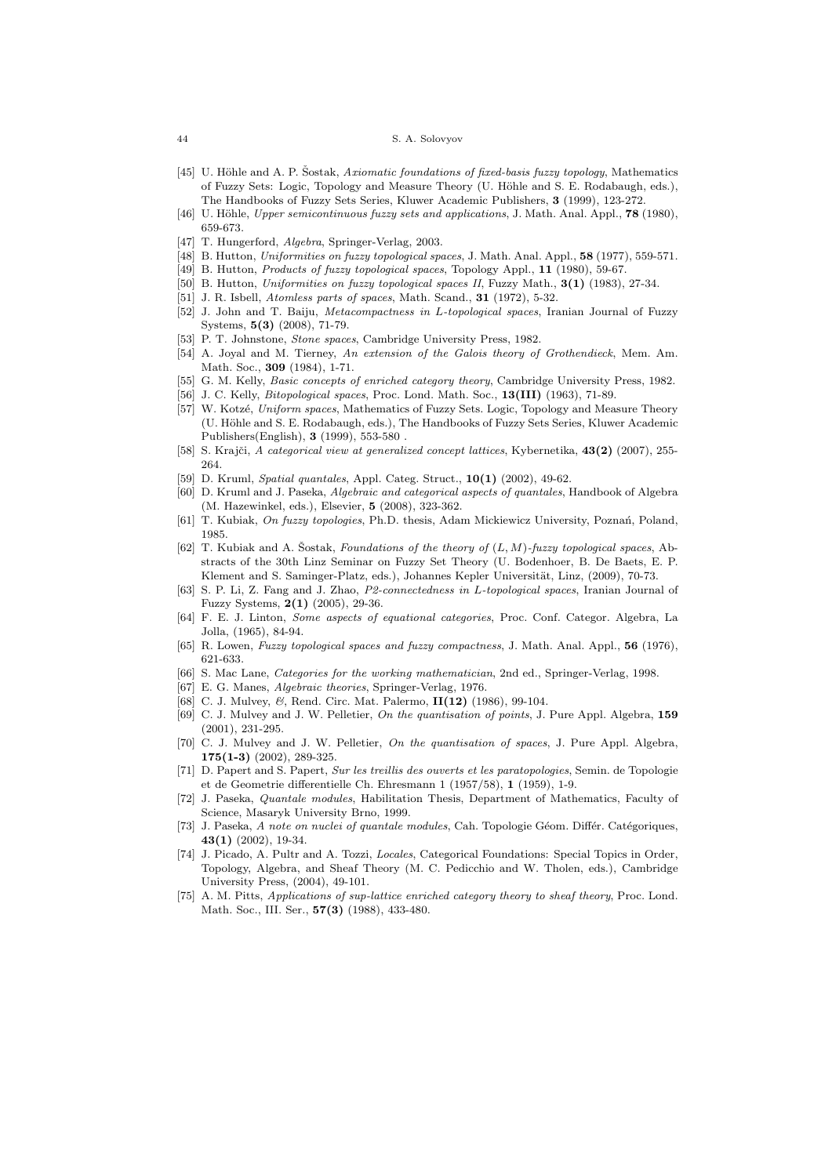- [45] U. Höhle and A. P. Šostak, Axiomatic foundations of fixed-basis fuzzy topology, Mathematics of Fuzzy Sets: Logic, Topology and Measure Theory (U. H¨ohle and S. E. Rodabaugh, eds.), The Handbooks of Fuzzy Sets Series, Kluwer Academic Publishers, 3 (1999), 123-272.
- [46] U. Höhle, Upper semicontinuous fuzzy sets and applications, J. Math. Anal. Appl., 78 (1980), 659-673.
- [47] T. Hungerford, Algebra, Springer-Verlag, 2003.
- [48] B. Hutton, Uniformities on fuzzy topological spaces, J. Math. Anal. Appl., 58 (1977), 559-571.
- [49] B. Hutton, Products of fuzzy topological spaces, Topology Appl., 11 (1980), 59-67.
- [50] B. Hutton, Uniformities on fuzzy topological spaces II, Fuzzy Math., 3(1) (1983), 27-34. [51] J. R. Isbell, *Atomless parts of spaces*, Math. Scand., **31** (1972), 5-32.
- [52] J. John and T. Baiju, Metacompactness in L-topological spaces, Iranian Journal of Fuzzy
- Systems, 5(3) (2008), 71-79.
- [53] P. T. Johnstone, Stone spaces, Cambridge University Press, 1982. [54] A. Joyal and M. Tierney, An extension of the Galois theory of Grothendieck, Mem. Am. Math. Soc., 309 (1984), 1-71.
- [55] G. M. Kelly, *Basic concepts of enriched category theory*, Cambridge University Press, 1982.
- [56] J. C. Kelly, *Bitopological spaces*, Proc. Lond. Math. Soc., 13(III) (1963), 71-89.
- [57] W. Kotzé, Uniform spaces, Mathematics of Fuzzy Sets. Logic, Topology and Measure Theory (U. H¨ohle and S. E. Rodabaugh, eds.), The Handbooks of Fuzzy Sets Series, Kluwer Academic Publishers(English), 3 (1999), 553-580 .
- [58] S. Krajči, A categorical view at generalized concept lattices, Kybernetika, 43(2) (2007), 255-264.
- [59] D. Kruml, *Spatial quantales*, Appl. Categ. Struct., **10(1)** (2002), 49-62.
- [60] D. Kruml and J. Paseka, Algebraic and categorical aspects of quantales, Handbook of Algebra (M. Hazewinkel, eds.), Elsevier, 5 (2008), 323-362.
- [61] T. Kubiak, On fuzzy topologies, Ph.D. thesis, Adam Mickiewicz University, Poznań, Poland, 1985.
- [62] T. Kubiak and A. Sostak, Foundations of the theory of  $(L, M)$ -fuzzy topological spaces, Abstracts of the 30th Linz Seminar on Fuzzy Set Theory (U. Bodenhoer, B. De Baets, E. P. Klement and S. Saminger-Platz, eds.), Johannes Kepler Universität, Linz, (2009), 70-73.
- [63] S. P. Li, Z. Fang and J. Zhao, P2-connectedness in L-topological spaces, Iranian Journal of Fuzzy Systems, 2(1) (2005), 29-36.
- [64] F. E. J. Linton, Some aspects of equational categories, Proc. Conf. Categor. Algebra, La Jolla, (1965), 84-94.
- [65] R. Lowen, Fuzzy topological spaces and fuzzy compactness, J. Math. Anal. Appl., 56 (1976), 621-633.
- [66] S. Mac Lane, Categories for the working mathematician, 2nd ed., Springer-Verlag, 1998.
- [67] E. G. Manes, Algebraic theories, Springer-Verlag, 1976.
- [68] C. J. Mulvey, &, Rend. Circ. Mat. Palermo, II(12) (1986), 99-104.
- [69] C. J. Mulvey and J. W. Pelletier, On the quantisation of points, J. Pure Appl. Algebra, 159 (2001), 231-295.
- [70] C. J. Mulvey and J. W. Pelletier, On the quantisation of spaces, J. Pure Appl. Algebra, 175(1-3) (2002), 289-325.
- [71] D. Papert and S. Papert, Sur les treillis des ouverts et les paratopologies, Semin. de Topologie et de Geometrie differentielle Ch. Ehresmann 1 (1957/58), 1 (1959), 1-9.
- [72] J. Paseka, Quantale modules, Habilitation Thesis, Department of Mathematics, Faculty of Science, Masaryk University Brno, 1999.
- [73] J. Paseka, A note on nuclei of quantale modules, Cah. Topologie Géom. Différ. Catégoriques, 43(1) (2002), 19-34.
- [74] J. Picado, A. Pultr and A. Tozzi, Locales, Categorical Foundations: Special Topics in Order, Topology, Algebra, and Sheaf Theory (M. C. Pedicchio and W. Tholen, eds.), Cambridge University Press, (2004), 49-101.
- [75] A. M. Pitts, Applications of sup-lattice enriched category theory to sheaf theory, Proc. Lond. Math. Soc., III. Ser., 57(3) (1988), 433-480.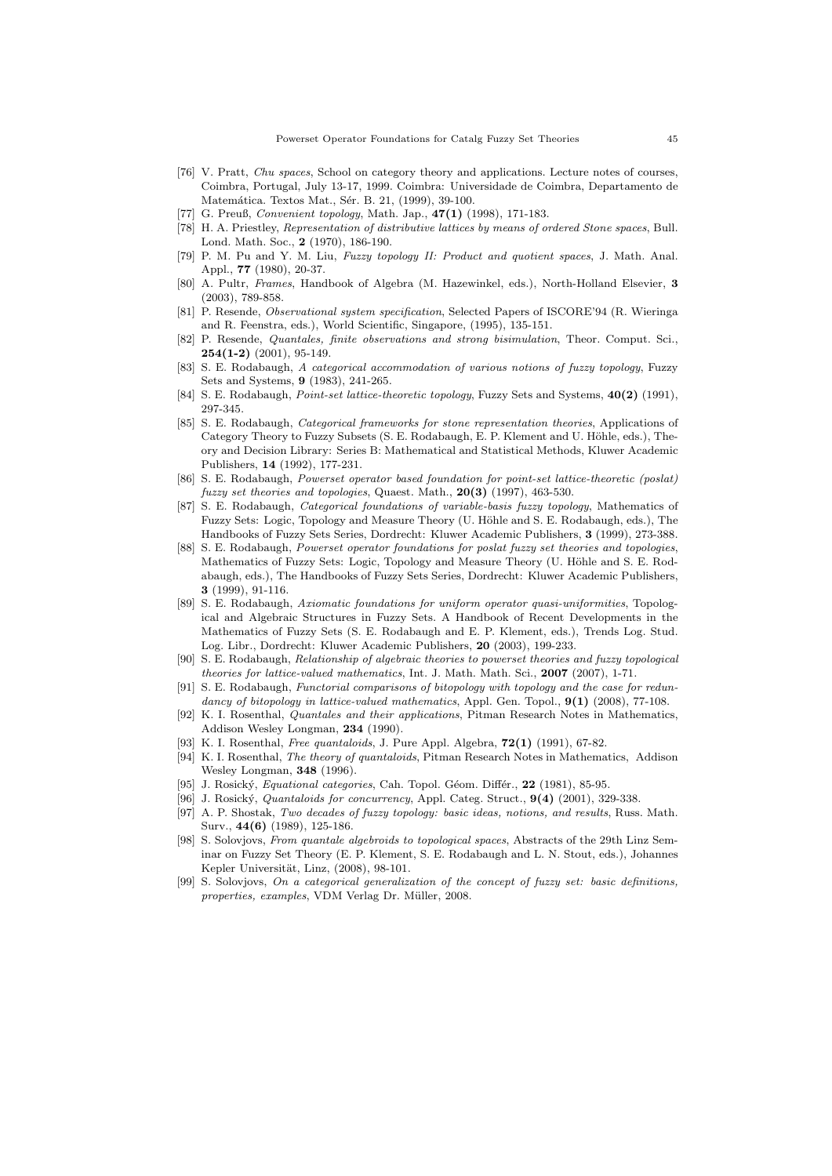- [76] V. Pratt, Chu spaces, School on category theory and applications. Lecture notes of courses, Coimbra, Portugal, July 13-17, 1999. Coimbra: Universidade de Coimbra, Departamento de Matemática. Textos Mat., Sér. B. 21, (1999), 39-100.
- [77] G. Preuß, *Convenient topology*, Math. Jap., 47(1) (1998), 171-183.
- [78] H. A. Priestley, Representation of distributive lattices by means of ordered Stone spaces, Bull. Lond. Math. Soc., 2 (1970), 186-190.
- [79] P. M. Pu and Y. M. Liu, Fuzzy topology II: Product and quotient spaces, J. Math. Anal. Appl., 77 (1980), 20-37.
- [80] A. Pultr, Frames, Handbook of Algebra (M. Hazewinkel, eds.), North-Holland Elsevier, 3 (2003), 789-858.
- [81] P. Resende, Observational system specification, Selected Papers of ISCORE'94 (R. Wieringa and R. Feenstra, eds.), World Scientific, Singapore, (1995), 135-151.
- [82] P. Resende, Quantales, finite observations and strong bisimulation, Theor. Comput. Sci.,  $254(1-2)$  (2001), 95-149.
- [83] S. E. Rodabaugh, A categorical accommodation of various notions of fuzzy topology, Fuzzy Sets and Systems, 9 (1983), 241-265.
- [84] S. E. Rodabaugh, *Point-set lattice-theoretic topology*, Fuzzy Sets and Systems,  $40(2)$  (1991), 297-345.
- [85] S. E. Rodabaugh, *Categorical frameworks for stone representation theories*, Applications of Category Theory to Fuzzy Subsets (S. E. Rodabaugh, E. P. Klement and U. Höhle, eds.), Theory and Decision Library: Series B: Mathematical and Statistical Methods, Kluwer Academic Publishers, 14 (1992), 177-231.
- [86] S. E. Rodabaugh, Powerset operator based foundation for point-set lattice-theoretic (poslat) fuzzy set theories and topologies, Quaest. Math.,  $20(3)$  (1997), 463-530.
- [87] S. E. Rodabaugh, *Categorical foundations of variable-basis fuzzy topology*. Mathematics of Fuzzy Sets: Logic, Topology and Measure Theory (U. Höhle and S. E. Rodabaugh, eds.), The Handbooks of Fuzzy Sets Series, Dordrecht: Kluwer Academic Publishers, 3 (1999), 273-388.
- [88] S. E. Rodabaugh, Powerset operator foundations for poslat fuzzy set theories and topologies, Mathematics of Fuzzy Sets: Logic, Topology and Measure Theory (U. Höhle and S. E. Rodabaugh, eds.), The Handbooks of Fuzzy Sets Series, Dordrecht: Kluwer Academic Publishers, 3 (1999), 91-116.
- [89] S. E. Rodabaugh, Axiomatic foundations for uniform operator quasi-uniformities, Topological and Algebraic Structures in Fuzzy Sets. A Handbook of Recent Developments in the Mathematics of Fuzzy Sets (S. E. Rodabaugh and E. P. Klement, eds.), Trends Log. Stud. Log. Libr., Dordrecht: Kluwer Academic Publishers, 20 (2003), 199-233.
- [90] S. E. Rodabaugh, Relationship of algebraic theories to powerset theories and fuzzy topological theories for lattice-valued mathematics, Int. J. Math. Math. Sci., 2007 (2007), 1-71.
- [91] S. E. Rodabaugh, Functorial comparisons of bitopology with topology and the case for redundancy of bitopology in lattice-valued mathematics, Appl. Gen. Topol.,  $9(1)$  (2008), 77-108.
- [92] K. I. Rosenthal, Quantales and their applications, Pitman Research Notes in Mathematics, Addison Wesley Longman, 234 (1990).
- [93] K. I. Rosenthal, *Free quantaloids*, J. Pure Appl. Algebra, **72(1)** (1991), 67-82.
- [94] K. I. Rosenthal, The theory of quantaloids, Pitman Research Notes in Mathematics, Addison Wesley Longman, 348 (1996).
- [95] J. Rosický, Equational categories, Cah. Topol. Géom. Différ., 22 (1981), 85-95.
- [96] J. Rosický, *Quantaloids for concurrency*, Appl. Categ. Struct.,  $9(4)$  (2001), 329-338.
- [97] A. P. Shostak, Two decades of fuzzy topology: basic ideas, notions, and results, Russ. Math. Surv., 44(6) (1989), 125-186.
- [98] S. Solovjovs, From quantale algebroids to topological spaces, Abstracts of the 29th Linz Seminar on Fuzzy Set Theory (E. P. Klement, S. E. Rodabaugh and L. N. Stout, eds.), Johannes Kepler Universität, Linz, (2008), 98-101.
- [99] S. Solovjovs, On a categorical generalization of the concept of fuzzy set: basic definitions, properties, examples, VDM Verlag Dr. Müller, 2008.